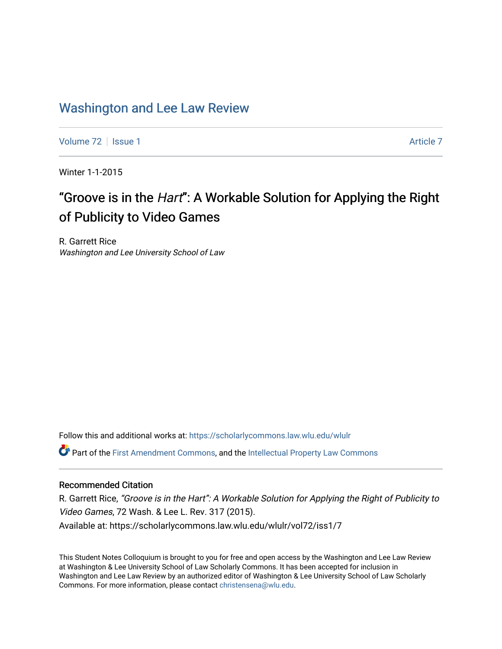# [Washington and Lee Law Review](https://scholarlycommons.law.wlu.edu/wlulr)

[Volume 72](https://scholarlycommons.law.wlu.edu/wlulr/vol72) | [Issue 1](https://scholarlycommons.law.wlu.edu/wlulr/vol72/iss1) [Article 7](https://scholarlycommons.law.wlu.edu/wlulr/vol72/iss1/7) Article 7 Article 7 Article 7 Article 7 Article 7 Article 7

Winter 1-1-2015

# "Groove is in the Hart": A Workable Solution for Applying the Right of Publicity to Video Games

R. Garrett Rice Washington and Lee University School of Law

Follow this and additional works at: [https://scholarlycommons.law.wlu.edu/wlulr](https://scholarlycommons.law.wlu.edu/wlulr?utm_source=scholarlycommons.law.wlu.edu%2Fwlulr%2Fvol72%2Fiss1%2F7&utm_medium=PDF&utm_campaign=PDFCoverPages) 

Part of the [First Amendment Commons,](http://network.bepress.com/hgg/discipline/1115?utm_source=scholarlycommons.law.wlu.edu%2Fwlulr%2Fvol72%2Fiss1%2F7&utm_medium=PDF&utm_campaign=PDFCoverPages) and the [Intellectual Property Law Commons](http://network.bepress.com/hgg/discipline/896?utm_source=scholarlycommons.law.wlu.edu%2Fwlulr%2Fvol72%2Fiss1%2F7&utm_medium=PDF&utm_campaign=PDFCoverPages)

# Recommended Citation

R. Garrett Rice, "Groove is in the Hart": A Workable Solution for Applying the Right of Publicity to Video Games, 72 Wash. & Lee L. Rev. 317 (2015). Available at: https://scholarlycommons.law.wlu.edu/wlulr/vol72/iss1/7

This Student Notes Colloquium is brought to you for free and open access by the Washington and Lee Law Review at Washington & Lee University School of Law Scholarly Commons. It has been accepted for inclusion in Washington and Lee Law Review by an authorized editor of Washington & Lee University School of Law Scholarly Commons. For more information, please contact [christensena@wlu.edu.](mailto:christensena@wlu.edu)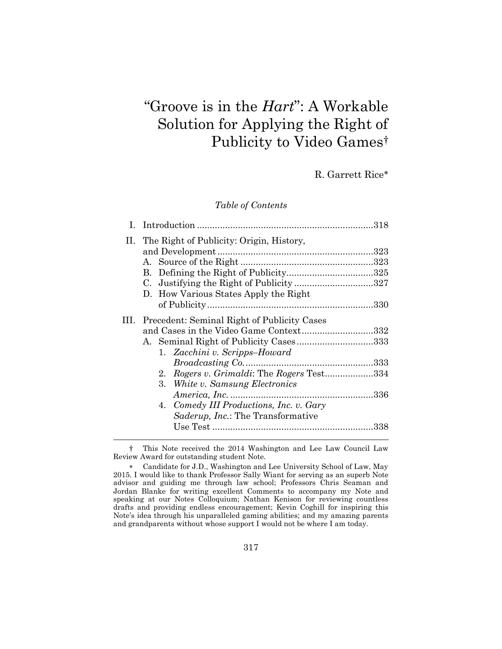# "Groove is in the *Hart*": A Workable Solution for Applying the Right of Publicity to Video Games†

R. Garrett Rice

*Table of Contents*

|    | II. The Right of Publicity: Origin, History, |  |
|----|----------------------------------------------|--|
|    |                                              |  |
|    |                                              |  |
|    |                                              |  |
|    |                                              |  |
|    | D. How Various States Apply the Right        |  |
|    |                                              |  |
| Ш. | Precedent: Seminal Right of Publicity Cases  |  |
|    | and Cases in the Video Game Context332       |  |
|    | A. Seminal Right of Publicity Cases333       |  |
|    | 1. Zacchini v. Scripps-Howard                |  |
|    |                                              |  |
|    | 2. Rogers v. Grimaldi: The Rogers Test334    |  |
|    | 3. White v. Samsung Electronics              |  |
|    |                                              |  |
|    | 4. Comedy III Productions, Inc. v. Gary      |  |
|    | <i>Saderup, Inc.:</i> The Transformative     |  |
|    |                                              |  |
|    |                                              |  |

<sup>†</sup> This Note received the 2014 Washington and Lee Law Council Law Review Award for outstanding student Note.

Candidate for J.D., Washington and Lee University School of Law, May 2015. I would like to thank Professor Sally Wiant for serving as an superb Note advisor and guiding me through law school; Professors Chris Seaman and Jordan Blanke for writing excellent Comments to accompany my Note and speaking at our Notes Colloquium; Nathan Kenison for reviewing countless drafts and providing endless encouragement; Kevin Coghill for inspiring this Note's idea through his unparalleled gaming abilities; and my amazing parents and grandparents without whose support I would not be where I am today.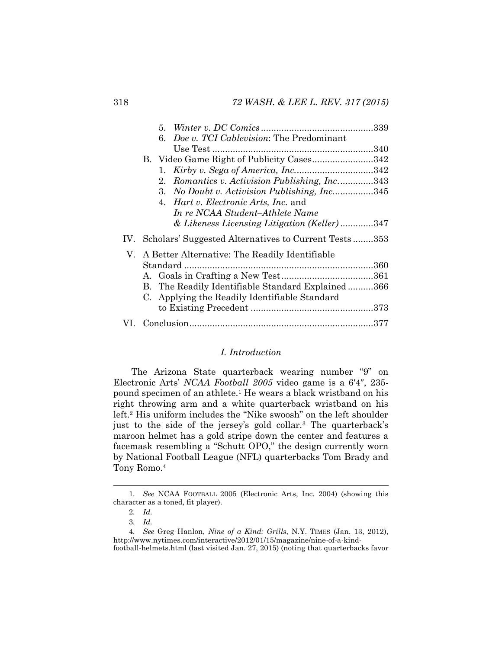|     |         | 6. Doe v. TCI Cablevision: The Predominant           |  |
|-----|---------|------------------------------------------------------|--|
|     |         |                                                      |  |
|     |         | B. Video Game Right of Publicity Cases342            |  |
|     | 1.      |                                                      |  |
|     | $2_{-}$ | Romantics v. Activision Publishing, Inc343           |  |
|     | 3.      | No Doubt v. Activision Publishing, Inc345            |  |
|     |         | 4. <i>Hart v. Electronic Arts, Inc.</i> and          |  |
|     |         | In re NCAA Student–Athlete Name                      |  |
|     |         | & Likeness Licensing Litigation (Keller) 347         |  |
| IV. |         | Scholars' Suggested Alternatives to Current Tests353 |  |
| V.  |         | A Better Alternative: The Readily Identifiable       |  |
|     |         |                                                      |  |
|     |         |                                                      |  |
|     |         | B. The Readily Identifiable Standard Explained366    |  |
|     |         | C. Applying the Readily Identifiable Standard        |  |
|     |         |                                                      |  |
|     |         |                                                      |  |
|     |         |                                                      |  |

# <span id="page-2-0"></span>*I. Introduction*

The Arizona State quarterback wearing number "9" on Electronic Arts' *NCAA Football 2005* video game is a 6′4″, 235 pound specimen of an athlete.<sup>1</sup> He wears a black wristband on his right throwing arm and a white quarterback wristband on his left.<sup>2</sup> His uniform includes the "Nike swoosh" on the left shoulder just to the side of the jersey's gold collar.<sup>3</sup> The quarterback's maroon helmet has a gold stripe down the center and features a facemask resembling a "Schutt OPO," the design currently worn by National Football League (NFL) quarterbacks Tom Brady and Tony Romo.<sup>4</sup>

<span id="page-2-1"></span><sup>1</sup>*. See* NCAA FOOTBALL 2005 (Electronic Arts, Inc. 2004) (showing this character as a toned, fit player).

<sup>2</sup>*. Id.*

<sup>3</sup>*. Id.*

<sup>4</sup>*. See* Greg Hanlon, *Nine of a Kind: Grills*, N.Y. TIMES (Jan. 13, 2012), http://www.nytimes.com/interactive/2012/01/15/magazine/nine-of-a-kindfootball-helmets.html (last visited Jan. 27, 2015) (noting that quarterbacks favor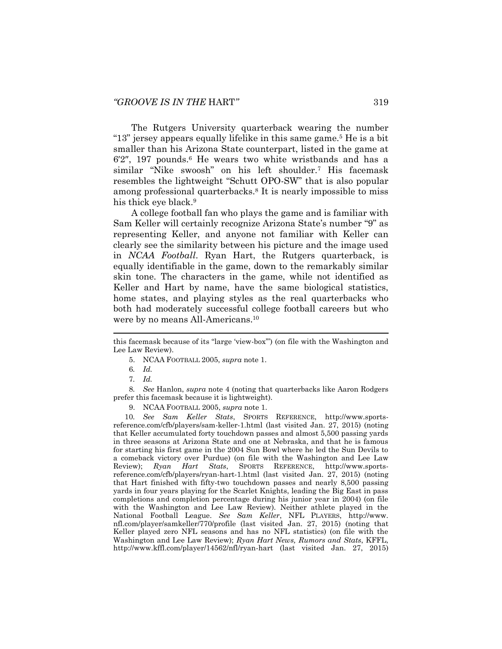The Rutgers University quarterback wearing the number "13" jersey appears equally lifelike in this same game.<sup>5</sup> He is a bit smaller than his Arizona State counterpart, listed in the game at  $6'2''$ , 197 pounds.<sup>6</sup> He wears two white wristbands and has a similar "Nike swoosh" on his left shoulder.<sup>7</sup> His facemask resembles the lightweight "Schutt OPO-SW" that is also popular among professional quarterbacks.<sup>8</sup> It is nearly impossible to miss his thick eye black.<sup>9</sup>

<span id="page-3-0"></span>A college football fan who plays the game and is familiar with Sam Keller will certainly recognize Arizona State's number "9" as representing Keller, and anyone not familiar with Keller can clearly see the similarity between his picture and the image used in *NCAA Football*. Ryan Hart, the Rutgers quarterback, is equally identifiable in the game, down to the remarkably similar skin tone. The characters in the game, while not identified as Keller and Hart by name, have the same biological statistics, home states, and playing styles as the real quarterbacks who both had moderately successful college football careers but who were by no means All-Americans.<sup>10</sup>

5. NCAA FOOTBALL 2005, *supra* note [1.](#page-2-0)

8*. See* Hanlon, *supra* note [4](#page-2-1) (noting that quarterbacks like Aaron Rodgers prefer this facemask because it is lightweight).

9. NCAA FOOTBALL 2005, *supra* not[e 1.](#page-2-0)

10*. See Sam Keller Stats*, SPORTS REFERENCE, http://www.sportsreference.com/cfb/players/sam-keller-1.html (last visited Jan. 27, 2015) (noting that Keller accumulated forty touchdown passes and almost 5,500 passing yards in three seasons at Arizona State and one at Nebraska, and that he is famous for starting his first game in the 2004 Sun Bowl where he led the Sun Devils to a comeback victory over Purdue) (on file with the Washington and Lee Law Review); *Ryan Hart Stats*, SPORTS REFERENCE, http://www.sportsreference.com/cfb/players/ryan-hart-1.html (last visited Jan. 27, 2015) (noting that Hart finished with fifty-two touchdown passes and nearly 8,500 passing yards in four years playing for the Scarlet Knights, leading the Big East in pass completions and completion percentage during his junior year in 2004) (on file with the Washington and Lee Law Review). Neither athlete played in the National Football League. *See Sam Keller*, NFL PLAYERS, http://www. nfl.com/player/samkeller/770/profile (last visited Jan. 27, 2015) (noting that Keller played zero NFL seasons and has no NFL statistics) (on file with the Washington and Lee Law Review); *Ryan Hart News, Rumors and Stats*, KFFL, http://www.kffl.com/player/14562/nfl/ryan-hart (last visited Jan. 27, 2015)

this facemask because of its "large 'view-box'") (on file with the Washington and Lee Law Review).

<sup>6</sup>*. Id.*

<sup>7</sup>*. Id.*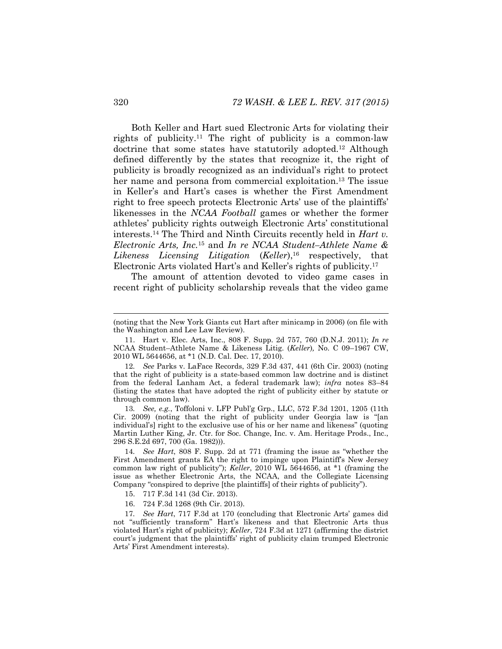Both Keller and Hart sued Electronic Arts for violating their rights of publicity.<sup>11</sup> The right of publicity is a common-law doctrine that some states have statutorily adopted.<sup>12</sup> Although defined differently by the states that recognize it, the right of publicity is broadly recognized as an individual's right to protect her name and persona from commercial exploitation.<sup>13</sup> The issue in Keller's and Hart's cases is whether the First Amendment right to free speech protects Electronic Arts' use of the plaintiffs' likenesses in the *NCAA Football* games or whether the former athletes' publicity rights outweigh Electronic Arts' constitutional interests.<sup>14</sup> The Third and Ninth Circuits recently held in *Hart v. Electronic Arts, Inc.*<sup>15</sup> and *In re NCAA Student–Athlete Name & Likeness Licensing Litigation* (*Keller*),<sup>16</sup> respectively, that Electronic Arts violated Hart's and Keller's rights of publicity.<sup>17</sup>

The amount of attention devoted to video game cases in recent right of publicity scholarship reveals that the video game

13*. See, e.g.*, Toffoloni v. LFP Publ'g Grp., LLC, 572 F.3d 1201, 1205 (11th Cir. 2009) (noting that the right of publicity under Georgia law is "[an individual's] right to the exclusive use of his or her name and likeness" (quoting Martin Luther King, Jr. Ctr. for Soc. Change, Inc. v. Am. Heritage Prods., Inc., 296 S.E.2d 697, 700 (Ga. 1982))).

14*. See Hart*, 808 F. Supp. 2d at 771 (framing the issue as "whether the First Amendment grants EA the right to impinge upon Plaintiff's New Jersey common law right of publicity"); *Keller*, 2010 WL 5644656, at \*1 (framing the issue as whether Electronic Arts, the NCAA, and the Collegiate Licensing Company "conspired to deprive [the plaintiffs] of their rights of publicity").

- 15. 717 F.3d 141 (3d Cir. 2013).
- 16. 724 F.3d 1268 (9th Cir. 2013).

17*. See Hart*, 717 F.3d at 170 (concluding that Electronic Arts' games did not "sufficiently transform" Hart's likeness and that Electronic Arts thus violated Hart's right of publicity); *Keller*, 724 F.3d at 1271 (affirming the district court's judgment that the plaintiffs' right of publicity claim trumped Electronic Arts' First Amendment interests).

<sup>(</sup>noting that the New York Giants cut Hart after minicamp in 2006) (on file with the Washington and Lee Law Review).

<sup>11.</sup> Hart v. Elec. Arts, Inc., 808 F. Supp. 2d 757, 760 (D.N.J. 2011); *In re* NCAA Student–Athlete Name & Likeness Litig. (*Keller*)*,* No. C 09–1967 CW, 2010 WL 5644656, at \*1 (N.D. Cal. Dec. 17, 2010).

<sup>12</sup>*. See* Parks v. LaFace Records, 329 F.3d 437, 441 (6th Cir. 2003) (noting that the right of publicity is a state-based common law doctrine and is distinct from the federal Lanham Act, a federal trademark law); *infra* notes [83](#page-14-0)–[84](#page-15-0) (listing the states that have adopted the right of publicity either by statute or through common law).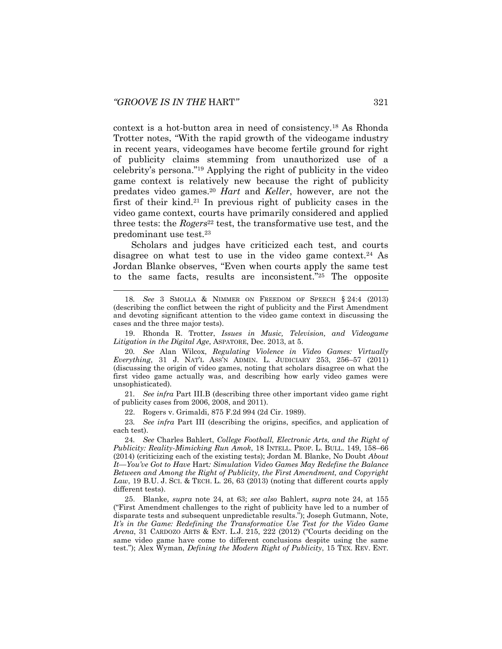<span id="page-5-1"></span>l

context is a hot-button area in need of consistency.<sup>18</sup> As Rhonda Trotter notes, "With the rapid growth of the videogame industry in recent years, videogames have become fertile ground for right of publicity claims stemming from unauthorized use of a celebrity's persona."<sup>19</sup> Applying the right of publicity in the video game context is relatively new because the right of publicity predates video games.<sup>20</sup> *Hart* and *Keller*, however, are not the first of their kind.<sup>21</sup> In previous right of publicity cases in the video game context, courts have primarily considered and applied three tests: the *Rogers*<sup>22</sup> test, the transformative use test, and the predominant use test.<sup>23</sup>

<span id="page-5-0"></span>Scholars and judges have criticized each test, and courts disagree on what test to use in the video game context.<sup>24</sup> As Jordan Blanke observes, "Even when courts apply the same test to the same facts, results are inconsistent."<sup>25</sup> The opposite

21*. See infra* Part III.B (describing three other important video game right of publicity cases from 2006, 2008, and 2011).

22. Rogers v. Grimaldi, 875 F.2d 994 (2d Cir. 1989).

23*. See infra* Part III (describing the origins, specifics, and application of each test).

24*. See* Charles Bahlert, *College Football, Electronic Arts, and the Right of Publicity: Reality-Mimicking Run Amok*, 18 INTELL. PROP. L. BULL. 149, 158–66 (2014) (criticizing each of the existing tests); Jordan M. Blanke, No Doubt *About It—You've Got to Have* Hart*: Simulation Video Games May Redefine the Balance Between and Among the Right of Publicity, the First Amendment, and Copyright Law*, 19 B.U. J. SCI. & TECH. L. 26, 63 (2013) (noting that different courts apply different tests).

25. Blanke*, supra* note [24,](#page-5-0) at 63; *see also* Bahlert, *supra* note [24,](#page-5-0) at 155 ("First Amendment challenges to the right of publicity have led to a number of disparate tests and subsequent unpredictable results."); Joseph Gutmann, Note, *It's in the Game: Redefining the Transformative Use Test for the Video Game Arena*, 31 CARDOZO ARTS & ENT. L.J. 215, 222 (2012) ("Courts deciding on the same video game have come to different conclusions despite using the same test."); Alex Wyman, *Defining the Modern Right of Publicity*, 15 TEX. REV. ENT.

<sup>18</sup>*. See* 3 SMOLLA & NIMMER ON FREEDOM OF SPEECH § 24:4 (2013) (describing the conflict between the right of publicity and the First Amendment and devoting significant attention to the video game context in discussing the cases and the three major tests).

<sup>19.</sup> Rhonda R. Trotter, *Issues in Music, Television, and Videogame Litigation in the Digital Age*, ASPATORE, Dec. 2013, at 5.

<sup>20</sup>*. See* Alan Wilcox, *Regulating Violence in Video Games: Virtually Everything*, 31 J. NAT'L ASS'N ADMIN. L. JUDICIARY 253, 256–57 (2011) (discussing the origin of video games, noting that scholars disagree on what the first video game actually was, and describing how early video games were unsophisticated).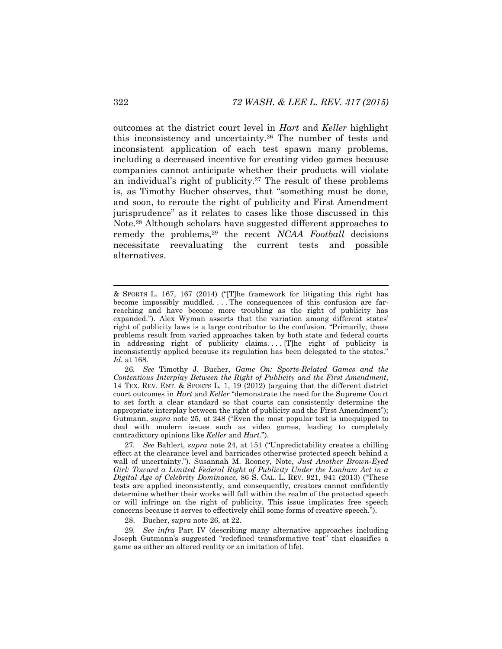<span id="page-6-1"></span><span id="page-6-0"></span>outcomes at the district court level in *Hart* and *Keller* highlight this inconsistency and uncertainty.<sup>26</sup> The number of tests and inconsistent application of each test spawn many problems, including a decreased incentive for creating video games because companies cannot anticipate whether their products will violate an individual's right of publicity.<sup>27</sup> The result of these problems is, as Timothy Bucher observes, that "something must be done, and soon, to reroute the right of publicity and First Amendment jurisprudence" as it relates to cases like those discussed in this Note.<sup>28</sup> Although scholars have suggested different approaches to remedy the problems,<sup>29</sup> the recent *NCAA Football* decisions necessitate reevaluating the current tests and possible alternatives.

<sup>&</sup>amp; SPORTS L. 167, 167 (2014) ("[T]he framework for litigating this right has become impossibly muddled. . . . The consequences of this confusion are farreaching and have become more troubling as the right of publicity has expanded."). Alex Wyman asserts that the variation among different states' right of publicity laws is a large contributor to the confusion. "Primarily, these problems result from varied approaches taken by both state and federal courts in addressing right of publicity claims. . . . [T]he right of publicity is inconsistently applied because its regulation has been delegated to the states." *Id.* at 168.

<sup>26</sup>*. See* Timothy J. Bucher, *Game On: Sports-Related Games and the Contentious Interplay Between the Right of Publicity and the First Amendment*, 14 TEX. REV. ENT. & SPORTS L. 1, 19 (2012) (arguing that the different district court outcomes in *Hart* and *Keller* "demonstrate the need for the Supreme Court to set forth a clear standard so that courts can consistently determine the appropriate interplay between the right of publicity and the First Amendment"); Gutmann, *supra* note [25](#page-5-1), at 248 ("Even the most popular test is unequipped to deal with modern issues such as video games, leading to completely contradictory opinions like *Keller* and *Hart*.").

<sup>27</sup>*. See* Bahlert, *supra* note [24](#page-5-0), at 151 ("Unpredictability creates a chilling effect at the clearance level and barricades otherwise protected speech behind a wall of uncertainty."). Susannah M. Rooney, Note, *Just Another Brown-Eyed Girl: Toward a Limited Federal Right of Publicity Under the Lanham Act in a Digital Age of Celebrity Dominance*, 86 S. CAL. L. REV. 921, 941 (2013) ("These tests are applied inconsistently, and consequently, creators cannot confidently determine whether their works will fall within the realm of the protected speech or will infringe on the right of publicity. This issue implicates free speech concerns because it serves to effectively chill some forms of creative speech.").

<sup>28.</sup> Bucher, *supra* note [26,](#page-6-0) at 22.

<sup>29</sup>*. See infra* Part IV (describing many alternative approaches including Joseph Gutmann's suggested "redefined transformative test" that classifies a game as either an altered reality or an imitation of life).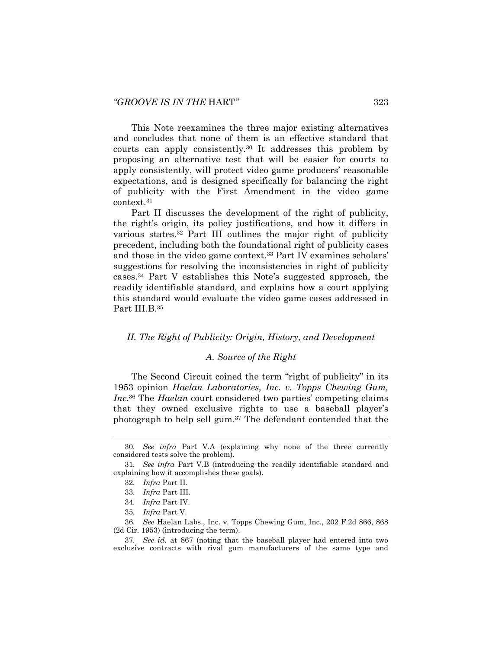This Note reexamines the three major existing alternatives and concludes that none of them is an effective standard that courts can apply consistently.<sup>30</sup> It addresses this problem by proposing an alternative test that will be easier for courts to apply consistently, will protect video game producers' reasonable expectations, and is designed specifically for balancing the right of publicity with the First Amendment in the video game context.<sup>31</sup>

Part II discusses the development of the right of publicity, the right's origin, its policy justifications, and how it differs in various states.<sup>32</sup> Part III outlines the major right of publicity precedent, including both the foundational right of publicity cases and those in the video game context.<sup>33</sup> Part IV examines scholars' suggestions for resolving the inconsistencies in right of publicity cases.<sup>34</sup> Part V establishes this Note's suggested approach, the readily identifiable standard, and explains how a court applying this standard would evaluate the video game cases addressed in Part III.B.<sup>35</sup>

# *II. The Right of Publicity: Origin, History, and Development*

### *A. Source of the Right*

The Second Circuit coined the term "right of publicity" in its 1953 opinion *Haelan Laboratories, Inc. v. Topps Chewing Gum, Inc*. <sup>36</sup> The *Haelan* court considered two parties' competing claims that they owned exclusive rights to use a baseball player's photograph to help sell gum.<sup>37</sup> The defendant contended that the

<sup>30</sup>*. See infra* Part V.A (explaining why none of the three currently considered tests solve the problem).

<sup>31</sup>*. See infra* Part V.B (introducing the readily identifiable standard and explaining how it accomplishes these goals).

<sup>32</sup>*. Infra* Part II.

<sup>33</sup>*. Infra* Part III.

<sup>34</sup>*. Infra* Part IV.

<sup>35</sup>*. Infra* Part V.

<sup>36</sup>*. See* Haelan Labs., Inc. v. Topps Chewing Gum, Inc., 202 F.2d 866, 868 (2d Cir. 1953) (introducing the term).

<sup>37</sup>*. See id.* at 867 (noting that the baseball player had entered into two exclusive contracts with rival gum manufacturers of the same type and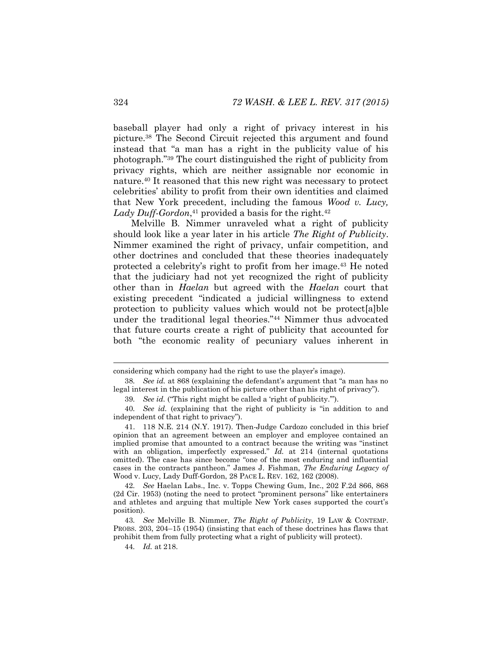baseball player had only a right of privacy interest in his picture.<sup>38</sup> The Second Circuit rejected this argument and found instead that "a man has a right in the publicity value of his photograph."<sup>39</sup> The court distinguished the right of publicity from privacy rights, which are neither assignable nor economic in nature.<sup>40</sup> It reasoned that this new right was necessary to protect celebrities' ability to profit from their own identities and claimed that New York precedent, including the famous *Wood v. Lucy,*  Lady Duff-Gordon,<sup>41</sup> provided a basis for the right.<sup>42</sup>

<span id="page-8-0"></span>Melville B. Nimmer unraveled what a right of publicity should look like a year later in his article *The Right of Publicity*. Nimmer examined the right of privacy, unfair competition, and other doctrines and concluded that these theories inadequately protected a celebrity's right to profit from her image.<sup>43</sup> He noted that the judiciary had not yet recognized the right of publicity other than in *Haelan* but agreed with the *Haelan* court that existing precedent "indicated a judicial willingness to extend protection to publicity values which would not be protect[a]ble under the traditional legal theories."<sup>44</sup> Nimmer thus advocated that future courts create a right of publicity that accounted for both "the economic reality of pecuniary values inherent in

39*. See id.* ("This right might be called a 'right of publicity.'").

considering which company had the right to use the player's image).

<sup>38</sup>*. See id.* at 868 (explaining the defendant's argument that "a man has no legal interest in the publication of his picture other than his right of privacy").

<sup>40</sup>*. See id.* (explaining that the right of publicity is "in addition to and independent of that right to privacy").

<sup>41.</sup> 118 N.E. 214 (N.Y. 1917). Then-Judge Cardozo concluded in this brief opinion that an agreement between an employer and employee contained an implied promise that amounted to a contract because the writing was "instinct with an obligation, imperfectly expressed." *Id.* at 214 (internal quotations omitted). The case has since become "one of the most enduring and influential cases in the contracts pantheon." James J. Fishman, *The Enduring Legacy of*  Wood v. Lucy, Lady Duff-Gordon, 28 PACE L. REV. 162, 162 (2008).

<sup>42</sup>*. See* Haelan Labs., Inc. v. Topps Chewing Gum, Inc., 202 F.2d 866, 868 (2d Cir. 1953) (noting the need to protect "prominent persons" like entertainers and athletes and arguing that multiple New York cases supported the court's position).

<sup>43</sup>*. See* Melville B. Nimmer, *The Right of Publicity*, 19 LAW & CONTEMP. PROBS. 203, 204–15 (1954) (insisting that each of these doctrines has flaws that prohibit them from fully protecting what a right of publicity will protect).

<sup>44</sup>*. Id.* at 218.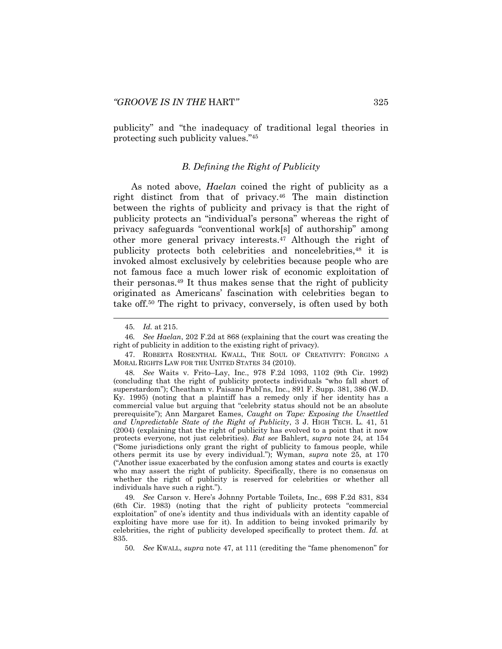publicity" and "the inadequacy of traditional legal theories in protecting such publicity values."<sup>45</sup>

# <span id="page-9-1"></span><span id="page-9-0"></span>*B. Defining the Right of Publicity*

As noted above, *Haelan* coined the right of publicity as a right distinct from that of privacy.<sup>46</sup> The main distinction between the rights of publicity and privacy is that the right of publicity protects an "individual's persona" whereas the right of privacy safeguards "conventional work[s] of authorship" among other more general privacy interests.<sup>47</sup> Although the right of publicity protects both celebrities and noncelebrities, <sup>48</sup> it is invoked almost exclusively by celebrities because people who are not famous face a much lower risk of economic exploitation of their personas.<sup>49</sup> It thus makes sense that the right of publicity originated as Americans' fascination with celebrities began to take off.<sup>50</sup> The right to privacy, conversely, is often used by both

48*. See* Waits v. Frito–Lay, Inc., 978 F.2d 1093, 1102 (9th Cir. 1992) (concluding that the right of publicity protects individuals "who fall short of superstardom"); Cheatham v. Paisano Publ'ns, Inc., 891 F. Supp. 381, 386 (W.D. Ky. 1995) (noting that a plaintiff has a remedy only if her identity has a commercial value but arguing that "celebrity status should not be an absolute prerequisite"); Ann Margaret Eames, *Caught on Tape: Exposing the Unsettled and Unpredictable State of the Right of Publicity*, 3 J. HIGH TECH. L. 41, 51 (2004) (explaining that the right of publicity has evolved to a point that it now protects everyone, not just celebrities). *But see* Bahlert, *supra* note [24,](#page-5-0) at 154 ("Some jurisdictions only grant the right of publicity to famous people, while others permit its use by every individual."); Wyman, *supra* note [25,](#page-5-1) at 170 ("Another issue exacerbated by the confusion among states and courts is exactly who may assert the right of publicity. Specifically, there is no consensus on whether the right of publicity is reserved for celebrities or whether all individuals have such a right.").

49*. See* Carson v. Here's Johnny Portable Toilets, Inc., 698 F.2d 831, 834 (6th Cir. 1983) (noting that the right of publicity protects "commercial exploitation" of one's identity and thus individuals with an identity capable of exploiting have more use for it). In addition to being invoked primarily by celebrities, the right of publicity developed specifically to protect them. *Id.* at 835.

50*. See* KWALL, *supra* note [47](#page-9-0), at 111 (crediting the "fame phenomenon" for

<span id="page-9-2"></span><sup>45</sup>*. Id.* at 215.

<sup>46</sup>*. See Haelan*, 202 F.2d at 868 (explaining that the court was creating the right of publicity in addition to the existing right of privacy).

<sup>47.</sup> ROBERTA ROSENTHAL KWALL, THE SOUL OF CREATIVITY: FORGING A MORAL RIGHTS LAW FOR THE UNITED STATES 34 (2010).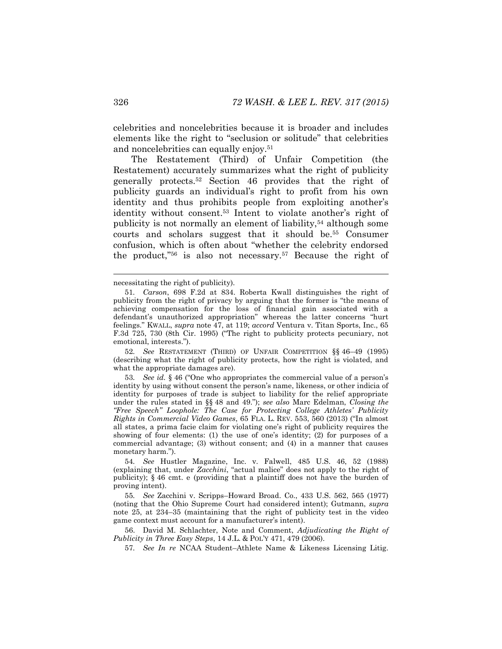celebrities and noncelebrities because it is broader and includes elements like the right to "seclusion or solitude" that celebrities and noncelebrities can equally enjoy.<sup>51</sup>

<span id="page-10-0"></span>The Restatement (Third) of Unfair Competition (the Restatement) accurately summarizes what the right of publicity generally protects.<sup>52</sup> Section 46 provides that the right of publicity guards an individual's right to profit from his own identity and thus prohibits people from exploiting another's identity without consent.<sup>53</sup> Intent to violate another's right of publicity is not normally an element of liability,<sup>54</sup> although some courts and scholars suggest that it should be.<sup>55</sup> Consumer confusion, which is often about "whether the celebrity endorsed the product,"<sup>56</sup> is also not necessary.<sup>57</sup> Because the right of

52*. See* RESTATEMENT (THIRD) OF UNFAIR COMPETITION §§ 46–49 (1995) (describing what the right of publicity protects, how the right is violated, and what the appropriate damages are).

53*. See id.* § 46 ("One who appropriates the commercial value of a person's identity by using without consent the person's name, likeness, or other indicia of identity for purposes of trade is subject to liability for the relief appropriate under the rules stated in §§ 48 and 49."); *see also* Marc Edelman, *Closing the "Free Speech" Loophole: The Case for Protecting College Athletes' Publicity Rights in Commercial Video Games*, 65 FLA. L. REV. 553, 560 (2013) ("In almost all states, a prima facie claim for violating one's right of publicity requires the showing of four elements: (1) the use of one's identity; (2) for purposes of a commercial advantage; (3) without consent; and (4) in a manner that causes monetary harm.").

54*. See* Hustler Magazine, Inc. v. Falwell, 485 U.S. 46, 52 (1988) (explaining that, under *Zacchini*, "actual malice" does not apply to the right of publicity); § 46 cmt. e (providing that a plaintiff does not have the burden of proving intent).

55*. See* Zacchini v. Scripps–Howard Broad. Co., 433 U.S. 562, 565 (1977) (noting that the Ohio Supreme Court had considered intent); Gutmann, *supra* note [25,](#page-5-1) at 234–35 (maintaining that the right of publicity test in the video game context must account for a manufacturer's intent).

56. David M. Schlachter, Note and Comment, *Adjudicating the Right of Publicity in Three Easy Steps*, 14 J.L. & POL'Y 471, 479 (2006).

57*. See In re* NCAA Student–Athlete Name & Likeness Licensing Litig.

necessitating the right of publicity).

<sup>51</sup>*. Carson*, 698 F.2d at 834. Roberta Kwall distinguishes the right of publicity from the right of privacy by arguing that the former is "the means of achieving compensation for the loss of financial gain associated with a defendant's unauthorized appropriation" whereas the latter concerns "hurt feelings." KWALL, *supra* note [47,](#page-9-0) at 119; *accord* Ventura v. Titan Sports, Inc., 65 F.3d 725, 730 (8th Cir. 1995) ("The right to publicity protects pecuniary, not emotional, interests.").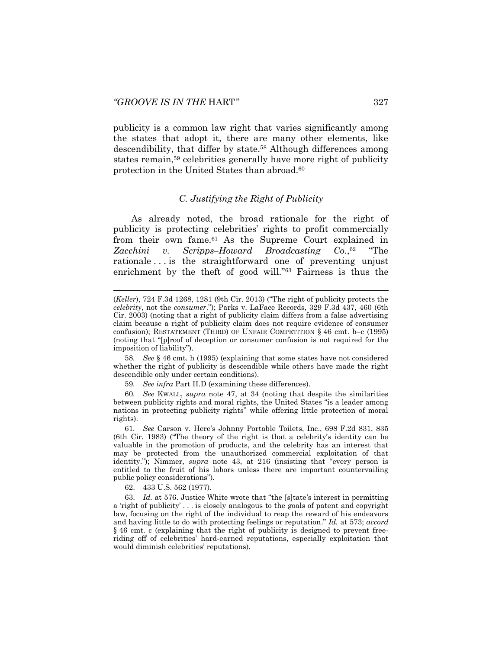publicity is a common law right that varies significantly among the states that adopt it, there are many other elements, like descendibility, that differ by state.<sup>58</sup> Although differences among states remain,<sup>59</sup> celebrities generally have more right of publicity protection in the United States than abroad.<sup>60</sup>

# *C. Justifying the Right of Publicity*

As already noted, the broad rationale for the right of publicity is protecting celebrities' rights to profit commercially from their own fame.<sup>61</sup> As the Supreme Court explained in *Zacchini v. Scripps–Howard Broadcasting*  $Co.,<sup>62</sup>$  "The rationale . . . is the straightforward one of preventing unjust enrichment by the theft of good will."<sup>63</sup> Fairness is thus the

58*. See* § 46 cmt. h (1995) (explaining that some states have not considered whether the right of publicity is descendible while others have made the right descendible only under certain conditions).

59*. See infra* Part II.D (examining these differences).

60*. See* KWALL, *supra* note [47,](#page-9-0) at 34 (noting that despite the similarities between publicity rights and moral rights, the United States "is a leader among nations in protecting publicity rights" while offering little protection of moral rights).

61*. See* Carson v. Here's Johnny Portable Toilets, Inc., 698 F.2d 831, 835 (6th Cir. 1983) ("The theory of the right is that a celebrity's identity can be valuable in the promotion of products, and the celebrity has an interest that may be protected from the unauthorized commercial exploitation of that identity."); Nimmer, *supra* note [43](#page-8-0), at 216 (insisting that "every person is entitled to the fruit of his labors unless there are important countervailing public policy considerations").

62. 433 U.S. 562 (1977).

l

63. *Id.* at 576. Justice White wrote that "the [s]tate's interest in permitting a 'right of publicity' . . . is closely analogous to the goals of patent and copyright law, focusing on the right of the individual to reap the reward of his endeavors and having little to do with protecting feelings or reputation." *Id.* at 573; *accord*  § 46 cmt. c (explaining that the right of publicity is designed to prevent freeriding off of celebrities' hard-earned reputations, especially exploitation that would diminish celebrities' reputations).

<sup>(</sup>*Keller*), 724 F.3d 1268, 1281 (9th Cir. 2013) ("The right of publicity protects the *celebrity*, not the *consumer*."); Parks v. LaFace Records, 329 F.3d 437, 460 (6th Cir. 2003) (noting that a right of publicity claim differs from a false advertising claim because a right of publicity claim does not require evidence of consumer confusion); RESTATEMENT (THIRD) OF UNFAIR COMPETITION  $\S$  46 cmt. b–c (1995) (noting that "[p]roof of deception or consumer confusion is not required for the imposition of liability").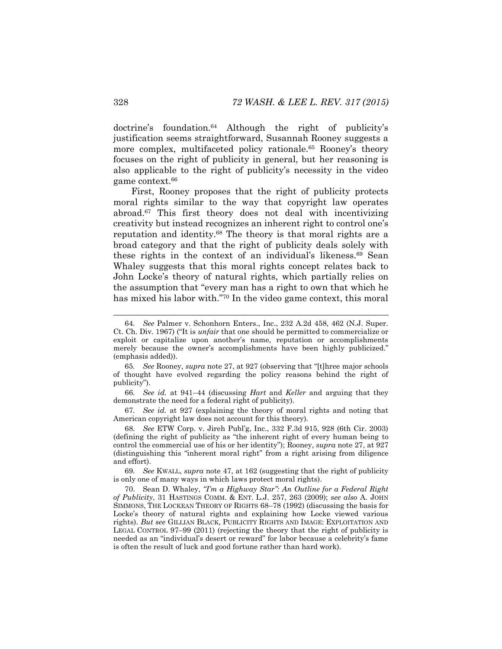doctrine's foundation.<sup>64</sup> Although the right of publicity's justification seems straightforward, Susannah Rooney suggests a more complex, multifaceted policy rationale.<sup>65</sup> Rooney's theory focuses on the right of publicity in general, but her reasoning is also applicable to the right of publicity's necessity in the video game context.<sup>66</sup>

First, Rooney proposes that the right of publicity protects moral rights similar to the way that copyright law operates abroad.<sup>67</sup> This first theory does not deal with incentivizing creativity but instead recognizes an inherent right to control one's reputation and identity.<sup>68</sup> The theory is that moral rights are a broad category and that the right of publicity deals solely with these rights in the context of an individual's likeness.<sup>69</sup> Sean Whaley suggests that this moral rights concept relates back to John Locke's theory of natural rights, which partially relies on the assumption that "every man has a right to own that which he has mixed his labor with."<sup>70</sup> In the video game context, this moral

<span id="page-12-0"></span><sup>64</sup>*. See* Palmer v. Schonhorn Enters., Inc., 232 A.2d 458, 462 (N.J. Super. Ct. Ch. Div. 1967) ("It is *unfair* that one should be permitted to commercialize or exploit or capitalize upon another's name, reputation or accomplishments merely because the owner's accomplishments have been highly publicized." (emphasis added)).

<sup>65</sup>*. See* Rooney, *supra* note [27](#page-6-1), at 927 (observing that "[t]hree major schools of thought have evolved regarding the policy reasons behind the right of publicity").

<sup>66</sup>*. See id.* at 941–44 (discussing *Hart* and *Keller* and arguing that they demonstrate the need for a federal right of publicity).

<sup>67</sup>*. See id.* at 927 (explaining the theory of moral rights and noting that American copyright law does not account for this theory).

<sup>68</sup>*. See* ETW Corp. v. Jireh Publ'g, Inc., 332 F.3d 915, 928 (6th Cir. 2003) (defining the right of publicity as "the inherent right of every human being to control the commercial use of his or her identity"); Rooney, *supra* not[e 27,](#page-6-1) at 927 (distinguishing this "inherent moral right" from a right arising from diligence and effort).

<sup>69</sup>*. See* KWALL, *supra* note [47,](#page-9-0) at 162 (suggesting that the right of publicity is only one of many ways in which laws protect moral rights).

<sup>70.</sup> Sean D. Whaley, *"I'm a Highway Star": An Outline for a Federal Right of Publicity*, 31 HASTINGS COMM. & ENT. L.J. 257, 263 (2009); s*ee also* A. JOHN SIMMONS, THE LOCKEAN THEORY OF RIGHTS 68–78 (1992) (discussing the basis for Locke's theory of natural rights and explaining how Locke viewed various rights). *But see* GILLIAN BLACK, PUBLICITY RIGHTS AND IMAGE: EXPLOITATION AND LEGAL CONTROL 97–99 (2011) (rejecting the theory that the right of publicity is needed as an "individual's desert or reward" for labor because a celebrity's fame is often the result of luck and good fortune rather than hard work).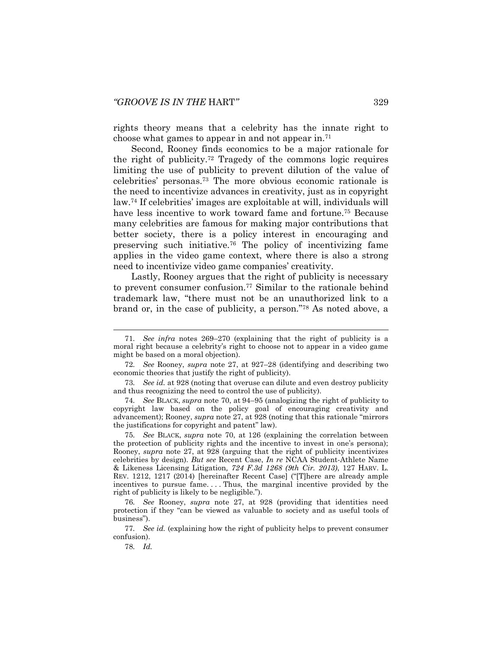rights theory means that a celebrity has the innate right to choose what games to appear in and not appear in.<sup>71</sup>

<span id="page-13-0"></span>Second, Rooney finds economics to be a major rationale for the right of publicity.<sup>72</sup> Tragedy of the commons logic requires limiting the use of publicity to prevent dilution of the value of celebrities' personas. <sup>73</sup> The more obvious economic rationale is the need to incentivize advances in creativity, just as in copyright law.<sup>74</sup> If celebrities' images are exploitable at will, individuals will have less incentive to work toward fame and fortune.<sup>75</sup> Because many celebrities are famous for making major contributions that better society, there is a policy interest in encouraging and preserving such initiative.<sup>76</sup> The policy of incentivizing fame applies in the video game context, where there is also a strong need to incentivize video game companies' creativity.

Lastly, Rooney argues that the right of publicity is necessary to prevent consumer confusion.<sup>77</sup> Similar to the rationale behind trademark law, "there must not be an unauthorized link to a brand or, in the case of publicity, a person."<sup>78</sup> As noted above, a

74*. See* BLACK, *supra* note [70,](#page-12-0) at 94–95 (analogizing the right of publicity to copyright law based on the policy goal of encouraging creativity and advancement); Rooney, *supra* note [27](#page-6-1), at 928 (noting that this rationale "mirrors the justifications for copyright and patent" law).

75*. See* BLACK, *supra* note [70,](#page-12-0) at 126 (explaining the correlation between the protection of publicity rights and the incentive to invest in one's persona); Rooney, *supra* note [27,](#page-6-1) at 928 (arguing that the right of publicity incentivizes celebrities by design). *But see* Recent Case, *In re* NCAA Student-Athlete Name & Likeness Licensing Litigation*, 724 F.3d 1268 (9th Cir. 2013)*, 127 HARV. L. REV. 1212, 1217 (2014) [hereinafter Recent Case] ("[T]here are already ample incentives to pursue fame. . . . Thus, the marginal incentive provided by the right of publicity is likely to be negligible.").

76*. See* Rooney, *supra* note [27,](#page-6-1) at 928 (providing that identities need protection if they "can be viewed as valuable to society and as useful tools of business").

77*. See id.* (explaining how the right of publicity helps to prevent consumer confusion).

78*. Id.*

<sup>71</sup>*. See infra* notes [269](#page-41-0)–[270](#page-41-1) (explaining that the right of publicity is a moral right because a celebrity's right to choose not to appear in a video game might be based on a moral objection).

<sup>72</sup>*. See* Rooney, *supra* note [27,](#page-6-1) at 927–28 (identifying and describing two economic theories that justify the right of publicity).

<sup>73</sup>*. See id.* at 928 (noting that overuse can dilute and even destroy publicity and thus recognizing the need to control the use of publicity).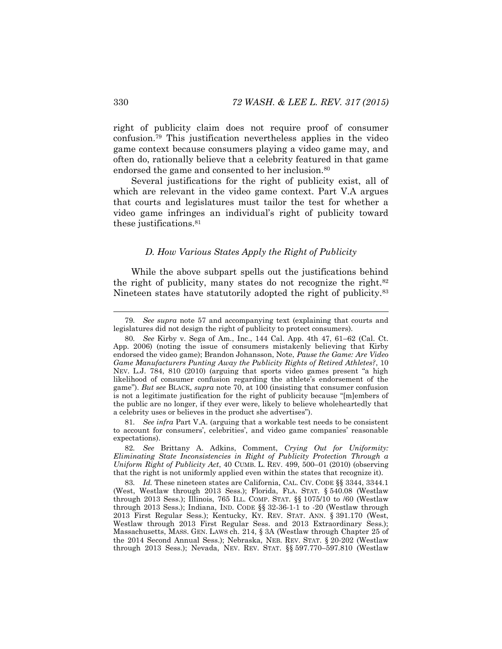right of publicity claim does not require proof of consumer confusion.<sup>79</sup> This justification nevertheless applies in the video game context because consumers playing a video game may, and often do, rationally believe that a celebrity featured in that game endorsed the game and consented to her inclusion.<sup>80</sup>

Several justifications for the right of publicity exist, all of which are relevant in the video game context. Part V.A argues that courts and legislatures must tailor the test for whether a video game infringes an individual's right of publicity toward these justifications.<sup>81</sup>

# <span id="page-14-2"></span><span id="page-14-1"></span><span id="page-14-0"></span>*D. How Various States Apply the Right of Publicity*

While the above subpart spells out the justifications behind the right of publicity, many states do not recognize the right.<sup>82</sup> Nineteen states have statutorily adopted the right of publicity.<sup>83</sup>

81*. See infra* Part V.A. (arguing that a workable test needs to be consistent to account for consumers', celebrities', and video game companies' reasonable expectations).

82*. See* Brittany A. Adkins, Comment, *Crying Out for Uniformity: Eliminating State Inconsistencies in Right of Publicity Protection Through a Uniform Right of Publicity Act*, 40 CUMB. L. REV. 499, 500–01 (2010) (observing that the right is not uniformly applied even within the states that recognize it).

83. *Id.* These nineteen states are California, CAL. CIV. CODE  $\S$ § 3344, 3344.1 (West, Westlaw through 2013 Sess.); Florida, FLA. STAT. § 540.08 (Westlaw through 2013 Sess.); Illinois, 765 ILL. COMP. STAT. §§ 1075/10 to /60 (Westlaw through 2013 Sess.); Indiana, IND. CODE §§ 32-36-1-1 to -20 (Westlaw through 2013 First Regular Sess.); Kentucky, KY. REV. STAT. ANN. § 391.170 (West, Westlaw through 2013 First Regular Sess. and 2013 Extraordinary Sess.); Massachusetts, MASS. GEN. LAWS ch. 214, § 3A (Westlaw through Chapter 25 of the 2014 Second Annual Sess.); Nebraska, NEB. REV. STAT. § 20-202 (Westlaw through 2013 Sess.); Nevada, NEV. REV. STAT. §§ 597.770–597.810 (Westlaw

<sup>79</sup>*. See supra* note 57 and accompanying text (explaining that courts and legislatures did not design the right of publicity to protect consumers).

<sup>80</sup>*. See* Kirby v. Sega of Am., Inc., 144 Cal. App. 4th 47, 61–62 (Cal. Ct. App. 2006) (noting the issue of consumers mistakenly believing that Kirby endorsed the video game); Brandon Johansson, Note, *Pause the Game: Are Video Game Manufacturers Punting Away the Publicity Rights of Retired Athletes?*, 10 NEV. L.J. 784, 810 (2010) (arguing that sports video games present "a high likelihood of consumer confusion regarding the athlete's endorsement of the game"). *But see* BLACK, *supra* note [70,](#page-12-0) at 100 (insisting that consumer confusion is not a legitimate justification for the right of publicity because "[m]embers of the public are no longer, if they ever were, likely to believe wholeheartedly that a celebrity uses or believes in the product she advertises").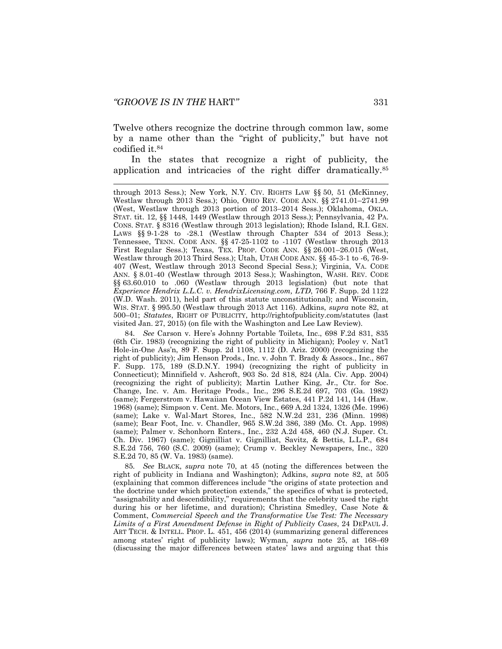<span id="page-15-1"></span>

Twelve others recognize the doctrine through common law, some by a name other than the "right of publicity," but have not codified it.<sup>84</sup>

<span id="page-15-0"></span>In the states that recognize a right of publicity, the application and intricacies of the right differ dramatically.<sup>85</sup>

84*. See* Carson v. Here's Johnny Portable Toilets, Inc., 698 F.2d 831, 835 (6th Cir. 1983) (recognizing the right of publicity in Michigan); Pooley v. Nat'l Hole-in-One Ass'n, 89 F. Supp. 2d 1108, 1112 (D. Ariz. 2000) (recognizing the right of publicity); Jim Henson Prods., Inc. v. John T. Brady & Assocs., Inc., 867 F. Supp. 175, 189 (S.D.N.Y. 1994) (recognizing the right of publicity in Connecticut); Minnifield v. Ashcroft, 903 So. 2d 818, 824 (Ala. Civ. App. 2004) (recognizing the right of publicity); Martin Luther King, Jr., Ctr. for Soc. Change, Inc. v. Am. Heritage Prods., Inc., 296 S.E.2d 697, 703 (Ga. 1982) (same); Fergerstrom v. Hawaiian Ocean View Estates, 441 P.2d 141, 144 (Haw. 1968) (same); Simpson v. Cent. Me. Motors, Inc., 669 A.2d 1324, 1326 (Me. 1996) (same); Lake v. Wal-Mart Stores, Inc., 582 N.W.2d 231, 236 (Minn. 1998) (same); Bear Foot, Inc. v. Chandler, 965 S.W.2d 386, 389 (Mo. Ct. App. 1998) (same); Palmer v. Schonhorn Enters., Inc., 232 A.2d 458, 460 (N.J. Super. Ct. Ch. Div. 1967) (same); Gignilliat v. Gignilliat, Savitz, & Bettis, L.L.P., 684 S.E.2d 756, 760 (S.C. 2009) (same); Crump v. Beckley Newspapers, Inc., 320 S.E.2d 70, 85 (W. Va. 1983) (same).

85*. See* BLACK, *supra* note [70,](#page-12-0) at 45 (noting the differences between the right of publicity in Indiana and Washington); Adkins, *supra* note [82,](#page-14-1) at 505 (explaining that common differences include "the origins of state protection and the doctrine under which protection extends," the specifics of what is protected, "assignability and descendibility," requirements that the celebrity used the right during his or her lifetime, and duration); Christina Smedley, Case Note & Comment, *Commercial Speech and the Transformative Use Test: The Necessary Limits of a First Amendment Defense in Right of Publicity Cases*, 24 DEPAUL J. ART TECH. & INTELL. PROP. L. 451, 456 (2014) (summarizing general differences among states' right of publicity laws); Wyman, *supra* note [25,](#page-5-1) at 168–69 (discussing the major differences between states' laws and arguing that this

through 2013 Sess.); New York, N.Y. CIV. RIGHTS LAW §§ 50, 51 (McKinney, Westlaw through 2013 Sess.); Ohio, OHIO REV. CODE ANN. §§ 2741.01–2741.99 (West, Westlaw through 2013 portion of 2013–2014 Sess.); Oklahoma, OKLA. STAT. tit. 12, §§ 1448, 1449 (Westlaw through 2013 Sess.); Pennsylvania, 42 PA. CONS. STAT. § 8316 (Westlaw through 2013 legislation); Rhode Island, R.I. GEN. LAWS §§ 9-1-28 to -28.1 (Westlaw through Chapter 534 of 2013 Sess.); Tennessee, TENN. CODE ANN. §§ 47-25-1102 to -1107 (Westlaw through 2013 First Regular Sess.); Texas, TEX. PROP. CODE ANN. §§ 26.001–26.015 (West, Westlaw through 2013 Third Sess.); Utah, UTAH CODE ANN. §§ 45-3-1 to -6, 76-9- 407 (West, Westlaw through 2013 Second Special Sess.); Virginia, VA. CODE ANN. § 8.01-40 (Westlaw through 2013 Sess.); Washington, WASH. REV. CODE §§ 63.60.010 to .060 (Westlaw through 2013 legislation) (but note that *Experience Hendrix L.L.C. v. HendrixLicensing.com, LTD*, 766 F. Supp. 2d 1122 (W.D. Wash. 2011), held part of this statute unconstitutional); and Wisconsin, WIS. STAT. § 995.50 (Westlaw through 2013 Act 116). Adkins, *supra* note [82,](#page-14-1) at 500–01; *Statutes*, RIGHT OF PUBLICITY, http://rightofpublicity.com/statutes (last visited Jan. 27, 2015) (on file with the Washington and Lee Law Review).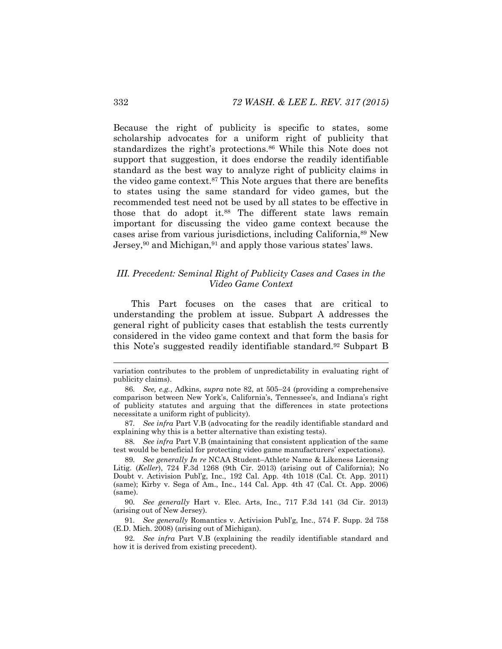Because the right of publicity is specific to states, some scholarship advocates for a uniform right of publicity that standardizes the right's protections.<sup>86</sup> While this Note does not support that suggestion, it does endorse the readily identifiable standard as the best way to analyze right of publicity claims in the video game context.<sup>87</sup> This Note argues that there are benefits to states using the same standard for video games, but the recommended test need not be used by all states to be effective in those that do adopt it.<sup>88</sup> The different state laws remain important for discussing the video game context because the cases arise from various jurisdictions, including California,<sup>89</sup> New Jersey,<sup>90</sup> and Michigan,<sup>91</sup> and apply those various states' laws.

# <span id="page-16-0"></span>*III. Precedent: Seminal Right of Publicity Cases and Cases in the Video Game Context*

This Part focuses on the cases that are critical to understanding the problem at issue. Subpart A addresses the general right of publicity cases that establish the tests currently considered in the video game context and that form the basis for this Note's suggested readily identifiable standard.<sup>92</sup> Subpart B

88*. See infra* Part V.B (maintaining that consistent application of the same test would be beneficial for protecting video game manufacturers' expectations).

variation contributes to the problem of unpredictability in evaluating right of publicity claims).

<sup>86</sup>*. See, e.g.*, Adkins, *supra* note [82,](#page-14-1) at 505–24 (providing a comprehensive comparison between New York's, California's, Tennessee's, and Indiana's right of publicity statutes and arguing that the differences in state protections necessitate a uniform right of publicity).

<sup>87</sup>*. See infra* Part V.B (advocating for the readily identifiable standard and explaining why this is a better alternative than existing tests).

<sup>89</sup>*. See generally In re* NCAA Student–Athlete Name & Likeness Licensing Litig. (*Keller*), 724 F.3d 1268 (9th Cir. 2013) (arising out of California); No Doubt v. Activision Publ'g, Inc., 192 Cal. App. 4th 1018 (Cal. Ct. App. 2011) (same); Kirby v. Sega of Am., Inc., 144 Cal. App. 4th 47 (Cal. Ct. App. 2006) (same).

<sup>90</sup>*. See generally* Hart v. Elec. Arts, Inc., 717 F.3d 141 (3d Cir. 2013) (arising out of New Jersey).

<sup>91</sup>*. See generally* Romantics v. Activision Publ'g, Inc., 574 F. Supp. 2d 758 (E.D. Mich. 2008) (arising out of Michigan).

<sup>92</sup>*. See infra* Part V.B (explaining the readily identifiable standard and how it is derived from existing precedent).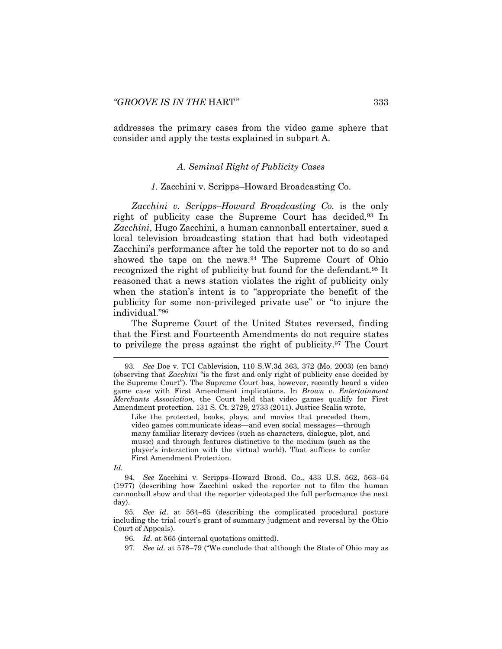addresses the primary cases from the video game sphere that consider and apply the tests explained in subpart A.

# <span id="page-17-0"></span>*A. Seminal Right of Publicity Cases*

#### *1.* Zacchini v. Scripps–Howard Broadcasting Co.

*Zacchini v. Scripps–Howard Broadcasting Co.* is the only right of publicity case the Supreme Court has decided.<sup>93</sup> In *Zacchini*, Hugo Zacchini, a human cannonball entertainer, sued a local television broadcasting station that had both videotaped Zacchini's performance after he told the reporter not to do so and showed the tape on the news.<sup>94</sup> The Supreme Court of Ohio recognized the right of publicity but found for the defendant.<sup>95</sup> It reasoned that a news station violates the right of publicity only when the station's intent is to "appropriate the benefit of the publicity for some non-privileged private use" or "to injure the individual."<sup>96</sup>

The Supreme Court of the United States reversed, finding that the First and Fourteenth Amendments do not require states to privilege the press against the right of publicity.<sup>97</sup> The Court

Like the protected, books, plays, and movies that preceded them, video games communicate ideas—and even social messages—through many familiar literary devices (such as characters, dialogue, plot, and music) and through features distinctive to the medium (such as the player's interaction with the virtual world). That suffices to confer First Amendment Protection.

*Id.*

94*. See* Zacchini v. Scripps–Howard Broad. Co., 433 U.S. 562, 563–64 (1977) (describing how Zacchini asked the reporter not to film the human cannonball show and that the reporter videotaped the full performance the next day).

95*. See id.* at 564–65 (describing the complicated procedural posture including the trial court's grant of summary judgment and reversal by the Ohio Court of Appeals).

96*. Id.* at 565 (internal quotations omitted).

97*. See id.* at 578–79 ("We conclude that although the State of Ohio may as

<sup>93</sup>*. See* Doe v. TCI Cablevision, 110 S.W.3d 363, 372 (Mo. 2003) (en banc) (observing that *Zacchini* "is the first and only right of publicity case decided by the Supreme Court"). The Supreme Court has, however, recently heard a video game case with First Amendment implications. In *Brown v. Entertainment Merchants Association*, the Court held that video games qualify for First Amendment protection. 131 S. Ct. 2729, 2733 (2011). Justice Scalia wrote,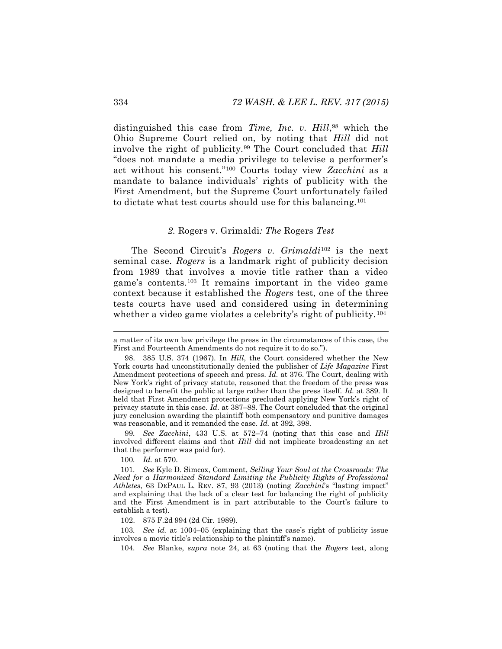distinguished this case from *Time, Inc. v. Hill*, <sup>98</sup> which the Ohio Supreme Court relied on, by noting that *Hill* did not involve the right of publicity.<sup>99</sup> The Court concluded that *Hill* "does not mandate a media privilege to televise a performer's act without his consent."<sup>100</sup> Courts today view *Zacchini* as a mandate to balance individuals' rights of publicity with the First Amendment, but the Supreme Court unfortunately failed to dictate what test courts should use for this balancing.<sup>101</sup>

#### <span id="page-18-0"></span>*2.* Rogers v. Grimaldi*: The* Rogers *Test*

The Second Circuit's *Rogers v. Grimaldi*<sup>102</sup> is the next seminal case. *Rogers* is a landmark right of publicity decision from 1989 that involves a movie title rather than a video game's contents.<sup>103</sup> It remains important in the video game context because it established the *Rogers* test, one of the three tests courts have used and considered using in determining whether a video game violates a celebrity's right of publicity.<sup>104</sup>

99*. See Zacchini*, 433 U.S. at 572–74 (noting that this case and *Hill* involved different claims and that *Hill* did not implicate broadcasting an act that the performer was paid for).

100*. Id.* at 570.

102. 875 F.2d 994 (2d Cir. 1989).

103*. See id.* at 1004–05 (explaining that the case's right of publicity issue involves a movie title's relationship to the plaintiff's name).

104*. See* Blanke, *supra* note [24,](#page-5-0) at 63 (noting that the *Rogers* test, along

a matter of its own law privilege the press in the circumstances of this case, the First and Fourteenth Amendments do not require it to do so.").

<sup>98.</sup> 385 U.S. 374 (1967). In *Hill*, the Court considered whether the New York courts had unconstitutionally denied the publisher of *Life Magazine* First Amendment protections of speech and press. *Id.* at 376. The Court, dealing with New York's right of privacy statute, reasoned that the freedom of the press was designed to benefit the public at large rather than the press itself. *Id.* at 389. It held that First Amendment protections precluded applying New York's right of privacy statute in this case. *Id.* at 387–88. The Court concluded that the original jury conclusion awarding the plaintiff both compensatory and punitive damages was reasonable, and it remanded the case. *Id.* at 392, 398.

<sup>101</sup>*. See* Kyle D. Simcox, Comment, *Selling Your Soul at the Crossroads: The Need for a Harmonized Standard Limiting the Publicity Rights of Professional Athletes*, 63 DEPAUL L. REV. 87, 93 (2013) (noting *Zacchini*'s "lasting impact" and explaining that the lack of a clear test for balancing the right of publicity and the First Amendment is in part attributable to the Court's failure to establish a test).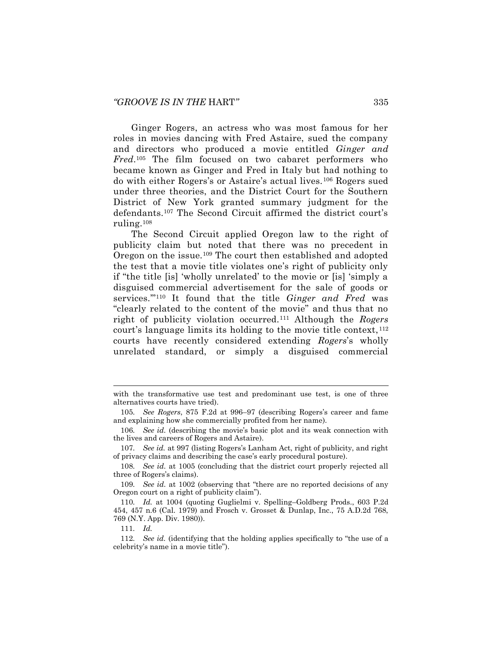<span id="page-19-1"></span>Ginger Rogers, an actress who was most famous for her roles in movies dancing with Fred Astaire, sued the company and directors who produced a movie entitled *Ginger and Fred*. <sup>105</sup> The film focused on two cabaret performers who became known as Ginger and Fred in Italy but had nothing to do with either Rogers's or Astaire's actual lives.<sup>106</sup> Rogers sued under three theories, and the District Court for the Southern District of New York granted summary judgment for the defendants.<sup>107</sup> The Second Circuit affirmed the district court's ruling.<sup>108</sup>

The Second Circuit applied Oregon law to the right of publicity claim but noted that there was no precedent in Oregon on the issue.<sup>109</sup> The court then established and adopted the test that a movie title violates one's right of publicity only if "the title [is] 'wholly unrelated' to the movie or [is] 'simply a disguised commercial advertisement for the sale of goods or services.'"<sup>110</sup> It found that the title *Ginger and Fred* was "clearly related to the content of the movie" and thus that no right of publicity violation occurred.<sup>111</sup> Although the *Rogers* court's language limits its holding to the movie title context, <sup>112</sup> courts have recently considered extending *Rogers*'s wholly unrelated standard, or simply a disguised commercial

<span id="page-19-0"></span>with the transformative use test and predominant use test, is one of three alternatives courts have tried).

<sup>105</sup>*. See Rogers*, 875 F.2d at 996–97 (describing Rogers's career and fame and explaining how she commercially profited from her name).

<sup>106</sup>*. See id.* (describing the movie's basic plot and its weak connection with the lives and careers of Rogers and Astaire).

<sup>107</sup>*. See id.* at 997 (listing Rogers's Lanham Act, right of publicity, and right of privacy claims and describing the case's early procedural posture).

<sup>108</sup>*. See id.* at 1005 (concluding that the district court properly rejected all three of Rogers's claims).

<sup>109</sup>*. See id.* at 1002 (observing that "there are no reported decisions of any Oregon court on a right of publicity claim").

<sup>110</sup>*. Id.* at 1004 (quoting Guglielmi v. Spelling–Goldberg Prods., 603 P.2d 454, 457 n.6 (Cal. 1979) and Frosch v. Grosset & Dunlap, Inc., 75 A.D.2d 768, 769 (N.Y. App. Div. 1980)).

<sup>111</sup>*. Id.*

<sup>112</sup>*. See id.* (identifying that the holding applies specifically to "the use of a celebrity's name in a movie title").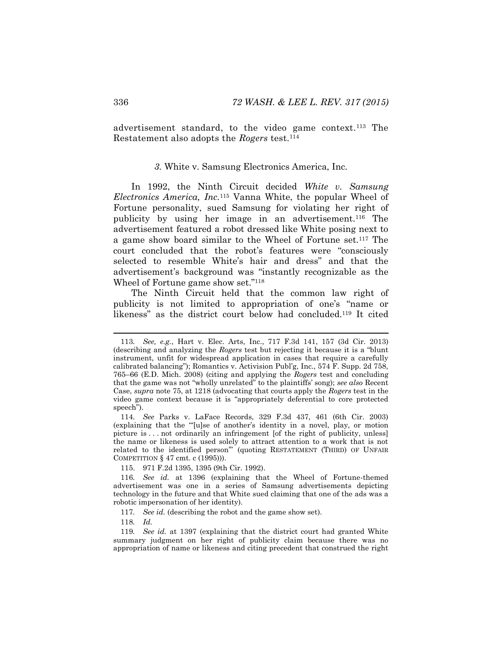advertisement standard, to the video game context.<sup>113</sup> The Restatement also adopts the *Rogers* test.<sup>114</sup>

### *3.* White v. Samsung Electronics America, Inc.

In 1992, the Ninth Circuit decided *White v. Samsung Electronics America, Inc.*<sup>115</sup> Vanna White, the popular Wheel of Fortune personality, sued Samsung for violating her right of publicity by using her image in an advertisement.<sup>116</sup> The advertisement featured a robot dressed like White posing next to a game show board similar to the Wheel of Fortune set.<sup>117</sup> The court concluded that the robot's features were "consciously selected to resemble White's hair and dress" and that the advertisement's background was "instantly recognizable as the Wheel of Fortune game show set."<sup>118</sup>

<span id="page-20-0"></span>The Ninth Circuit held that the common law right of publicity is not limited to appropriation of one's "name or likeness" as the district court below had concluded.<sup>119</sup> It cited

115. 971 F.2d 1395, 1395 (9th Cir. 1992).

<sup>113</sup>*. See, e.g.*, Hart v. Elec. Arts, Inc., 717 F.3d 141, 157 (3d Cir. 2013) (describing and analyzing the *Rogers* test but rejecting it because it is a "blunt instrument, unfit for widespread application in cases that require a carefully calibrated balancing"); Romantics v. Activision Publ'g, Inc., 574 F. Supp. 2d 758, 765–66 (E.D. Mich. 2008) (citing and applying the *Rogers* test and concluding that the game was not "wholly unrelated" to the plaintiffs' song); *see also* Recent Case, *supra* not[e 75,](#page-13-0) at 1218 (advocating that courts apply the *Rogers* test in the video game context because it is "appropriately deferential to core protected speech").

<sup>114</sup>*. See* Parks v. LaFace Records, 329 F.3d 437, 461 (6th Cir. 2003) (explaining that the "'[u]se of another's identity in a novel, play, or motion picture is . . . not ordinarily an infringement [of the right of publicity, unless] the name or likeness is used solely to attract attention to a work that is not related to the identified person'" (quoting RESTATEMENT (THIRD) OF UNFAIR COMPETITION § 47 cmt. c (1995))).

<sup>116</sup>*. See id.* at 1396 (explaining that the Wheel of Fortune-themed advertisement was one in a series of Samsung advertisements depicting technology in the future and that White sued claiming that one of the ads was a robotic impersonation of her identity).

<sup>117</sup>*. See id.* (describing the robot and the game show set).

<sup>118</sup>*. Id.*

<sup>119</sup>*. See id.* at 1397 (explaining that the district court had granted White summary judgment on her right of publicity claim because there was no appropriation of name or likeness and citing precedent that construed the right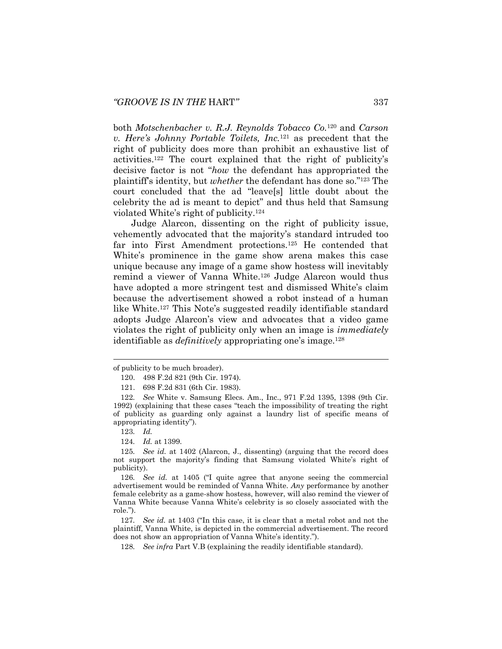both *Motschenbacher v. R.J. Reynolds Tobacco Co.*<sup>120</sup> and *Carson v. Here's Johnny Portable Toilets, Inc.*<sup>121</sup> as precedent that the right of publicity does more than prohibit an exhaustive list of activities.<sup>122</sup> The court explained that the right of publicity's decisive factor is not "*how* the defendant has appropriated the plaintiff's identity, but *whether* the defendant has done so."<sup>123</sup> The court concluded that the ad "leave[s] little doubt about the celebrity the ad is meant to depict" and thus held that Samsung violated White's right of publicity.<sup>124</sup>

<span id="page-21-0"></span>Judge Alarcon, dissenting on the right of publicity issue, vehemently advocated that the majority's standard intruded too far into First Amendment protections.<sup>125</sup> He contended that White's prominence in the game show arena makes this case unique because any image of a game show hostess will inevitably remind a viewer of Vanna White.<sup>126</sup> Judge Alarcon would thus have adopted a more stringent test and dismissed White's claim because the advertisement showed a robot instead of a human like White.<sup>127</sup> This Note's suggested readily identifiable standard adopts Judge Alarcon's view and advocates that a video game violates the right of publicity only when an image is *immediately* identifiable as *definitively* appropriating one's image.<sup>128</sup>

<span id="page-21-1"></span>l

124*. Id.* at 1399.

125*. See id.* at 1402 (Alarcon, J., dissenting) (arguing that the record does not support the majority's finding that Samsung violated White's right of publicity).

126*. See id.* at 1405 ("I quite agree that anyone seeing the commercial advertisement would be reminded of Vanna White. *Any* performance by another female celebrity as a game-show hostess, however, will also remind the viewer of Vanna White because Vanna White's celebrity is so closely associated with the role.").

127*. See id.* at 1403 ("In this case, it is clear that a metal robot and not the plaintiff, Vanna White, is depicted in the commercial advertisement. The record does not show an appropriation of Vanna White's identity.").

128*. See infra* Part V.B (explaining the readily identifiable standard).

of publicity to be much broader).

<sup>120.</sup> 498 F.2d 821 (9th Cir. 1974).

<sup>121.</sup> 698 F.2d 831 (6th Cir. 1983).

<sup>122</sup>*. See* White v. Samsung Elecs. Am., Inc., 971 F.2d 1395, 1398 (9th Cir. 1992) (explaining that these cases "teach the impossibility of treating the right of publicity as guarding only against a laundry list of specific means of appropriating identity").

<sup>123</sup>*. Id.*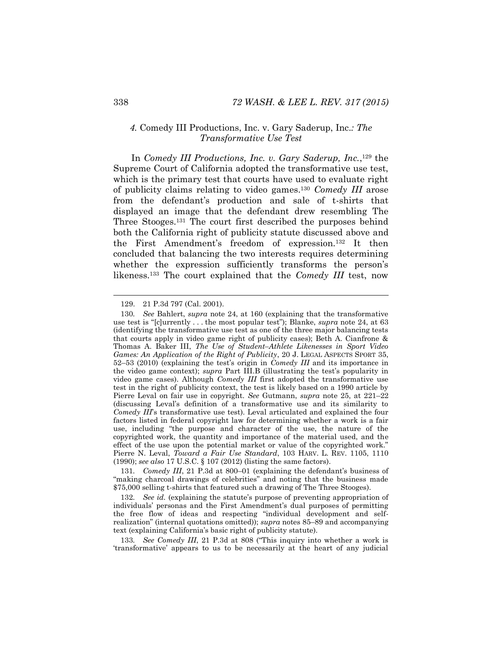# <span id="page-22-0"></span>*4.* Comedy III Productions, Inc. v. Gary Saderup, Inc.*: The Transformative Use Test*

In *Comedy III Productions, Inc. v. Gary Saderup, Inc.*,<sup>129</sup> the Supreme Court of California adopted the transformative use test, which is the primary test that courts have used to evaluate right of publicity claims relating to video games.<sup>130</sup> *Comedy III* arose from the defendant's production and sale of t-shirts that displayed an image that the defendant drew resembling The Three Stooges.<sup>131</sup> The court first described the purposes behind both the California right of publicity statute discussed above and the First Amendment's freedom of expression.<sup>132</sup> It then concluded that balancing the two interests requires determining whether the expression sufficiently transforms the person's likeness.<sup>133</sup> The court explained that the *Comedy III* test, now

131*. Comedy III*, 21 P.3d at 800–01 (explaining the defendant's business of "making charcoal drawings of celebrities" and noting that the business made \$75,000 selling t-shirts that featured such a drawing of The Three Stooges).

132*. See id.* (explaining the statute's purpose of preventing appropriation of individuals' personas and the First Amendment's dual purposes of permitting the free flow of ideas and respecting "individual development and selfrealization" (internal quotations omitted)); *supra* notes [85](#page-15-1)–[89](#page-16-0) and accompanying text (explaining California's basic right of publicity statute).

133*. See Comedy III*, 21 P.3d at 808 ("This inquiry into whether a work is 'transformative' appears to us to be necessarily at the heart of any judicial

<sup>129.</sup> 21 P.3d 797 (Cal. 2001).

<sup>130</sup>*. See* Bahlert, *supra* note [24,](#page-5-0) at 160 (explaining that the transformative use test is "[c]urrently . . . the most popular test"); Blanke, *supra* note [24,](#page-5-0) at 63 (identifying the transformative use test as one of the three major balancing tests that courts apply in video game right of publicity cases); Beth A. Cianfrone & Thomas A. Baker III, *The Use of Student–Athlete Likenesses in Sport Video Games: An Application of the Right of Publicity*, 20 J. LEGAL ASPECTS SPORT 35, 52–53 (2010) (explaining the test's origin in *Comedy III* and its importance in the video game context); *supra* Part III.B (illustrating the test's popularity in video game cases). Although *Comedy III* first adopted the transformative use test in the right of publicity context, the test is likely based on a 1990 article by Pierre Leval on fair use in copyright. *See* Gutmann, *supra* note [25,](#page-5-1) at 221–22 (discussing Leval's definition of a transformative use and its similarity to *Comedy III*'s transformative use test). Leval articulated and explained the four factors listed in federal copyright law for determining whether a work is a fair use, including "the purpose and character of the use, the nature of the copyrighted work, the quantity and importance of the material used, and the effect of the use upon the potential market or value of the copyrighted work." Pierre N. Leval, *Toward a Fair Use Standard*, 103 HARV. L. REV. 1105, 1110 (1990); *see also* 17 U.S.C. § 107 (2012) (listing the same factors).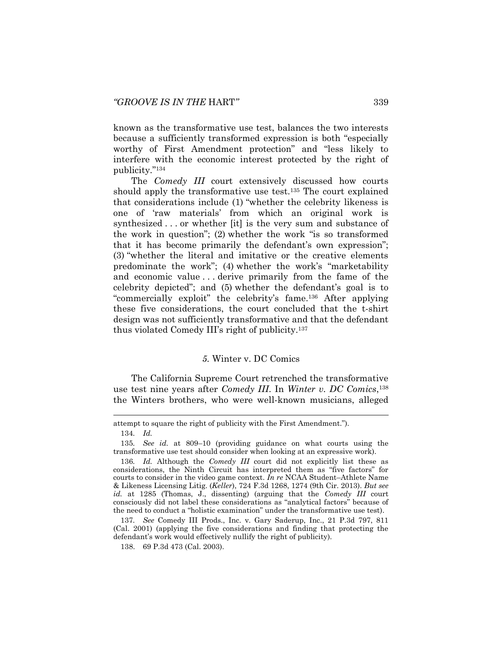known as the transformative use test, balances the two interests because a sufficiently transformed expression is both "especially worthy of First Amendment protection" and "less likely to interfere with the economic interest protected by the right of publicity." 134

The *Comedy III* court extensively discussed how courts should apply the transformative use test.<sup>135</sup> The court explained that considerations include (1) "whether the celebrity likeness is one of 'raw materials' from which an original work is synthesized . . . or whether [it] is the very sum and substance of the work in question"; (2) whether the work "is so transformed that it has become primarily the defendant's own expression"; (3) "whether the literal and imitative or the creative elements predominate the work"; (4) whether the work's "marketability and economic value . . . derive primarily from the fame of the celebrity depicted"; and (5) whether the defendant's goal is to "commercially exploit" the celebrity's fame.<sup>136</sup> After applying these five considerations, the court concluded that the t-shirt design was not sufficiently transformative and that the defendant thus violated Comedy III's right of publicity.<sup>137</sup>

### *5.* Winter v. DC Comics

The California Supreme Court retrenched the transformative use test nine years after *Comedy III*. In *Winter v. DC Comics*, 138 the Winters brothers, who were well-known musicians, alleged

attempt to square the right of publicity with the First Amendment.").

<sup>134</sup>*. Id.*

<sup>135</sup>*. See id.* at 809–10 (providing guidance on what courts using the transformative use test should consider when looking at an expressive work).

<sup>136</sup>*. Id.* Although the *Comedy III* court did not explicitly list these as considerations, the Ninth Circuit has interpreted them as "five factors" for courts to consider in the video game context. *In re* NCAA Student–Athlete Name & Likeness Licensing Litig. (*Keller*), 724 F.3d 1268, 1274 (9th Cir. 2013). *But see id.* at 1285 (Thomas, J., dissenting) (arguing that the *Comedy III* court consciously did not label these considerations as "analytical factors" because of the need to conduct a "holistic examination" under the transformative use test).

<sup>137</sup>*. See* Comedy III Prods., Inc. v. Gary Saderup, Inc., 21 P.3d 797, 811 (Cal. 2001) (applying the five considerations and finding that protecting the defendant's work would effectively nullify the right of publicity).

<sup>138.</sup> 69 P.3d 473 (Cal. 2003).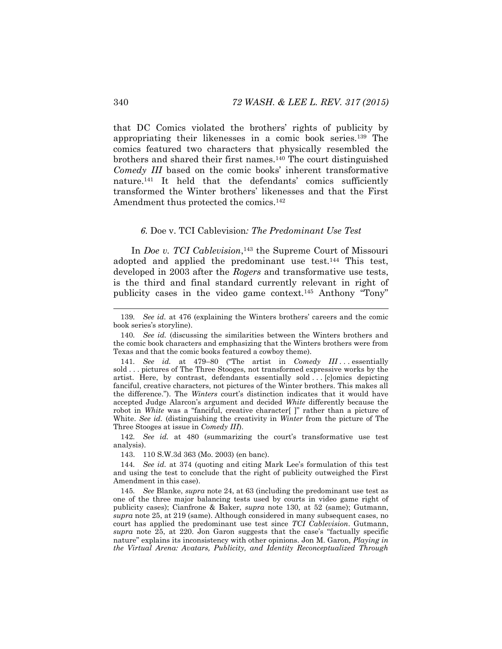that DC Comics violated the brothers' rights of publicity by appropriating their likenesses in a comic book series.<sup>139</sup> The comics featured two characters that physically resembled the brothers and shared their first names.<sup>140</sup> The court distinguished *Comedy III* based on the comic books' inherent transformative nature.<sup>141</sup> It held that the defendants' comics sufficiently transformed the Winter brothers' likenesses and that the First Amendment thus protected the comics.<sup>142</sup>

#### <span id="page-24-0"></span>*6.* Doe v. TCI Cablevision*: The Predominant Use Test*

In *Doe v. TCI Cablevision*, <sup>143</sup> the Supreme Court of Missouri adopted and applied the predominant use test.<sup>144</sup> This test, developed in 2003 after the *Rogers* and transformative use tests, is the third and final standard currently relevant in right of publicity cases in the video game context.<sup>145</sup> Anthony "Tony"

142*. See id.* at 480 (summarizing the court's transformative use test analysis).

143. 110 S.W.3d 363 (Mo. 2003) (en banc).

144*. See id.* at 374 (quoting and citing Mark Lee's formulation of this test and using the test to conclude that the right of publicity outweighed the First Amendment in this case).

145*. See* Blanke, *supra* note [24,](#page-5-0) at 63 (including the predominant use test as one of the three major balancing tests used by courts in video game right of publicity cases); Cianfrone & Baker, *supra* note [130,](#page-22-0) at 52 (same); Gutmann, *supra* note [25,](#page-5-1) at 219 (same). Although considered in many subsequent cases, no court has applied the predominant use test since *TCI Cablevision*. Gutmann, *supra* note [25,](#page-5-1) at 220. Jon Garon suggests that the case's "factually specific nature" explains its inconsistency with other opinions. Jon M. Garon, *Playing in the Virtual Arena: Avatars, Publicity, and Identity Reconceptualized Through* 

<sup>139</sup>*. See id.* at 476 (explaining the Winters brothers' careers and the comic book series's storyline).

<sup>140</sup>*. See id.* (discussing the similarities between the Winters brothers and the comic book characters and emphasizing that the Winters brothers were from Texas and that the comic books featured a cowboy theme).

<sup>141</sup>*. See id.* at 479–80 ("The artist in *Comedy III* . . . essentially sold . . . pictures of The Three Stooges, not transformed expressive works by the artist. Here, by contrast, defendants essentially sold . . . [c]omics depicting fanciful, creative characters, not pictures of the Winter brothers. This makes all the difference."). The *Winters* court's distinction indicates that it would have accepted Judge Alarcon's argument and decided *White* differently because the robot in *White* was a "fanciful, creative character[]" rather than a picture of White. *See id.* (distinguishing the creativity in *Winter* from the picture of The Three Stooges at issue in *Comedy III*).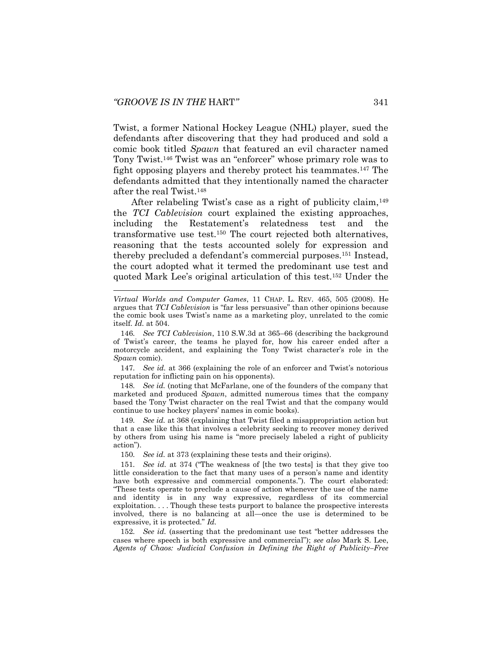<span id="page-25-0"></span>l

Twist, a former National Hockey League (NHL) player, sued the defendants after discovering that they had produced and sold a comic book titled *Spawn* that featured an evil character named Tony Twist.<sup>146</sup> Twist was an "enforcer" whose primary role was to fight opposing players and thereby protect his teammates.<sup>147</sup> The defendants admitted that they intentionally named the character after the real Twist.<sup>148</sup>

After relabeling Twist's case as a right of publicity claim,<sup>149</sup> the *TCI Cablevision* court explained the existing approaches, including the Restatement's relatedness test and the transformative use test.<sup>150</sup> The court rejected both alternatives, reasoning that the tests accounted solely for expression and thereby precluded a defendant's commercial purposes.<sup>151</sup> Instead, the court adopted what it termed the predominant use test and quoted Mark Lee's original articulation of this test.<sup>152</sup> Under the

147*. See id.* at 366 (explaining the role of an enforcer and Twist's notorious reputation for inflicting pain on his opponents).

148*. See id.* (noting that McFarlane, one of the founders of the company that marketed and produced *Spawn*, admitted numerous times that the company based the Tony Twist character on the real Twist and that the company would continue to use hockey players' names in comic books).

149*. See id.* at 368 (explaining that Twist filed a misappropriation action but that a case like this that involves a celebrity seeking to recover money derived by others from using his name is "more precisely labeled a right of publicity action").

150*. See id.* at 373 (explaining these tests and their origins).

151*. See id.* at 374 ("The weakness of [the two tests] is that they give too little consideration to the fact that many uses of a person's name and identity have both expressive and commercial components."). The court elaborated: "These tests operate to preclude a cause of action whenever the use of the name and identity is in any way expressive, regardless of its commercial exploitation. . . . Though these tests purport to balance the prospective interests involved, there is no balancing at all—once the use is determined to be expressive, it is protected." *Id.*

152*. See id.* (asserting that the predominant use test "better addresses the cases where speech is both expressive and commercial"); *see also* Mark S. Lee, *Agents of Chaos: Judicial Confusion in Defining the Right of Publicity–Free* 

*Virtual Worlds and Computer Games*, 11 CHAP. L. REV. 465, 505 (2008). He argues that *TCI Cablevision* is "far less persuasive" than other opinions because the comic book uses Twist's name as a marketing ploy, unrelated to the comic itself. *Id.* at 504.

<sup>146</sup>*. See TCI Cablevision*, 110 S.W.3d at 365–66 (describing the background of Twist's career, the teams he played for, how his career ended after a motorcycle accident, and explaining the Tony Twist character's role in the *Spawn* comic).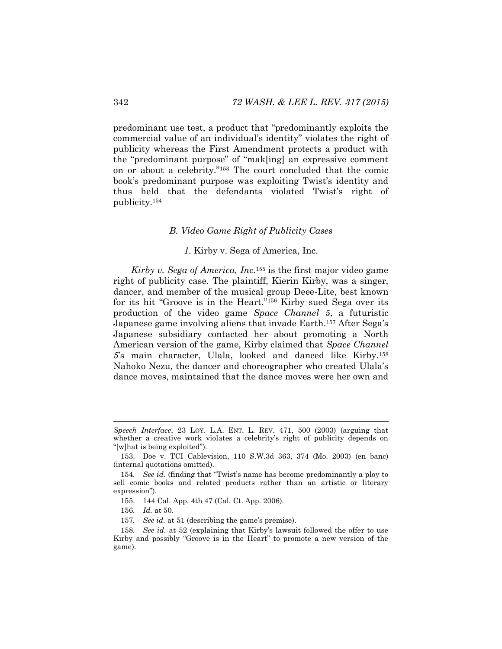predominant use test, a product that "predominantly exploits the commercial value of an individual's identity" violates the right of publicity whereas the First Amendment protects a product with the "predominant purpose" of "mak[ing] an expressive comment on or about a celebrity."<sup>153</sup> The court concluded that the comic book's predominant purpose was exploiting Twist's identity and thus held that the defendants violated Twist's right of publicity.<sup>154</sup>

### *B. Video Game Right of Publicity Cases*

### *1.* Kirby v. Sega of America, Inc.

*Kirby v. Sega of America, Inc.*<sup>155</sup> is the first major video game right of publicity case. The plaintiff, Kierin Kirby, was a singer, dancer, and member of the musical group Deee-Lite, best known for its hit "Groove is in the Heart."<sup>156</sup> Kirby sued Sega over its production of the video game *Space Channel 5*, a futuristic Japanese game involving aliens that invade Earth.<sup>157</sup> After Sega's Japanese subsidiary contacted her about promoting a North American version of the game, Kirby claimed that *Space Channel 5*'s main character, Ulala, looked and danced like Kirby.<sup>158</sup> Nahoko Nezu, the dancer and choreographer who created Ulala's dance moves, maintained that the dance moves were her own and

*Speech Interface*, 23 LOY. L.A. ENT. L. REV. 471, 500 (2003) (arguing that whether a creative work violates a celebrity's right of publicity depends on "[w]hat is being exploited").

<sup>153.</sup> Doe v. TCI Cablevision, 110 S.W.3d 363, 374 (Mo. 2003) (en banc) (internal quotations omitted).

<sup>154</sup>*. See id.* (finding that "Twist's name has become predominantly a ploy to sell comic books and related products rather than an artistic or literary expression").

<sup>155.</sup> 144 Cal. App. 4th 47 (Cal. Ct. App. 2006).

<sup>156</sup>*. Id.* at 50.

<sup>157</sup>*. See id.* at 51 (describing the game's premise).

<sup>158</sup>*. See id.* at 52 (explaining that Kirby's lawsuit followed the offer to use Kirby and possibly "Groove is in the Heart" to promote a new version of the game).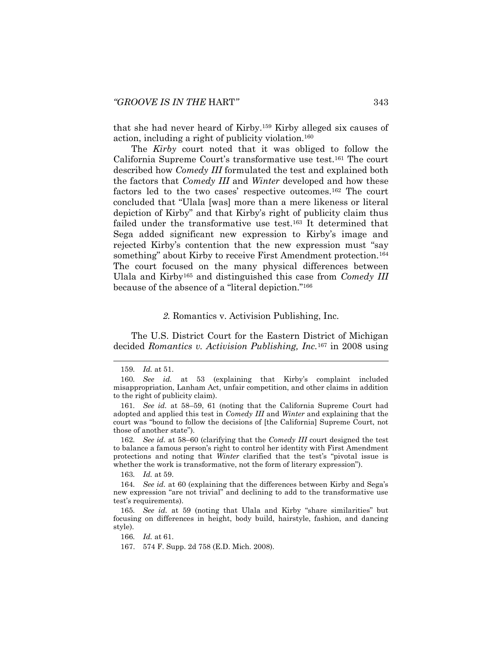that she had never heard of Kirby.<sup>159</sup> Kirby alleged six causes of action, including a right of publicity violation.<sup>160</sup>

The *Kirby* court noted that it was obliged to follow the California Supreme Court's transformative use test.<sup>161</sup> The court described how *Comedy III* formulated the test and explained both the factors that *Comedy III* and *Winter* developed and how these factors led to the two cases' respective outcomes.<sup>162</sup> The court concluded that "Ulala [was] more than a mere likeness or literal depiction of Kirby" and that Kirby's right of publicity claim thus failed under the transformative use test.<sup>163</sup> It determined that Sega added significant new expression to Kirby's image and rejected Kirby's contention that the new expression must "say something" about Kirby to receive First Amendment protection.<sup>164</sup> The court focused on the many physical differences between Ulala and Kirby<sup>165</sup> and distinguished this case from *Comedy III* because of the absence of a "literal depiction."<sup>166</sup>

#### *2.* Romantics v. Activision Publishing, Inc.

The U.S. District Court for the Eastern District of Michigan decided *Romantics v. Activision Publishing, Inc.*<sup>167</sup> in 2008 using

163*. Id.* at 59.

166*. Id.* at 61.

<sup>159</sup>*. Id.* at 51.

<sup>160</sup>*. See id.* at 53 (explaining that Kirby's complaint included misappropriation, Lanham Act, unfair competition, and other claims in addition to the right of publicity claim).

<sup>161</sup>*. See id.* at 58–59, 61 (noting that the California Supreme Court had adopted and applied this test in *Comedy III* and *Winter* and explaining that the court was "bound to follow the decisions of [the California] Supreme Court, not those of another state").

<sup>162</sup>*. See id.* at 58–60 (clarifying that the *Comedy III* court designed the test to balance a famous person's right to control her identity with First Amendment protections and noting that *Winter* clarified that the test's "pivotal issue is whether the work is transformative, not the form of literary expression").

<sup>164</sup>*. See id.* at 60 (explaining that the differences between Kirby and Sega's new expression "are not trivial" and declining to add to the transformative use test's requirements).

<sup>165</sup>*. See id.* at 59 (noting that Ulala and Kirby "share similarities" but focusing on differences in height, body build, hairstyle, fashion, and dancing style).

<sup>167.</sup> 574 F. Supp. 2d 758 (E.D. Mich. 2008).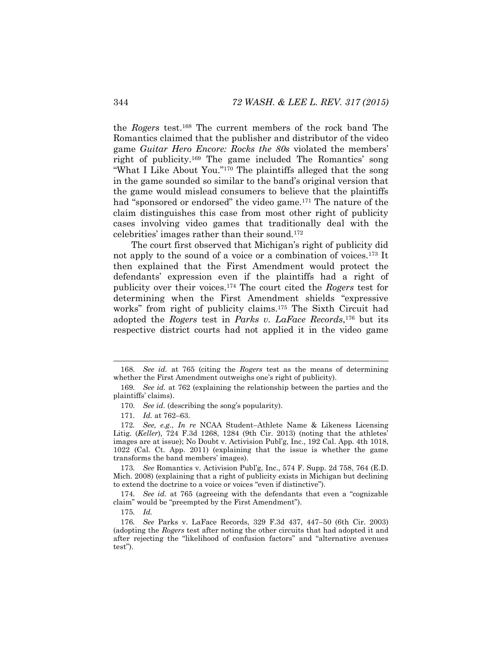the *Rogers* test.<sup>168</sup> The current members of the rock band The Romantics claimed that the publisher and distributor of the video game *Guitar Hero Encore: Rocks the 80s* violated the members' right of publicity.<sup>169</sup> The game included The Romantics' song "What I Like About You."<sup>170</sup> The plaintiffs alleged that the song in the game sounded so similar to the band's original version that the game would mislead consumers to believe that the plaintiffs had "sponsored or endorsed" the video game.<sup>171</sup> The nature of the claim distinguishes this case from most other right of publicity cases involving video games that traditionally deal with the celebrities' images rather than their sound.<sup>172</sup>

<span id="page-28-0"></span>The court first observed that Michigan's right of publicity did not apply to the sound of a voice or a combination of voices.<sup>173</sup> It then explained that the First Amendment would protect the defendants' expression even if the plaintiffs had a right of publicity over their voices.<sup>174</sup> The court cited the *Rogers* test for determining when the First Amendment shields "expressive works" from right of publicity claims.<sup>175</sup> The Sixth Circuit had adopted the *Rogers* test in *Parks v. LaFace Records*, <sup>176</sup> but its respective district courts had not applied it in the video game

173*. See* Romantics v. Activision Publ'g, Inc., 574 F. Supp. 2d 758, 764 (E.D. Mich. 2008) (explaining that a right of publicity exists in Michigan but declining to extend the doctrine to a voice or voices "even if distinctive").

174*. See id.* at 765 (agreeing with the defendants that even a "cognizable claim" would be "preempted by the First Amendment").

175*. Id.*

<sup>168</sup>*. See id.* at 765 (citing the *Rogers* test as the means of determining whether the First Amendment outweighs one's right of publicity).

<sup>169</sup>*. See id.* at 762 (explaining the relationship between the parties and the plaintiffs' claims).

<sup>170</sup>*. See id.* (describing the song's popularity).

<sup>171</sup>*. Id.* at 762–63.

<sup>172</sup>*. See, e.g.*, *In re* NCAA Student–Athlete Name & Likeness Licensing Litig. (*Keller*), 724 F.3d 1268, 1284 (9th Cir. 2013) (noting that the athletes' images are at issue); No Doubt v. Activision Publ'g, Inc., 192 Cal. App. 4th 1018, 1022 (Cal. Ct. App. 2011) (explaining that the issue is whether the game transforms the band members' images).

<sup>176</sup>*. See* Parks v. LaFace Records, 329 F.3d 437, 447–50 (6th Cir. 2003) (adopting the *Rogers* test after noting the other circuits that had adopted it and after rejecting the "likelihood of confusion factors" and "alternative avenues test").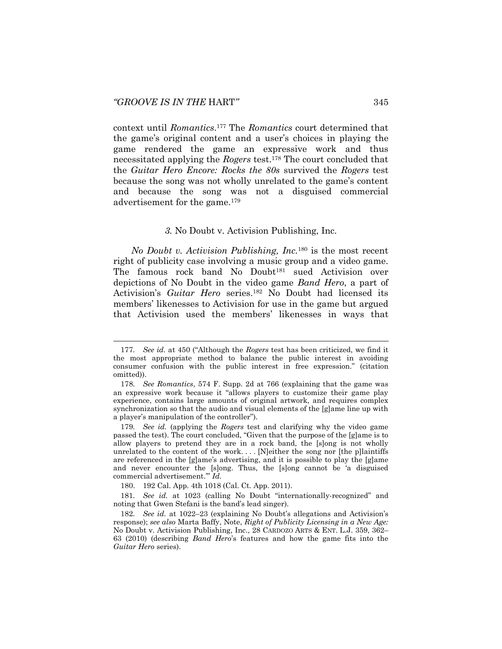context until *Romantics*. <sup>177</sup> The *Romantics* court determined that the game's original content and a user's choices in playing the game rendered the game an expressive work and thus necessitated applying the *Rogers* test.<sup>178</sup> The court concluded that the *Guitar Hero Encore: Rocks the 80s* survived the *Rogers* test because the song was not wholly unrelated to the game's content and because the song was not a disguised commercial advertisement for the game.<sup>179</sup>

#### <span id="page-29-0"></span>*3.* No Doubt v. Activision Publishing, Inc.

*No Doubt v. Activision Publishing, Inc.*<sup>180</sup> is the most recent right of publicity case involving a music group and a video game. The famous rock band No Doubt<sup>181</sup> sued Activision over depictions of No Doubt in the video game *Band Hero*, a part of Activision's *Guitar Hero* series.<sup>182</sup> No Doubt had licensed its members' likenesses to Activision for use in the game but argued that Activision used the members' likenesses in ways that

<sup>177</sup>*. See id.* at 450 ("Although the *Rogers* test has been criticized, we find it the most appropriate method to balance the public interest in avoiding consumer confusion with the public interest in free expression." (citation omitted)).

<sup>178</sup>*. See Romantics*, 574 F. Supp. 2d at 766 (explaining that the game was an expressive work because it "allows players to customize their game play experience, contains large amounts of original artwork, and requires complex synchronization so that the audio and visual elements of the [g]ame line up with a player's manipulation of the controller").

<sup>179</sup>*. See id.* (applying the *Rogers* test and clarifying why the video game passed the test). The court concluded, "Given that the purpose of the [g]ame is to allow players to pretend they are in a rock band, the [s]ong is not wholly unrelated to the content of the work....  $[N]$ either the song nor [the p]laintiffs are referenced in the [g]ame's advertising, and it is possible to play the [g]ame and never encounter the [s]ong. Thus, the [s]ong cannot be 'a disguised commercial advertisement.'" *Id.*

<sup>180.</sup> 192 Cal. App. 4th 1018 (Cal. Ct. App. 2011).

<sup>181</sup>*. See id.* at 1023 (calling No Doubt "internationally-recognized" and noting that Gwen Stefani is the band's lead singer).

<sup>182</sup>*. See id.* at 1022–23 (explaining No Doubt's allegations and Activision's response); *see also* Marta Baffy, Note, *Right of Publicity Licensing in a New Age:*  No Doubt v. Activision Publishing, Inc., 28 CARDOZO ARTS & ENT. L.J. 359, 362– 63 (2010) (describing *Band Hero*'s features and how the game fits into the *Guitar Hero* series).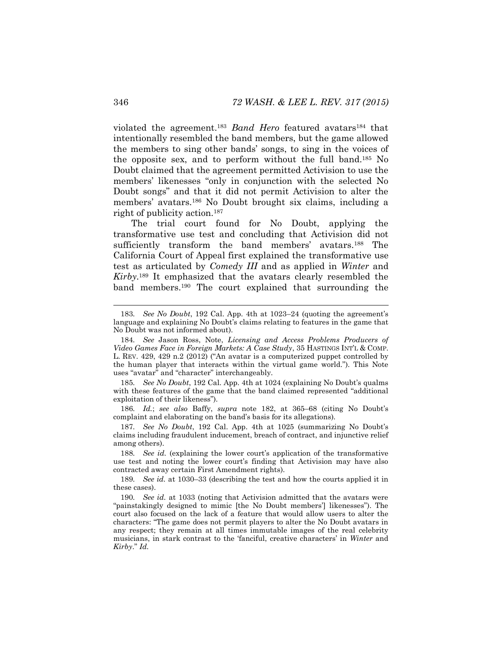violated the agreement.<sup>183</sup> *Band Hero* featured avatars<sup>184</sup> that intentionally resembled the band members, but the game allowed the members to sing other bands' songs, to sing in the voices of the opposite sex, and to perform without the full band.<sup>185</sup> No Doubt claimed that the agreement permitted Activision to use the members' likenesses "only in conjunction with the selected No Doubt songs" and that it did not permit Activision to alter the members' avatars.<sup>186</sup> No Doubt brought six claims, including a right of publicity action.<sup>187</sup>

The trial court found for No Doubt, applying the transformative use test and concluding that Activision did not sufficiently transform the band members' avatars.<sup>188</sup> The California Court of Appeal first explained the transformative use test as articulated by *Comedy III* and as applied in *Winter* and *Kirby*. <sup>189</sup> It emphasized that the avatars clearly resembled the band members.<sup>190</sup> The court explained that surrounding the

185*. See No Doubt*, 192 Cal. App. 4th at 1024 (explaining No Doubt's qualms with these features of the game that the band claimed represented "additional exploitation of their likeness").

186*. Id.*; *see also* Baffy, *supra* note [182,](#page-29-0) at 365–68 (citing No Doubt's complaint and elaborating on the band's basis for its allegations).

187*. See No Doubt*, 192 Cal. App. 4th at 1025 (summarizing No Doubt's claims including fraudulent inducement, breach of contract, and injunctive relief among others).

188*. See id.* (explaining the lower court's application of the transformative use test and noting the lower court's finding that Activision may have also contracted away certain First Amendment rights).

189*. See id.* at 1030–33 (describing the test and how the courts applied it in these cases).

190*. See id.* at 1033 (noting that Activision admitted that the avatars were "painstakingly designed to mimic [the No Doubt members'] likenesses"). The court also focused on the lack of a feature that would allow users to alter the characters: "The game does not permit players to alter the No Doubt avatars in any respect; they remain at all times immutable images of the real celebrity musicians, in stark contrast to the 'fanciful, creative characters' in *Winter* and *Kirby*." *Id.*

<span id="page-30-0"></span><sup>183</sup>*. See No Doubt*, 192 Cal. App. 4th at 1023–24 (quoting the agreement's language and explaining No Doubt's claims relating to features in the game that No Doubt was not informed about).

<sup>184</sup>*. See* Jason Ross, Note, *Licensing and Access Problems Producers of Video Games Face in Foreign Markets: A Case Study*, 35 HASTINGS INT'L & COMP. L. REV. 429, 429 n.2 (2012) ("An avatar is a computerized puppet controlled by the human player that interacts within the virtual game world."). This Note uses "avatar" and "character" interchangeably.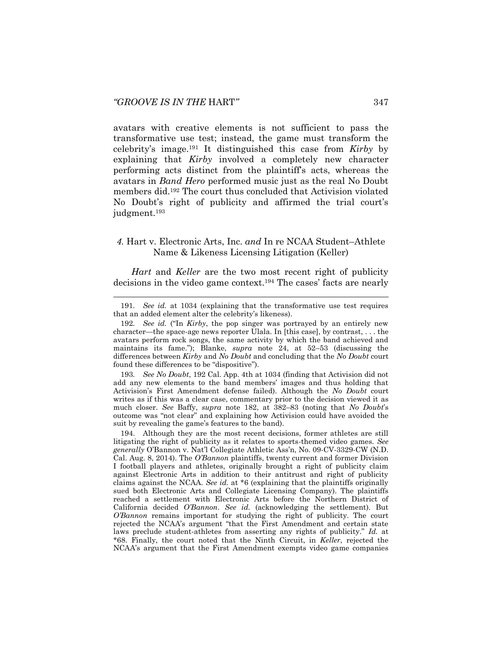avatars with creative elements is not sufficient to pass the transformative use test; instead, the game must transform the celebrity's image.<sup>191</sup> It distinguished this case from *Kirby* by explaining that *Kirby* involved a completely new character performing acts distinct from the plaintiff's acts, whereas the avatars in *Band Hero* performed music just as the real No Doubt members did.<sup>192</sup> The court thus concluded that Activision violated No Doubt's right of publicity and affirmed the trial court's judgment.<sup>193</sup>

# *4.* Hart v. Electronic Arts, Inc. *and* In re NCAA Student–Athlete Name & Likeness Licensing Litigation (Keller)

*Hart* and *Keller* are the two most recent right of publicity decisions in the video game context.<sup>194</sup> The cases' facts are nearly

191*. See id.* at 1034 (explaining that the transformative use test requires that an added element alter the celebrity's likeness).

193*. See No Doubt*, 192 Cal. App. 4th at 1034 (finding that Activision did not add any new elements to the band members' images and thus holding that Activision's First Amendment defense failed). Although the *No Doubt* court writes as if this was a clear case, commentary prior to the decision viewed it as much closer. *See* Baffy, *supra* note [182,](#page-29-0) at 382–83 (noting that *No Doubt*'s outcome was "not clear" and explaining how Activision could have avoided the suit by revealing the game's features to the band).

194. Although they are the most recent decisions, former athletes are still litigating the right of publicity as it relates to sports-themed video games. *See generally* O'Bannon v. Nat'l Collegiate Athletic Ass'n, No. 09-CV-3329-CW (N.D. Cal. Aug. 8, 2014). The *O'Bannon* plaintiffs, twenty current and former Division I football players and athletes, originally brought a right of publicity claim against Electronic Arts in addition to their antitrust and right of publicity claims against the NCAA. *See id.* at \*6 (explaining that the plaintiffs originally sued both Electronic Arts and Collegiate Licensing Company). The plaintiffs reached a settlement with Electronic Arts before the Northern District of California decided *O'Bannon*. *See id.* (acknowledging the settlement). But *O'Bannon* remains important for studying the right of publicity. The court rejected the NCAA's argument "that the First Amendment and certain state laws preclude student-athletes from asserting any rights of publicity." *Id.* at \*68. Finally, the court noted that the Ninth Circuit, in *Keller*, rejected the NCAA's argument that the First Amendment exempts video game companies

<sup>192</sup>*. See id.* ("In *Kirby*, the pop singer was portrayed by an entirely new character—the space-age news reporter Ulala. In [this case], by contrast, . . . the avatars perform rock songs, the same activity by which the band achieved and maintains its fame."); Blanke, *supra* note [24,](#page-5-0) at 52–53 (discussing the differences between *Kirby* and *No Doubt* and concluding that the *No Doubt* court found these differences to be "dispositive").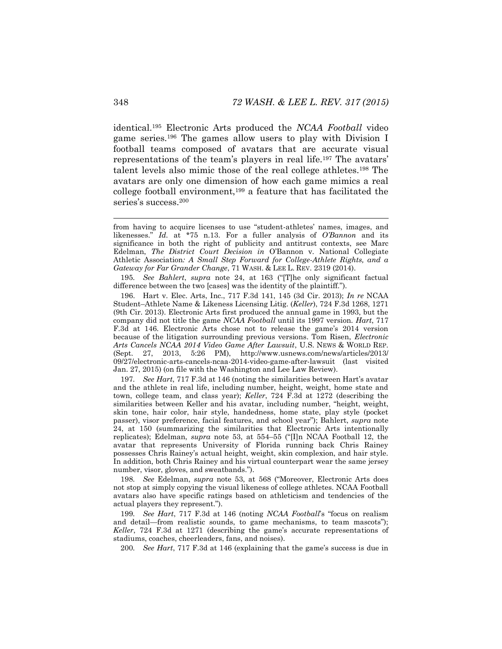<span id="page-32-0"></span>identical.<sup>195</sup> Electronic Arts produced the *NCAA Football* video game series.<sup>196</sup> The games allow users to play with Division I football teams composed of avatars that are accurate visual representations of the team's players in real life.<sup>197</sup> The avatars' talent levels also mimic those of the real college athletes.<sup>198</sup> The avatars are only one dimension of how each game mimics a real college football environment,<sup>199</sup> a feature that has facilitated the series's success.<sup>200</sup>

195*. See Bahlert*, *supra* note [24](#page-5-0), at 163 ("[T]he only significant factual difference between the two [cases] was the identity of the plaintiff.").

196. Hart v. Elec. Arts, Inc., 717 F.3d 141, 145 (3d Cir. 2013); *In re* NCAA Student–Athlete Name & Likeness Licensing Litig. (*Keller*), 724 F.3d 1268, 1271 (9th Cir. 2013). Electronic Arts first produced the annual game in 1993, but the company did not title the game *NCAA Football* until its 1997 version. *Hart*, 717 F.3d at 146. Electronic Arts chose not to release the game's 2014 version because of the litigation surrounding previous versions. Tom Risen, *Electronic Arts Cancels NCAA 2014 Video Game After Lawsuit*, U.S. NEWS & WORLD REP. (Sept. 27, 2013, 5:26 PM), http://www.usnews.com/news/articles/2013/ 09/27/electronic-arts-cancels-ncaa-2014-video-game-after-lawsuit (last visited Jan. 27, 2015) (on file with the Washington and Lee Law Review).

197*. See Hart*, 717 F.3d at 146 (noting the similarities between Hart's avatar and the athlete in real life, including number, height, weight, home state and town, college team, and class year); *Keller*, 724 F.3d at 1272 (describing the similarities between Keller and his avatar, including number, "height, weight, skin tone, hair color, hair style, handedness, home state, play style (pocket passer), visor preference, facial features, and school year"); Bahlert, *supra* note [24,](#page-5-0) at 150 (summarizing the similarities that Electronic Arts intentionally replicates); Edelman, *supra* note [53,](#page-10-0) at 554–55 ("[I]n NCAA Football 12, the avatar that represents University of Florida running back Chris Rainey possesses Chris Rainey's actual height, weight, skin complexion, and hair style. In addition, both Chris Rainey and his virtual counterpart wear the same jersey number, visor, gloves, and sweatbands.").

198*. See* Edelman, *supra* note [53](#page-10-0), at 568 ("Moreover, Electronic Arts does not stop at simply copying the visual likeness of college athletes. NCAA Football avatars also have specific ratings based on athleticism and tendencies of the actual players they represent.").

199*. See Hart*, 717 F.3d at 146 (noting *NCAA Football*'s "focus on realism and detail—from realistic sounds, to game mechanisms, to team mascots"); *Keller*, 724 F.3d at 1271 (describing the game's accurate representations of stadiums, coaches, cheerleaders, fans, and noises).

200*. See Hart*, 717 F.3d at 146 (explaining that the game's success is due in

from having to acquire licenses to use "student-athletes' names, images, and likenesses." *Id.* at \*75 n.13. For a fuller analysis of *O'Bannon* and its significance in both the right of publicity and antitrust contexts, see Marc Edelman, *The District Court Decision in* O'Bannon v. National Collegiate Athletic Association*: A Small Step Forward for College-Athlete Rights, and a Gateway for Far Grander Change*, 71 WASH. & LEE L. REV. 2319 (2014).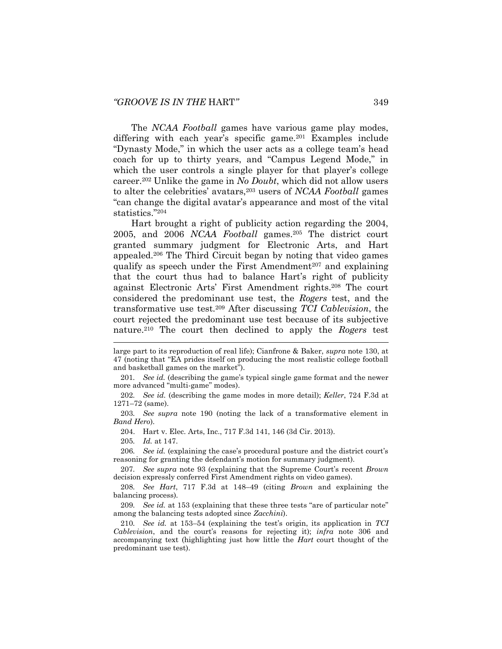<span id="page-33-0"></span>The *NCAA Football* games have various game play modes, differing with each year's specific game.<sup>201</sup> Examples include "Dynasty Mode," in which the user acts as a college team's head coach for up to thirty years, and "Campus Legend Mode," in which the user controls a single player for that player's college career.<sup>202</sup> Unlike the game in *No Doubt*, which did not allow users to alter the celebrities' avatars,<sup>203</sup> users of *NCAA Football* games "can change the digital avatar's appearance and most of the vital statistics."<sup>204</sup>

<span id="page-33-1"></span>Hart brought a right of publicity action regarding the 2004, 2005, and 2006 *NCAA Football* games.<sup>205</sup> The district court granted summary judgment for Electronic Arts, and Hart appealed.<sup>206</sup> The Third Circuit began by noting that video games qualify as speech under the First Amendment<sup>207</sup> and explaining that the court thus had to balance Hart's right of publicity against Electronic Arts' First Amendment rights.<sup>208</sup> The court considered the predominant use test, the *Rogers* test, and the transformative use test.<sup>209</sup> After discussing *TCI Cablevision*, the court rejected the predominant use test because of its subjective nature.<sup>210</sup> The court then declined to apply the *Rogers* test

large part to its reproduction of real life); Cianfrone & Baker, *supra* note [130,](#page-22-0) at 47 (noting that "EA prides itself on producing the most realistic college football and basketball games on the market").

<sup>201</sup>*. See id.* (describing the game's typical single game format and the newer more advanced "multi-game" modes).

<sup>202</sup>*. See id.* (describing the game modes in more detail); *Keller*, 724 F.3d at 1271–72 (same).

<sup>203</sup>*. See supra* note [190](#page-30-0) (noting the lack of a transformative element in *Band Hero*).

<sup>204.</sup> Hart v. Elec. Arts, Inc., 717 F.3d 141, 146 (3d Cir. 2013).

<sup>205</sup>*. Id.* at 147.

<sup>206</sup>*. See id.* (explaining the case's procedural posture and the district court's reasoning for granting the defendant's motion for summary judgment).

<sup>207</sup>*. See supra* note [93](#page-17-0) (explaining that the Supreme Court's recent *Brown* decision expressly conferred First Amendment rights on video games).

<sup>208</sup>*. See Hart*, 717 F.3d at 148–49 (citing *Brown* and explaining the balancing process).

<sup>209</sup>*. See id.* at 153 (explaining that these three tests "are of particular note" among the balancing tests adopted since *Zacchini*).

<sup>210</sup>*. See id.* at 153–54 (explaining the test's origin, its application in *TCI Cablevision*, and the court's reasons for rejecting it); *infra* note [306](#page-46-0) and accompanying text (highlighting just how little the *Hart* court thought of the predominant use test).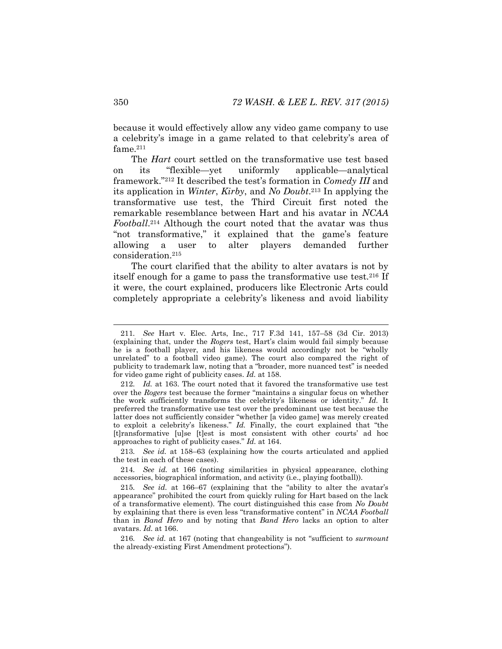because it would effectively allow any video game company to use a celebrity's image in a game related to that celebrity's area of fame.<sup>211</sup>

The *Hart* court settled on the transformative use test based on its "flexible—yet uniformly applicable—analytical framework."<sup>212</sup> It described the test's formation in *Comedy III* and its application in *Winter*, *Kirby*, and *No Doubt*. <sup>213</sup> In applying the transformative use test, the Third Circuit first noted the remarkable resemblance between Hart and his avatar in *NCAA Football*. <sup>214</sup> Although the court noted that the avatar was thus "not transformative," it explained that the game's feature allowing a user to alter players demanded further consideration.<sup>215</sup>

<span id="page-34-0"></span>The court clarified that the ability to alter avatars is not by itself enough for a game to pass the transformative use test.<sup>216</sup> If it were, the court explained, producers like Electronic Arts could completely appropriate a celebrity's likeness and avoid liability

213*. See id.* at 158–63 (explaining how the courts articulated and applied the test in each of these cases).

214*. See id.* at 166 (noting similarities in physical appearance, clothing accessories, biographical information, and activity (i.e., playing football)).

215*. See id.* at 166–67 (explaining that the "ability to alter the avatar's appearance" prohibited the court from quickly ruling for Hart based on the lack of a transformative element). The court distinguished this case from *No Doubt* by explaining that there is even less "transformative content" in *NCAA Football* than in *Band Hero* and by noting that *Band Hero* lacks an option to alter avatars. *Id.* at 166.

216*. See id.* at 167 (noting that changeability is not "sufficient to *surmount* the already-existing First Amendment protections").

<sup>211</sup>*. See* Hart v. Elec. Arts, Inc., 717 F.3d 141, 157–58 (3d Cir. 2013) (explaining that, under the *Rogers* test, Hart's claim would fail simply because he is a football player, and his likeness would accordingly not be "wholly unrelated" to a football video game). The court also compared the right of publicity to trademark law, noting that a "broader, more nuanced test" is needed for video game right of publicity cases. *Id.* at 158.

<sup>212</sup>*. Id.* at 163. The court noted that it favored the transformative use test over the *Rogers* test because the former "maintains a singular focus on whether the work sufficiently transforms the celebrity's likeness or identity." *Id.* It preferred the transformative use test over the predominant use test because the latter does not sufficiently consider "whether [a video game] was merely created to exploit a celebrity's likeness." *Id.* Finally, the court explained that "the [t]ransformative [u]se [t]est is most consistent with other courts' ad hoc approaches to right of publicity cases." *Id.* at 164.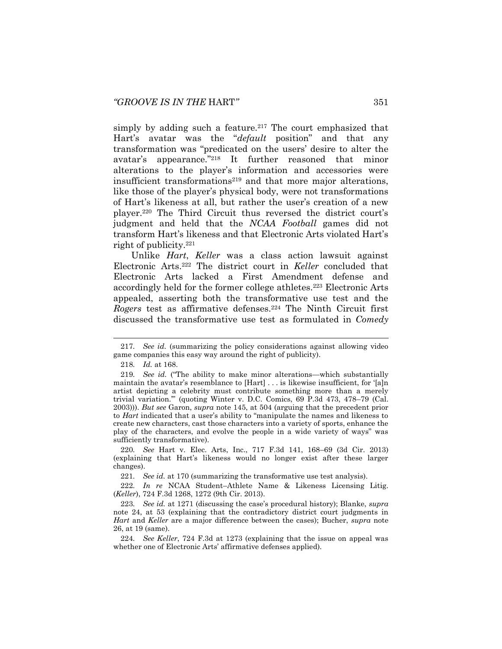<span id="page-35-0"></span>simply by adding such a feature.<sup>217</sup> The court emphasized that Hart's avatar was the "*default* position" and that any transformation was "predicated on the users' desire to alter the avatar's appearance."<sup>218</sup> It further reasoned that minor alterations to the player's information and accessories were insufficient transformations<sup>219</sup> and that more major alterations, like those of the player's physical body, were not transformations of Hart's likeness at all, but rather the user's creation of a new player.<sup>220</sup> The Third Circuit thus reversed the district court's judgment and held that the *NCAA Football* games did not transform Hart's likeness and that Electronic Arts violated Hart's right of publicity.<sup>221</sup>

<span id="page-35-1"></span>Unlike *Hart*, *Keller* was a class action lawsuit against Electronic Arts.<sup>222</sup> The district court in *Keller* concluded that Electronic Arts lacked a First Amendment defense and accordingly held for the former college athletes.<sup>223</sup> Electronic Arts appealed, asserting both the transformative use test and the *Rogers* test as affirmative defenses.<sup>224</sup> The Ninth Circuit first discussed the transformative use test as formulated in *Comedy* 

220*. See* Hart v. Elec. Arts, Inc., 717 F.3d 141, 168–69 (3d Cir. 2013) (explaining that Hart's likeness would no longer exist after these larger changes).

221*. See id.* at 170 (summarizing the transformative use test analysis).

222*. In re* NCAA Student–Athlete Name & Likeness Licensing Litig. (*Keller*), 724 F.3d 1268, 1272 (9th Cir. 2013).

224*. See Keller*, 724 F.3d at 1273 (explaining that the issue on appeal was whether one of Electronic Arts' affirmative defenses applied).

<sup>217</sup>*. See id.* (summarizing the policy considerations against allowing video game companies this easy way around the right of publicity).

<sup>218</sup>*. Id.* at 168.

<sup>219</sup>*. See id.* ("The ability to make minor alterations—which substantially maintain the avatar's resemblance to [Hart] . . . is likewise insufficient, for '[a]n artist depicting a celebrity must contribute something more than a merely trivial variation.'" (quoting Winter v. D.C. Comics, 69 P.3d 473, 478–79 (Cal. 2003))). *But see* Garon, *supra* note [145,](#page-24-0) at 504 (arguing that the precedent prior to *Hart* indicated that a user's ability to "manipulate the names and likeness to create new characters, cast those characters into a variety of sports, enhance the play of the characters, and evolve the people in a wide variety of ways" was sufficiently transformative).

<sup>223</sup>*. See id.* at 1271 (discussing the case's procedural history); Blanke, *supra* note [24,](#page-5-0) at 53 (explaining that the contradictory district court judgments in *Hart* and *Keller* are a major difference between the cases); Bucher, *supra* note [26,](#page-6-0) at 19 (same).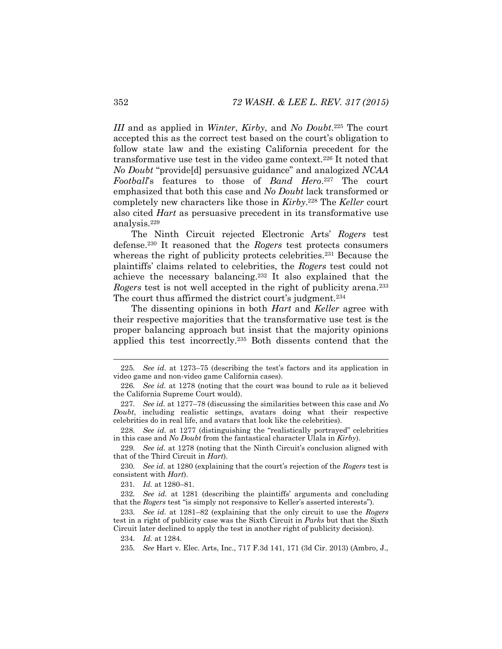*III* and as applied in *Winter*, *Kirby*, and *No Doubt*. <sup>225</sup> The court accepted this as the correct test based on the court's obligation to follow state law and the existing California precedent for the transformative use test in the video game context.<sup>226</sup> It noted that *No Doubt* "provide[d] persuasive guidance" and analogized *NCAA Football*'s features to those of *Band Hero*. <sup>227</sup> The court emphasized that both this case and *No Doubt* lack transformed or completely new characters like those in *Kirby*. <sup>228</sup> The *Keller* court also cited *Hart* as persuasive precedent in its transformative use analysis.<sup>229</sup>

The Ninth Circuit rejected Electronic Arts' *Rogers* test defense.<sup>230</sup> It reasoned that the *Rogers* test protects consumers whereas the right of publicity protects celebrities.<sup>231</sup> Because the plaintiffs' claims related to celebrities, the *Rogers* test could not achieve the necessary balancing.<sup>232</sup> It also explained that the *Rogers* test is not well accepted in the right of publicity arena.<sup>233</sup> The court thus affirmed the district court's judgment.<sup>234</sup>

The dissenting opinions in both *Hart* and *Keller* agree with their respective majorities that the transformative use test is the proper balancing approach but insist that the majority opinions applied this test incorrectly.<sup>235</sup> Both dissents contend that the

228*. See id.* at 1277 (distinguishing the "realistically portrayed" celebrities in this case and *No Doubt* from the fantastical character Ulala in *Kirby*).

<sup>225</sup>*. See id.* at 1273–75 (describing the test's factors and its application in video game and non-video game California cases).

<sup>226</sup>*. See id.* at 1278 (noting that the court was bound to rule as it believed the California Supreme Court would).

<sup>227</sup>*. See id.* at 1277–78 (discussing the similarities between this case and *No Doubt*, including realistic settings, avatars doing what their respective celebrities do in real life, and avatars that look like the celebrities).

<sup>229</sup>*. See id.* at 1278 (noting that the Ninth Circuit's conclusion aligned with that of the Third Circuit in *Hart*).

<sup>230</sup>*. See id.* at 1280 (explaining that the court's rejection of the *Rogers* test is consistent with *Hart*).

<sup>231</sup>*. Id.* at 1280–81.

<sup>232</sup>*. See id.* at 1281 (describing the plaintiffs' arguments and concluding that the *Rogers* test "is simply not responsive to Keller's asserted interests").

<sup>233</sup>*. See id.* at 1281–82 (explaining that the only circuit to use the *Rogers*  test in a right of publicity case was the Sixth Circuit in *Parks* but that the Sixth Circuit later declined to apply the test in another right of publicity decision).

<sup>234</sup>*. Id.* at 1284.

<sup>235</sup>*. See* Hart v. Elec. Arts, Inc., 717 F.3d 141, 171 (3d Cir. 2013) (Ambro, J.,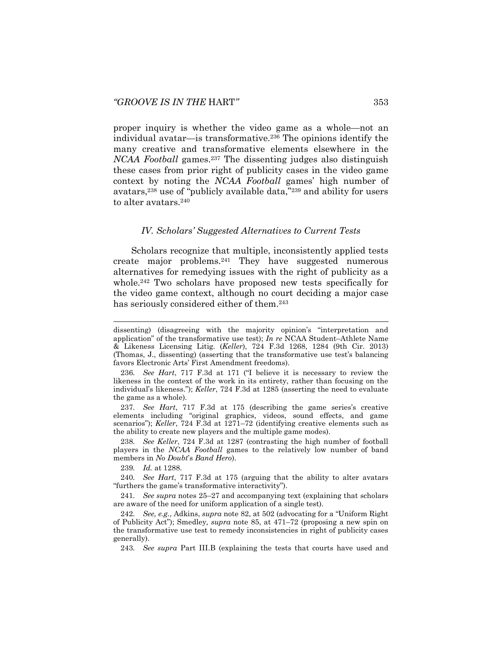proper inquiry is whether the video game as a whole—not an individual avatar—is transformative.<sup>236</sup> The opinions identify the many creative and transformative elements elsewhere in the *NCAA Football* games.<sup>237</sup> The dissenting judges also distinguish these cases from prior right of publicity cases in the video game context by noting the *NCAA Football* games' high number of avatars,<sup>238</sup> use of "publicly available data,"<sup>239</sup> and ability for users to alter avatars.<sup>240</sup>

#### *IV. Scholars' Suggested Alternatives to Current Tests*

Scholars recognize that multiple, inconsistently applied tests create major problems.<sup>241</sup> They have suggested numerous alternatives for remedying issues with the right of publicity as a whole.<sup>242</sup> Two scholars have proposed new tests specifically for the video game context, although no court deciding a major case has seriously considered either of them.<sup>243</sup>

237*. See Hart*, 717 F.3d at 175 (describing the game series's creative elements including "original graphics, videos, sound effects, and game scenarios"); *Keller*, 724 F.3d at 1271–72 (identifying creative elements such as the ability to create new players and the multiple game modes).

238*. See Keller*, 724 F.3d at 1287 (contrasting the high number of football players in the *NCAA Football* games to the relatively low number of band members in *No Doubt*'s *Band Hero*).

239*. Id.* at 1288.

240*. See Hart*, 717 F.3d at 175 (arguing that the ability to alter avatars "furthers the game's transformative interactivity").

241*. See supra* notes [25](#page-5-1)–[27](#page-6-1) and accompanying text (explaining that scholars are aware of the need for uniform application of a single test).

242*. See, e.g.*, Adkins, *supra* not[e 82](#page-14-1), at 502 (advocating for a "Uniform Right of Publicity Act"); Smedley*, supra* note [85,](#page-15-1) at 471–72 (proposing a new spin on the transformative use test to remedy inconsistencies in right of publicity cases generally).

243*. See supra* Part III.B (explaining the tests that courts have used and

dissenting) (disagreeing with the majority opinion's "interpretation and application" of the transformative use test); *In re* NCAA Student–Athlete Name & Likeness Licensing Litig. (*Keller*), 724 F.3d 1268, 1284 (9th Cir. 2013) (Thomas, J., dissenting) (asserting that the transformative use test's balancing favors Electronic Arts' First Amendment freedoms).

<sup>236</sup>*. See Hart*, 717 F.3d at 171 ("I believe it is necessary to review the likeness in the context of the work in its entirety, rather than focusing on the individual's likeness."); *Keller*, 724 F.3d at 1285 (asserting the need to evaluate the game as a whole).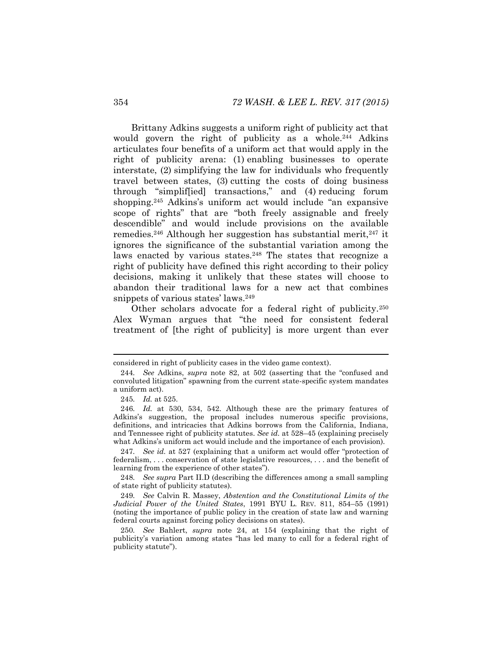Brittany Adkins suggests a uniform right of publicity act that would govern the right of publicity as a whole.<sup>244</sup> Adkins articulates four benefits of a uniform act that would apply in the right of publicity arena: (1) enabling businesses to operate interstate, (2) simplifying the law for individuals who frequently travel between states, (3) cutting the costs of doing business through "simplif[ied] transactions," and (4) reducing forum shopping.<sup>245</sup> Adkins's uniform act would include "an expansive scope of rights" that are "both freely assignable and freely descendible" and would include provisions on the available remedies.<sup>246</sup> Although her suggestion has substantial merit,<sup>247</sup> it ignores the significance of the substantial variation among the laws enacted by various states.<sup>248</sup> The states that recognize a right of publicity have defined this right according to their policy decisions, making it unlikely that these states will choose to abandon their traditional laws for a new act that combines snippets of various states' laws.<sup>249</sup>

Other scholars advocate for a federal right of publicity.<sup>250</sup> Alex Wyman argues that "the need for consistent federal treatment of [the right of publicity] is more urgent than ever

considered in right of publicity cases in the video game context).

<sup>244</sup>*. See* Adkins, *supra* note [82](#page-14-1), at 502 (asserting that the "confused and convoluted litigation" spawning from the current state-specific system mandates a uniform act).

<sup>245</sup>*. Id.* at 525.

<sup>246</sup>*. Id.* at 530, 534, 542. Although these are the primary features of Adkins's suggestion, the proposal includes numerous specific provisions, definitions, and intricacies that Adkins borrows from the California, Indiana, and Tennessee right of publicity statutes. *See id.* at 528–45 (explaining precisely what Adkins's uniform act would include and the importance of each provision).

<sup>247</sup>*. See id.* at 527 (explaining that a uniform act would offer "protection of federalism, . . . conservation of state legislative resources, . . . and the benefit of learning from the experience of other states").

<sup>248</sup>*. See supra* Part II.D (describing the differences among a small sampling of state right of publicity statutes).

<sup>249</sup>*. See* Calvin R. Massey, *Abstention and the Constitutional Limits of the Judicial Power of the United States*, 1991 BYU L. REV. 811, 854–55 (1991) (noting the importance of public policy in the creation of state law and warning federal courts against forcing policy decisions on states).

<sup>250</sup>*. See* Bahlert, *supra* note [24,](#page-5-0) at 154 (explaining that the right of publicity's variation among states "has led many to call for a federal right of publicity statute").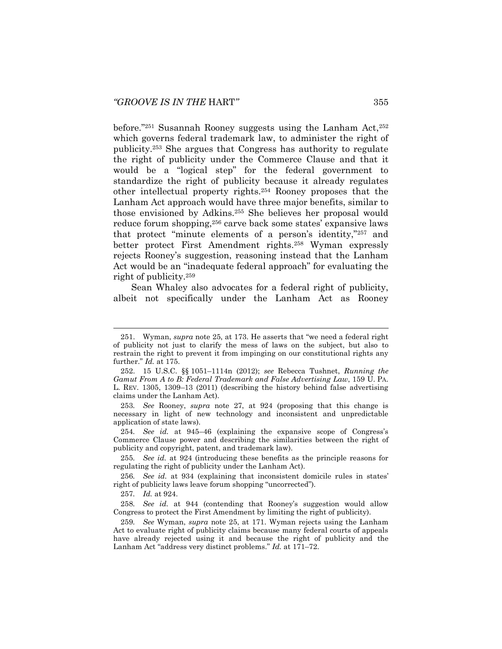before."<sup>251</sup> Susannah Rooney suggests using the Lanham Act,<sup>252</sup> which governs federal trademark law, to administer the right of publicity.<sup>253</sup> She argues that Congress has authority to regulate the right of publicity under the Commerce Clause and that it would be a "logical step" for the federal government to standardize the right of publicity because it already regulates other intellectual property rights.<sup>254</sup> Rooney proposes that the Lanham Act approach would have three major benefits, similar to those envisioned by Adkins.<sup>255</sup> She believes her proposal would reduce forum shopping,<sup>256</sup> carve back some states' expansive laws that protect "minute elements of a person's identity,"<sup>257</sup> and better protect First Amendment rights.<sup>258</sup> Wyman expressly rejects Rooney's suggestion, reasoning instead that the Lanham Act would be an "inadequate federal approach" for evaluating the right of publicity.<sup>259</sup>

Sean Whaley also advocates for a federal right of publicity, albeit not specifically under the Lanham Act as Rooney

<sup>251.</sup> Wyman, *supra* note [25](#page-5-1), at 173. He asserts that "we need a federal right of publicity not just to clarify the mess of laws on the subject, but also to restrain the right to prevent it from impinging on our constitutional rights any further." *Id.* at 175.

<sup>252.</sup> 15 U.S.C. §§ 1051–1114n (2012); *see* Rebecca Tushnet, *Running the Gamut From A to B: Federal Trademark and False Advertising Law*, 159 U. PA. L. REV. 1305, 1309–13 (2011) (describing the history behind false advertising claims under the Lanham Act).

<sup>253</sup>*. See* Rooney, *supra* note [27,](#page-6-1) at 924 (proposing that this change is necessary in light of new technology and inconsistent and unpredictable application of state laws).

<sup>254</sup>*. See id.* at 945–46 (explaining the expansive scope of Congress's Commerce Clause power and describing the similarities between the right of publicity and copyright, patent, and trademark law).

<sup>255</sup>*. See id.* at 924 (introducing these benefits as the principle reasons for regulating the right of publicity under the Lanham Act).

<sup>256</sup>*. See id.* at 934 (explaining that inconsistent domicile rules in states' right of publicity laws leave forum shopping "uncorrected").

<sup>257</sup>*. Id.* at 924.

<sup>258</sup>*. See id.* at 944 (contending that Rooney's suggestion would allow Congress to protect the First Amendment by limiting the right of publicity).

<sup>259</sup>*. See* Wyman, *supra* note [25,](#page-5-1) at 171. Wyman rejects using the Lanham Act to evaluate right of publicity claims because many federal courts of appeals have already rejected using it and because the right of publicity and the Lanham Act "address very distinct problems." *Id.* at 171–72.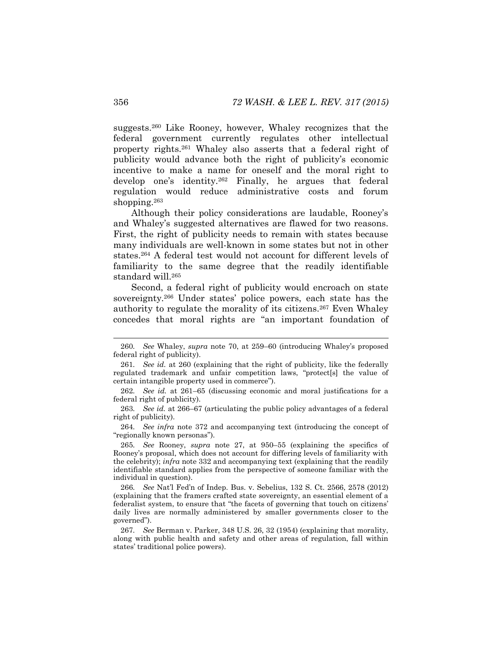suggests.<sup>260</sup> Like Rooney, however, Whaley recognizes that the federal government currently regulates other intellectual property rights.<sup>261</sup> Whaley also asserts that a federal right of publicity would advance both the right of publicity's economic incentive to make a name for oneself and the moral right to develop one's identity.<sup>262</sup> Finally, he argues that federal regulation would reduce administrative costs and forum shopping.<sup>263</sup>

Although their policy considerations are laudable, Rooney's and Whaley's suggested alternatives are flawed for two reasons. First, the right of publicity needs to remain with states because many individuals are well-known in some states but not in other states.<sup>264</sup> A federal test would not account for different levels of familiarity to the same degree that the readily identifiable standard will.<sup>265</sup>

Second, a federal right of publicity would encroach on state sovereignty.<sup>266</sup> Under states' police powers, each state has the authority to regulate the morality of its citizens.<sup>267</sup> Even Whaley concedes that moral rights are "an important foundation of

264*. See infra* note [372](#page-56-0) and accompanying text (introducing the concept of "regionally known personas").

265*. See* Rooney, *supra* note [27,](#page-6-1) at 950–55 (explaining the specifics of Rooney's proposal, which does not account for differing levels of familiarity with the celebrity); *infra* note [332](#page-50-0) and accompanying text (explaining that the readily identifiable standard applies from the perspective of someone familiar with the individual in question).

266*. See* Nat'l Fed'n of Indep. Bus. v. Sebelius, 132 S. Ct. 2566, 2578 (2012) (explaining that the framers crafted state sovereignty, an essential element of a federalist system, to ensure that "the facets of governing that touch on citizens' daily lives are normally administered by smaller governments closer to the governed").

267*. See* Berman v. Parker, 348 U.S. 26, 32 (1954) (explaining that morality, along with public health and safety and other areas of regulation, fall within states' traditional police powers).

<sup>260</sup>*. See* Whaley, *supra* note [70,](#page-12-0) at 259–60 (introducing Whaley's proposed federal right of publicity).

<sup>261</sup>*. See id.* at 260 (explaining that the right of publicity, like the federally regulated trademark and unfair competition laws, "protect[s] the value of certain intangible property used in commerce").

<sup>262</sup>*. See id.* at 261–65 (discussing economic and moral justifications for a federal right of publicity).

<sup>263</sup>*. See id.* at 266–67 (articulating the public policy advantages of a federal right of publicity).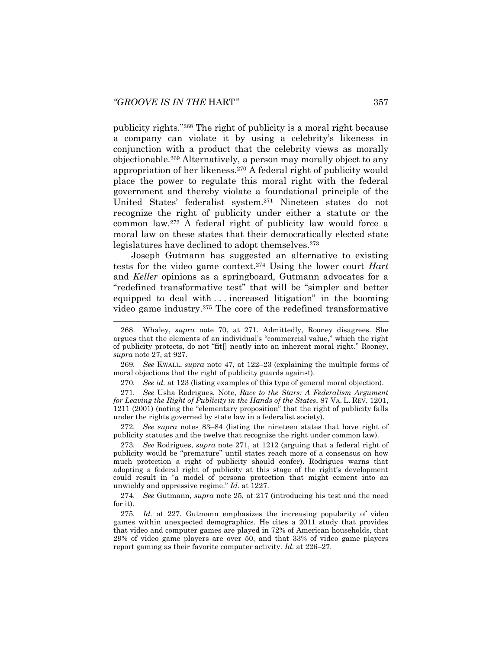<span id="page-41-1"></span><span id="page-41-0"></span>publicity rights."<sup>268</sup> The right of publicity is a moral right because a company can violate it by using a celebrity's likeness in conjunction with a product that the celebrity views as morally objectionable.<sup>269</sup> Alternatively, a person may morally object to any appropriation of her likeness.<sup>270</sup> A federal right of publicity would place the power to regulate this moral right with the federal government and thereby violate a foundational principle of the United States' federalist system.<sup>271</sup> Nineteen states do not recognize the right of publicity under either a statute or the common law.<sup>272</sup> A federal right of publicity law would force a moral law on these states that their democratically elected state legislatures have declined to adopt themselves.<sup>273</sup>

<span id="page-41-2"></span>Joseph Gutmann has suggested an alternative to existing tests for the video game context.<sup>274</sup> Using the lower court *Hart* and *Keller* opinions as a springboard, Gutmann advocates for a "redefined transformative test" that will be "simpler and better equipped to deal with . . . increased litigation" in the booming video game industry.<sup>275</sup> The core of the redefined transformative

269*. See* KWALL, *supra* note [47,](#page-9-0) at 122–23 (explaining the multiple forms of moral objections that the right of publicity guards against).

270*. See id.* at 123 (listing examples of this type of general moral objection).

271*. See* Usha Rodrigues, Note, *Race to the Stars: A Federalism Argument for Leaving the Right of Publicity in the Hands of the States*, 87 VA. L. REV. 1201, 1211 (2001) (noting the "elementary proposition" that the right of publicity falls under the rights governed by state law in a federalist society).

272*. See supra* notes [83](#page-14-0)–[84](#page-15-0) (listing the nineteen states that have right of publicity statutes and the twelve that recognize the right under common law).

273*. See* Rodrigues, *supra* note [271,](#page-41-2) at 1212 (arguing that a federal right of publicity would be "premature" until states reach more of a consensus on how much protection a right of publicity should confer). Rodrigues warns that adopting a federal right of publicity at this stage of the right's development could result in "a model of persona protection that might cement into an unwieldy and oppressive regime." *Id.* at 1227.

274*. See* Gutmann, *supra* note [25,](#page-5-1) at 217 (introducing his test and the need for it).

275*. Id.* at 227. Gutmann emphasizes the increasing popularity of video games within unexpected demographics. He cites a 2011 study that provides that video and computer games are played in 72% of American households, that 29% of video game players are over 50, and that 33% of video game players report gaming as their favorite computer activity. *Id.* at 226–27.

<sup>268.</sup> Whaley, *supra* note [70,](#page-12-0) at 271. Admittedly, Rooney disagrees. She argues that the elements of an individual's "commercial value," which the right of publicity protects, do not "fit[] neatly into an inherent moral right." Rooney, *supra* note [27,](#page-6-1) at 927.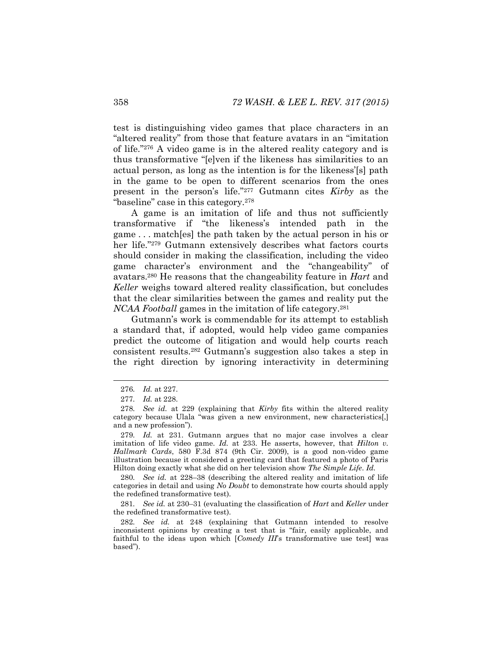test is distinguishing video games that place characters in an "altered reality" from those that feature avatars in an "imitation of life."<sup>276</sup> A video game is in the altered reality category and is thus transformative "[e]ven if the likeness has similarities to an actual person, as long as the intention is for the likeness'[s] path in the game to be open to different scenarios from the ones present in the person's life."<sup>277</sup> Gutmann cites *Kirby* as the "baseline" case in this category.<sup>278</sup>

<span id="page-42-1"></span><span id="page-42-0"></span>A game is an imitation of life and thus not sufficiently transformative if "the likeness's intended path in the game . . . match[es] the path taken by the actual person in his or her life."<sup>279</sup> Gutmann extensively describes what factors courts should consider in making the classification, including the video game character's environment and the "changeability" of avatars.<sup>280</sup> He reasons that the changeability feature in *Hart* and *Keller* weighs toward altered reality classification, but concludes that the clear similarities between the games and reality put the *NCAA Football* games in the imitation of life category.<sup>281</sup>

Gutmann's work is commendable for its attempt to establish a standard that, if adopted, would help video game companies predict the outcome of litigation and would help courts reach consistent results.<sup>282</sup> Gutmann's suggestion also takes a step in the right direction by ignoring interactivity in determining

280*. See id.* at 228–38 (describing the altered reality and imitation of life categories in detail and using *No Doubt* to demonstrate how courts should apply the redefined transformative test).

281*. See id.* at 230–31 (evaluating the classification of *Hart* and *Keller* under the redefined transformative test).

282*. See id.* at 248 (explaining that Gutmann intended to resolve inconsistent opinions by creating a test that is "fair, easily applicable, and faithful to the ideas upon which [*Comedy III*'s transformative use test] was based").

<sup>276</sup>*. Id.* at 227.

<sup>277</sup>*. Id.* at 228.

<sup>278</sup>*. See id.* at 229 (explaining that *Kirby* fits within the altered reality category because Ulala "was given a new environment, new characteristics[,] and a new profession").

<sup>279</sup>*. Id.* at 231. Gutmann argues that no major case involves a clear imitation of life video game. *Id.* at 233. He asserts, however, that *Hilton v. Hallmark Cards*, 580 F.3d 874 (9th Cir. 2009), is a good non-video game illustration because it considered a greeting card that featured a photo of Paris Hilton doing exactly what she did on her television show *The Simple Life*. *Id.*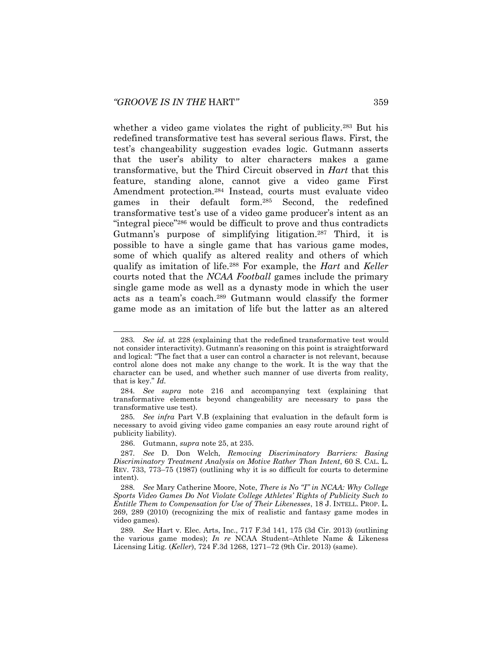<span id="page-43-3"></span><span id="page-43-2"></span><span id="page-43-1"></span><span id="page-43-0"></span>whether a video game violates the right of publicity.<sup>283</sup> But his redefined transformative test has several serious flaws. First, the test's changeability suggestion evades logic. Gutmann asserts that the user's ability to alter characters makes a game transformative, but the Third Circuit observed in *Hart* that this feature, standing alone, cannot give a video game First Amendment protection.<sup>284</sup> Instead, courts must evaluate video games in their default form.<sup>285</sup> Second, the redefined transformative test's use of a video game producer's intent as an "integral piece"<sup>286</sup> would be difficult to prove and thus contradicts Gutmann's purpose of simplifying litigation.<sup>287</sup> Third, it is possible to have a single game that has various game modes, some of which qualify as altered reality and others of which qualify as imitation of life.<sup>288</sup> For example, the *Hart* and *Keller* courts noted that the *NCAA Football* games include the primary single game mode as well as a dynasty mode in which the user acts as a team's coach.<sup>289</sup> Gutmann would classify the former game mode as an imitation of life but the latter as an altered

285*. See infra* Part V.B (explaining that evaluation in the default form is necessary to avoid giving video game companies an easy route around right of publicity liability).

286. Gutmann, *supra* note [25,](#page-5-1) at 235.

<sup>283</sup>*. See id.* at 228 (explaining that the redefined transformative test would not consider interactivity). Gutmann's reasoning on this point is straightforward and logical: "The fact that a user can control a character is not relevant, because control alone does not make any change to the work. It is the way that the character can be used, and whether such manner of use diverts from reality, that is key." *Id.*

<sup>284</sup>*. See supra* note [216](#page-34-0) and accompanying text (explaining that transformative elements beyond changeability are necessary to pass the transformative use test).

<sup>287</sup>*. See* D. Don Welch, *Removing Discriminatory Barriers: Basing Discriminatory Treatment Analysis on Motive Rather Than Intent*, 60 S. CAL. L. REV. 733, 773–75 (1987) (outlining why it is so difficult for courts to determine intent).

<sup>288</sup>*. See* Mary Catherine Moore, Note, *There is No "I" in NCAA: Why College Sports Video Games Do Not Violate College Athletes' Rights of Publicity Such to Entitle Them to Compensation for Use of Their Likenesses*, 18 J. INTELL. PROP. L. 269, 289 (2010) (recognizing the mix of realistic and fantasy game modes in video games).

<sup>289</sup>*. See* Hart v. Elec. Arts, Inc., 717 F.3d 141, 175 (3d Cir. 2013) (outlining the various game modes); *In re* NCAA Student–Athlete Name & Likeness Licensing Litig. (*Keller*), 724 F.3d 1268, 1271–72 (9th Cir. 2013) (same).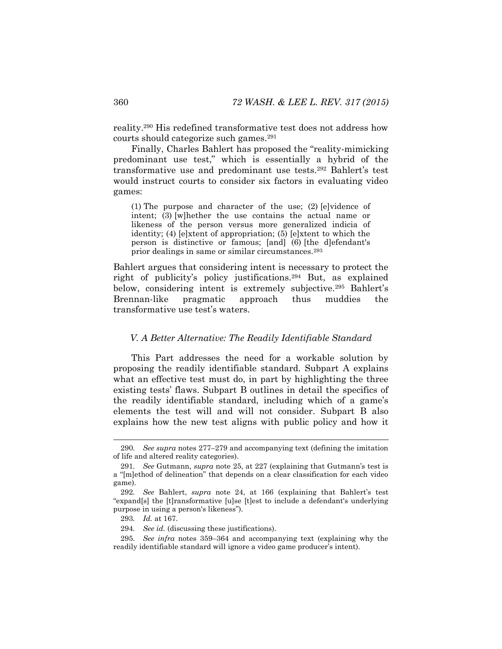reality.<sup>290</sup> His redefined transformative test does not address how courts should categorize such games.<sup>291</sup>

Finally, Charles Bahlert has proposed the "reality-mimicking predominant use test," which is essentially a hybrid of the transformative use and predominant use tests.<sup>292</sup> Bahlert's test would instruct courts to consider six factors in evaluating video games:

(1) The purpose and character of the use; (2) [e]vidence of intent; (3) [w]hether the use contains the actual name or likeness of the person versus more generalized indicia of identity; (4) [e]xtent of appropriation; (5) [e]xtent to which the person is distinctive or famous; [and] (6) [the d]efendant's prior dealings in same or similar circumstances.<sup>293</sup>

Bahlert argues that considering intent is necessary to protect the right of publicity's policy justifications.<sup>294</sup> But, as explained below, considering intent is extremely subjective.<sup>295</sup> Bahlert's Brennan-like pragmatic approach thus muddies the transformative use test's waters.

### *V. A Better Alternative: The Readily Identifiable Standard*

This Part addresses the need for a workable solution by proposing the readily identifiable standard. Subpart A explains what an effective test must do, in part by highlighting the three existing tests' flaws. Subpart B outlines in detail the specifics of the readily identifiable standard, including which of a game's elements the test will and will not consider. Subpart B also explains how the new test aligns with public policy and how it

<sup>290</sup>*. See supra* notes [277](#page-42-0)–[279](#page-42-1) and accompanying text (defining the imitation of life and altered reality categories).

<sup>291</sup>*. See* Gutmann, *supra* note [25,](#page-5-1) at 227 (explaining that Gutmann's test is a "[m]ethod of delineation" that depends on a clear classification for each video game).

<sup>292</sup>*. See* Bahlert, *supra* note [24,](#page-5-0) at 166 (explaining that Bahlert's test "expand[s] the [t]ransformative [u]se [t]est to include a defendant's underlying purpose in using a person's likeness").

<sup>293</sup>*. Id.* at 167.

<sup>294</sup>*. See id.* (discussing these justifications).

<sup>295</sup>*. See infra* notes [359](#page-55-0)–[364](#page-55-1) and accompanying text (explaining why the readily identifiable standard will ignore a video game producer's intent).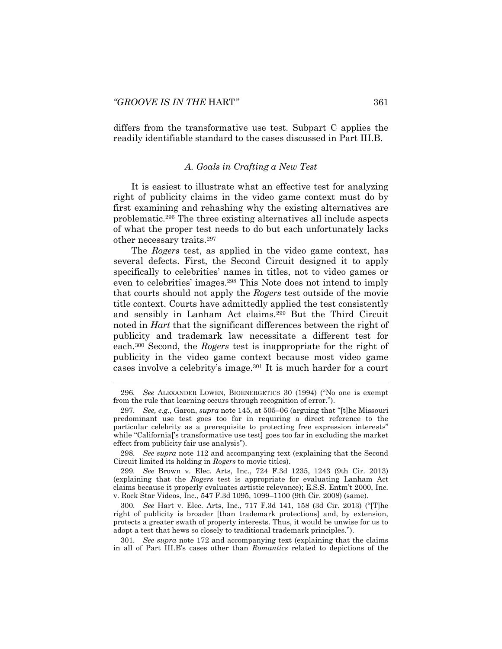l

differs from the transformative use test. Subpart C applies the readily identifiable standard to the cases discussed in Part III.B.

# *A. Goals in Crafting a New Test*

It is easiest to illustrate what an effective test for analyzing right of publicity claims in the video game context must do by first examining and rehashing why the existing alternatives are problematic.<sup>296</sup> The three existing alternatives all include aspects of what the proper test needs to do but each unfortunately lacks other necessary traits.<sup>297</sup>

The *Rogers* test, as applied in the video game context, has several defects. First, the Second Circuit designed it to apply specifically to celebrities' names in titles, not to video games or even to celebrities' images.<sup>298</sup> This Note does not intend to imply that courts should not apply the *Rogers* test outside of the movie title context. Courts have admittedly applied the test consistently and sensibly in Lanham Act claims.<sup>299</sup> But the Third Circuit noted in *Hart* that the significant differences between the right of publicity and trademark law necessitate a different test for each.<sup>300</sup> Second, the *Rogers* test is inappropriate for the right of publicity in the video game context because most video game cases involve a celebrity's image.<sup>301</sup> It is much harder for a court

298*. See supra* note [112](#page-19-0) and accompanying text (explaining that the Second Circuit limited its holding in *Rogers* to movie titles).

299*. See* Brown v. Elec. Arts, Inc., 724 F.3d 1235, 1243 (9th Cir. 2013) (explaining that the *Rogers* test is appropriate for evaluating Lanham Act claims because it properly evaluates artistic relevance); E.S.S. Entm't 2000, Inc. v. Rock Star Videos, Inc., 547 F.3d 1095, 1099–1100 (9th Cir. 2008) (same).

300*. See* Hart v. Elec. Arts, Inc., 717 F.3d 141, 158 (3d Cir. 2013) ("[T]he right of publicity is broader [than trademark protections] and, by extension, protects a greater swath of property interests. Thus, it would be unwise for us to adopt a test that hews so closely to traditional trademark principles.").

301*. See supra* note [172](#page-28-0) and accompanying text (explaining that the claims in all of Part III.B's cases other than *Romantics* related to depictions of the

<sup>296</sup>*. See* ALEXANDER LOWEN, BIOENERGETICS 30 (1994) ("No one is exempt from the rule that learning occurs through recognition of error.").

<sup>297</sup>*. See, e.g.*, Garon, *supra* note [145,](#page-24-0) at 505–06 (arguing that "[t]he Missouri predominant use test goes too far in requiring a direct reference to the particular celebrity as a prerequisite to protecting free expression interests" while "California['s transformative use test] goes too far in excluding the market effect from publicity fair use analysis").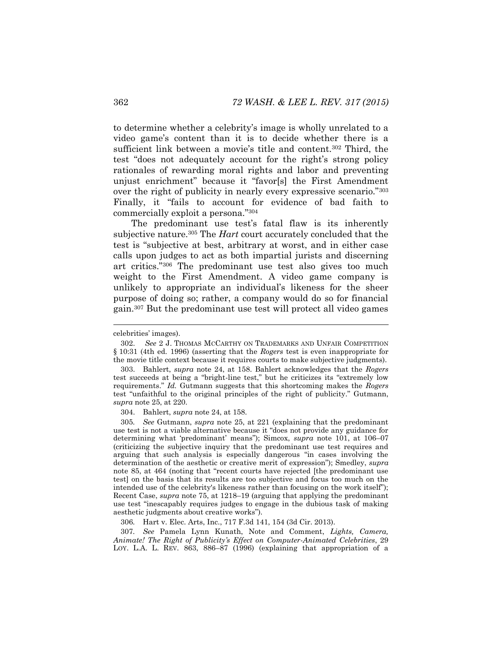to determine whether a celebrity's image is wholly unrelated to a video game's content than it is to decide whether there is a sufficient link between a movie's title and content.<sup>302</sup> Third, the test "does not adequately account for the right's strong policy rationales of rewarding moral rights and labor and preventing unjust enrichment" because it "favor[s] the First Amendment over the right of publicity in nearly every expressive scenario."<sup>303</sup> Finally, it "fails to account for evidence of bad faith to commercially exploit a persona."<sup>304</sup>

<span id="page-46-1"></span><span id="page-46-0"></span>The predominant use test's fatal flaw is its inherently subjective nature.<sup>305</sup> The *Hart* court accurately concluded that the test is "subjective at best, arbitrary at worst, and in either case calls upon judges to act as both impartial jurists and discerning art critics."<sup>306</sup> The predominant use test also gives too much weight to the First Amendment. A video game company is unlikely to appropriate an individual's likeness for the sheer purpose of doing so; rather, a company would do so for financial gain.<sup>307</sup> But the predominant use test will protect all video games

l

304. Bahlert, *supra* note [24,](#page-5-0) at 158.

305*. See* Gutmann, *supra* note [25,](#page-5-1) at 221 (explaining that the predominant use test is not a viable alternative because it "does not provide any guidance for determining what 'predominant' means"); Simcox, *supra* note [101,](#page-18-0) at 106–07 (criticizing the subjective inquiry that the predominant use test requires and arguing that such analysis is especially dangerous "in cases involving the determination of the aesthetic or creative merit of expression"); Smedley, *supra* note [85](#page-15-1), at 464 (noting that "recent courts have rejected [the predominant use test] on the basis that its results are too subjective and focus too much on the intended use of the celebrity's likeness rather than focusing on the work itself"); Recent Case, *supra* note [75,](#page-13-0) at 1218–19 (arguing that applying the predominant use test "inescapably requires judges to engage in the dubious task of making aesthetic judgments about creative works").

306*.* Hart v. Elec. Arts, Inc., 717 F.3d 141, 154 (3d Cir. 2013).

307*. See* Pamela Lynn Kunath, Note and Comment, *Lights, Camera, Animate! The Right of Publicity's Effect on Computer-Animated Celebrities*, 29 LOY. L.A. L. REV. 863, 886–87 (1996) (explaining that appropriation of a

celebrities' images).

<sup>302.</sup> *See* 2 J. THOMAS MCCARTHY ON TRADEMARKS AND UNFAIR COMPETITION § 10:31 (4th ed. 1996) (asserting that the *Rogers* test is even inappropriate for the movie title context because it requires courts to make subjective judgments).

<sup>303.</sup> Bahlert, *supra* note [24,](#page-5-0) at 158. Bahlert acknowledges that the *Rogers* test succeeds at being a "bright-line test," but he criticizes its "extremely low requirements." *Id.* Gutmann suggests that this shortcoming makes the *Rogers* test "unfaithful to the original principles of the right of publicity." Gutmann, *supra* note [25,](#page-5-1) at 220.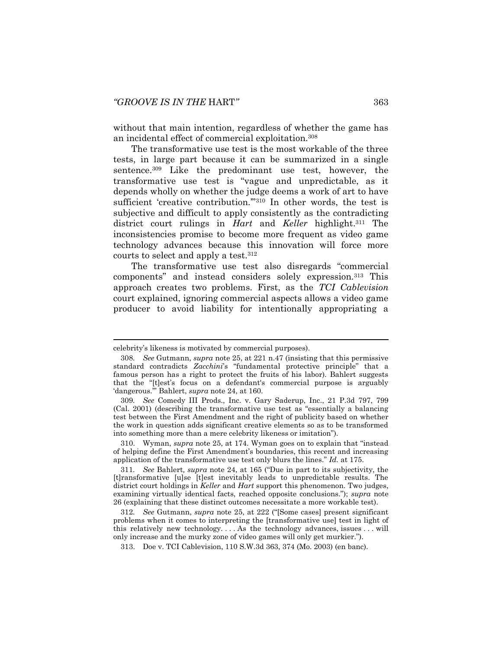without that main intention, regardless of whether the game has an incidental effect of commercial exploitation.<sup>308</sup>

<span id="page-47-0"></span>The transformative use test is the most workable of the three tests, in large part because it can be summarized in a single sentence.<sup>309</sup> Like the predominant use test, however, the transformative use test is "vague and unpredictable, as it depends wholly on whether the judge deems a work of art to have sufficient 'creative contribution."<sup>310</sup> In other words, the test is subjective and difficult to apply consistently as the contradicting district court rulings in *Hart* and *Keller* highlight.<sup>311</sup> The inconsistencies promise to become more frequent as video game technology advances because this innovation will force more courts to select and apply a test.<sup>312</sup>

<span id="page-47-1"></span>The transformative use test also disregards "commercial components" and instead considers solely expression.<sup>313</sup> This approach creates two problems. First, as the *TCI Cablevision* court explained, ignoring commercial aspects allows a video game producer to avoid liability for intentionally appropriating a

l

310. Wyman, *supra* note [25](#page-5-1), at 174. Wyman goes on to explain that "instead of helping define the First Amendment's boundaries, this recent and increasing application of the transformative use test only blurs the lines." *Id.* at 175.

celebrity's likeness is motivated by commercial purposes).

<sup>308</sup>*. See* Gutmann, *supra* note [25,](#page-5-1) at 221 n.47 (insisting that this permissive standard contradicts *Zacchini*'s "fundamental protective principle" that a famous person has a right to protect the fruits of his labor). Bahlert suggests that the "[t]est's focus on a defendant's commercial purpose is arguably 'dangerous.'" Bahlert, *supra* note [24,](#page-5-0) at 160.

<sup>309</sup>*. See* Comedy III Prods., Inc. v. Gary Saderup, Inc., 21 P.3d 797, 799 (Cal. 2001) (describing the transformative use test as "essentially a balancing test between the First Amendment and the right of publicity based on whether the work in question adds significant creative elements so as to be transformed into something more than a mere celebrity likeness or imitation").

<sup>311</sup>*. See* Bahlert*, supra* note [24](#page-5-0), at 165 ("Due in part to its subjectivity, the [t]ransformative [u]se [t]est inevitably leads to unpredictable results. The district court holdings in *Keller* and *Hart* support this phenomenon. Two judges, examining virtually identical facts, reached opposite conclusions."); *supra* note [26](#page-6-0) (explaining that these distinct outcomes necessitate a more workable test).

<sup>312</sup>*. See* Gutmann, *supra* note [25](#page-5-1), at 222 ("[Some cases] present significant problems when it comes to interpreting the [transformative use] test in light of this relatively new technology. . . . As the technology advances, issues . . . will only increase and the murky zone of video games will only get murkier.").

<sup>313.</sup> Doe v. TCI Cablevision, 110 S.W.3d 363, 374 (Mo. 2003) (en banc).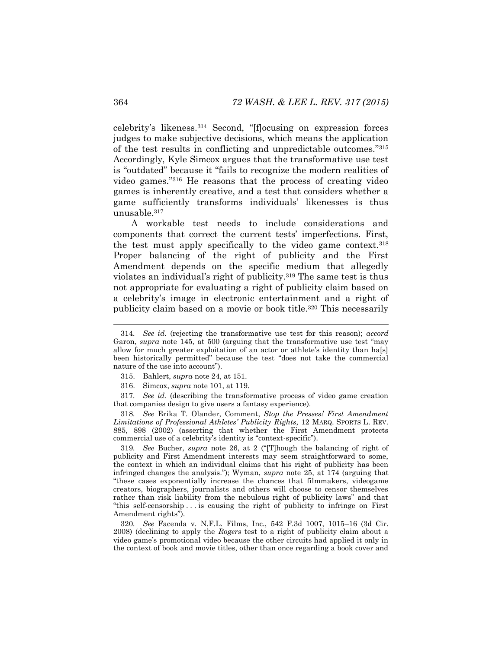celebrity's likeness.<sup>314</sup> Second, "[f]ocusing on expression forces judges to make subjective decisions, which means the application of the test results in conflicting and unpredictable outcomes."<sup>315</sup> Accordingly, Kyle Simcox argues that the transformative use test is "outdated" because it "fails to recognize the modern realities of video games."<sup>316</sup> He reasons that the process of creating video games is inherently creative, and a test that considers whether a game sufficiently transforms individuals' likenesses is thus unusable.<sup>317</sup>

A workable test needs to include considerations and components that correct the current tests' imperfections. First, the test must apply specifically to the video game context.<sup>318</sup> Proper balancing of the right of publicity and the First Amendment depends on the specific medium that allegedly violates an individual's right of publicity.<sup>319</sup> The same test is thus not appropriate for evaluating a right of publicity claim based on a celebrity's image in electronic entertainment and a right of publicity claim based on a movie or book title.<sup>320</sup> This necessarily

317*. See id.* (describing the transformative process of video game creation that companies design to give users a fantasy experience).

318*. See* Erika T. Olander, Comment, *Stop the Presses! First Amendment Limitations of Professional Athletes' Publicity Rights*, 12 MARQ. SPORTS L. REV. 885, 898 (2002) (asserting that whether the First Amendment protects commercial use of a celebrity's identity is "context-specific").

319*. See* Bucher, *supra* note [26](#page-6-0), at 2 ("[T]hough the balancing of right of publicity and First Amendment interests may seem straightforward to some, the context in which an individual claims that his right of publicity has been infringed changes the analysis."); Wyman, *supra* note [25,](#page-5-1) at 174 (arguing that "these cases exponentially increase the chances that filmmakers, videogame creators, biographers, journalists and others will choose to censor themselves rather than risk liability from the nebulous right of publicity laws" and that "this self-censorship . . . is causing the right of publicity to infringe on First Amendment rights").

320*. See* Facenda v. N.F.L. Films, Inc., 542 F.3d 1007, 1015–16 (3d Cir. 2008) (declining to apply the *Rogers* test to a right of publicity claim about a video game's promotional video because the other circuits had applied it only in the context of book and movie titles, other than once regarding a book cover and

<sup>314</sup>*. See id.* (rejecting the transformative use test for this reason); *accord* Garon, *supra* note [145](#page-24-0), at 500 (arguing that the transformative use test "may allow for much greater exploitation of an actor or athlete's identity than ha[s] been historically permitted" because the test "does not take the commercial nature of the use into account").

<sup>315.</sup> Bahlert, *supra* note [24,](#page-5-0) at 151.

<sup>316.</sup> Simcox, *supra* note [101,](#page-18-0) at 119.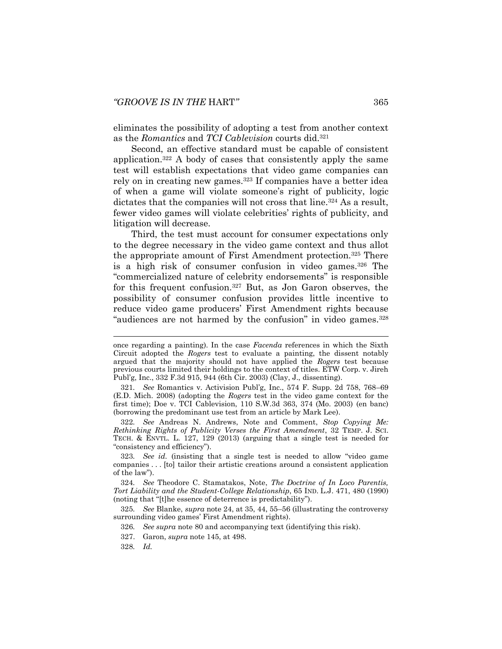eliminates the possibility of adopting a test from another context as the *Romantics* and *TCI Cablevision* courts did.<sup>321</sup>

<span id="page-49-2"></span>Second, an effective standard must be capable of consistent application.<sup>322</sup> A body of cases that consistently apply the same test will establish expectations that video game companies can rely on in creating new games.<sup>323</sup> If companies have a better idea of when a game will violate someone's right of publicity, logic dictates that the companies will not cross that line.<sup>324</sup> As a result, fewer video games will violate celebrities' rights of publicity, and litigation will decrease.

<span id="page-49-3"></span><span id="page-49-0"></span>Third, the test must account for consumer expectations only to the degree necessary in the video game context and thus allot the appropriate amount of First Amendment protection.<sup>325</sup> There is a high risk of consumer confusion in video games.<sup>326</sup> The "commercialized nature of celebrity endorsements" is responsible for this frequent confusion.<sup>327</sup> But, as Jon Garon observes, the possibility of consumer confusion provides little incentive to reduce video game producers' First Amendment rights because "audiences are not harmed by the confusion" in video games.<sup>328</sup>

322*. See* Andreas N. Andrews, Note and Comment, *Stop Copying Me: Rethinking Rights of Publicity Verses the First Amendment*, 32 TEMP. J. SCI. TECH. & ENVTL. L. 127, 129 (2013) (arguing that a single test is needed for "consistency and efficiency").

323*. See id.* (insisting that a single test is needed to allow "video game companies . . . [to] tailor their artistic creations around a consistent application of the law").

324*. See* Theodore C. Stamatakos, Note, *The Doctrine of In Loco Parentis, Tort Liability and the Student-College Relationship*, 65 IND. L.J. 471, 480 (1990) (noting that "[t]he essence of deterrence is predictability").

325*. See* Blanke, *supra* not[e 24,](#page-5-0) at 35, 44, 55–56 (illustrating the controversy surrounding video games' First Amendment rights).

326*. See supra* not[e 80](#page-14-2) and accompanying text (identifying this risk).

327. Garon, *supra* note [145,](#page-24-0) at 498.

328*. Id.*

<span id="page-49-1"></span>once regarding a painting). In the case *Facenda* references in which the Sixth Circuit adopted the *Rogers* test to evaluate a painting, the dissent notably argued that the majority should not have applied the *Rogers* test because previous courts limited their holdings to the context of titles. ETW Corp. v. Jireh Publ'g, Inc., 332 F.3d 915, 944 (6th Cir. 2003) (Clay, J., dissenting).

<sup>321</sup>*. See* Romantics v. Activision Publ'g, Inc., 574 F. Supp. 2d 758, 768–69 (E.D. Mich. 2008) (adopting the *Rogers* test in the video game context for the first time); Doe v. TCI Cablevision, 110 S.W.3d 363, 374 (Mo. 2003) (en banc) (borrowing the predominant use test from an article by Mark Lee).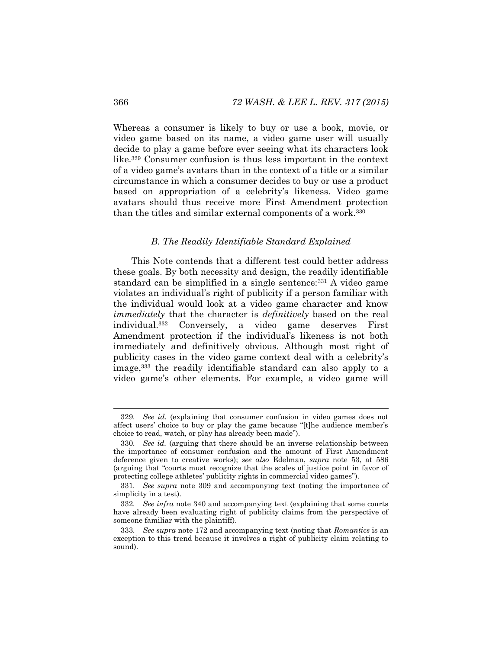Whereas a consumer is likely to buy or use a book, movie, or video game based on its name, a video game user will usually decide to play a game before ever seeing what its characters look like.<sup>329</sup> Consumer confusion is thus less important in the context of a video game's avatars than in the context of a title or a similar circumstance in which a consumer decides to buy or use a product based on appropriation of a celebrity's likeness. Video game avatars should thus receive more First Amendment protection than the titles and similar external components of a work.<sup>330</sup>

### <span id="page-50-1"></span>*B. The Readily Identifiable Standard Explained*

<span id="page-50-0"></span>This Note contends that a different test could better address these goals. By both necessity and design, the readily identifiable standard can be simplified in a single sentence:<sup>331</sup> A video game violates an individual's right of publicity if a person familiar with the individual would look at a video game character and know *immediately* that the character is *definitively* based on the real individual.<sup>332</sup> Conversely, a video game deserves First Amendment protection if the individual's likeness is not both immediately and definitively obvious. Although most right of publicity cases in the video game context deal with a celebrity's image,<sup>333</sup> the readily identifiable standard can also apply to a video game's other elements. For example, a video game will

<sup>329</sup>*. See id.* (explaining that consumer confusion in video games does not affect users' choice to buy or play the game because "[t]he audience member's choice to read, watch, or play has already been made").

<sup>330</sup>*. See id.* (arguing that there should be an inverse relationship between the importance of consumer confusion and the amount of First Amendment deference given to creative works); *see also* Edelman, *supra* note [53,](#page-10-0) at 586 (arguing that "courts must recognize that the scales of justice point in favor of protecting college athletes' publicity rights in commercial video games").

<sup>331</sup>*. See supra* note [309](#page-47-0) and accompanying text (noting the importance of simplicity in a test).

<sup>332</sup>*. See infra* note [340](#page-52-0) and accompanying text (explaining that some courts have already been evaluating right of publicity claims from the perspective of someone familiar with the plaintiff).

<sup>333</sup>*. See supra* note [172](#page-28-0) and accompanying text (noting that *Romantics* is an exception to this trend because it involves a right of publicity claim relating to sound).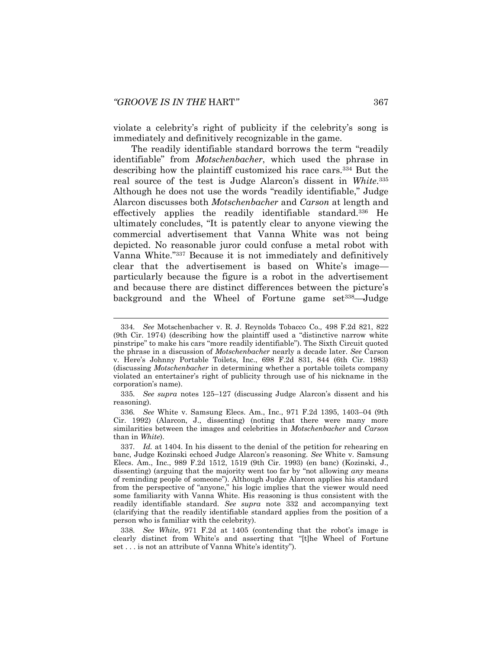violate a celebrity's right of publicity if the celebrity's song is immediately and definitively recognizable in the game.

The readily identifiable standard borrows the term "readily identifiable" from *Motschenbacher*, which used the phrase in describing how the plaintiff customized his race cars.<sup>334</sup> But the real source of the test is Judge Alarcon's dissent in *White*. 335 Although he does not use the words "readily identifiable," Judge Alarcon discusses both *Motschenbacher* and *Carson* at length and effectively applies the readily identifiable standard.<sup>336</sup> He ultimately concludes, "It is patently clear to anyone viewing the commercial advertisement that Vanna White was not being depicted. No reasonable juror could confuse a metal robot with Vanna White."<sup>337</sup> Because it is not immediately and definitively clear that the advertisement is based on White's image particularly because the figure is a robot in the advertisement and because there are distinct differences between the picture's background and the Wheel of Fortune game set<sup>338</sup>—Judge

<sup>334</sup>*. See* Motschenbacher v. R. J. Reynolds Tobacco Co.*,* 498 F.2d 821, 822 (9th Cir. 1974) (describing how the plaintiff used a "distinctive narrow white pinstripe" to make his cars "more readily identifiable"). The Sixth Circuit quoted the phrase in a discussion of *Motschenbacher* nearly a decade later. *See* Carson v. Here's Johnny Portable Toilets, Inc., 698 F.2d 831, 844 (6th Cir. 1983) (discussing *Motschenbacher* in determining whether a portable toilets company violated an entertainer's right of publicity through use of his nickname in the corporation's name).

<sup>335</sup>*. See supra* notes [125](#page-21-0)–[127](#page-21-1) (discussing Judge Alarcon's dissent and his reasoning).

<sup>336</sup>*. See* White v. Samsung Elecs. Am., Inc., 971 F.2d 1395, 1403–04 (9th Cir. 1992) (Alarcon, J., dissenting) (noting that there were many more similarities between the images and celebrities in *Motschenbacher* and *Carson* than in *White*).

<sup>337</sup>*. Id.* at 1404. In his dissent to the denial of the petition for rehearing en banc, Judge Kozinski echoed Judge Alarcon's reasoning. *See* White v. Samsung Elecs. Am., Inc., 989 F.2d 1512, 1519 (9th Cir. 1993) (en banc) (Kozinski, J., dissenting) (arguing that the majority went too far by "not allowing *any* means of reminding people of someone"). Although Judge Alarcon applies his standard from the perspective of "anyone," his logic implies that the viewer would need some familiarity with Vanna White. His reasoning is thus consistent with the readily identifiable standard. *See supra* note [332](#page-50-0) and accompanying text (clarifying that the readily identifiable standard applies from the position of a person who is familiar with the celebrity).

<sup>338</sup>*. See White*, 971 F.2d at 1405 (contending that the robot's image is clearly distinct from White's and asserting that "[t]he Wheel of Fortune set . . . is not an attribute of Vanna White's identity").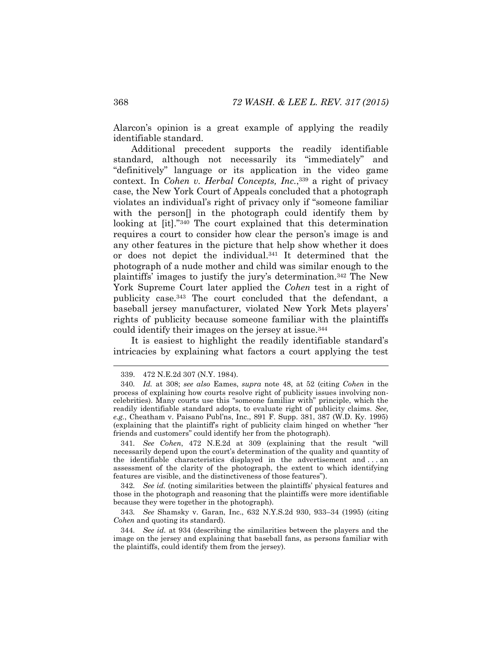Alarcon's opinion is a great example of applying the readily identifiable standard.

<span id="page-52-0"></span>Additional precedent supports the readily identifiable standard, although not necessarily its "immediately" and "definitively" language or its application in the video game context. In *Cohen v. Herbal Concepts, Inc.*, <sup>339</sup> a right of privacy case, the New York Court of Appeals concluded that a photograph violates an individual's right of privacy only if "someone familiar with the person<sup>[]</sup> in the photograph could identify them by looking at [it]."<sup>340</sup> The court explained that this determination requires a court to consider how clear the person's image is and any other features in the picture that help show whether it does or does not depict the individual.<sup>341</sup> It determined that the photograph of a nude mother and child was similar enough to the plaintiffs' images to justify the jury's determination.<sup>342</sup> The New York Supreme Court later applied the *Cohen* test in a right of publicity case.<sup>343</sup> The court concluded that the defendant, a baseball jersey manufacturer, violated New York Mets players' rights of publicity because someone familiar with the plaintiffs could identify their images on the jersey at issue.<sup>344</sup>

<span id="page-52-1"></span>It is easiest to highlight the readily identifiable standard's intricacies by explaining what factors a court applying the test

341*. See Cohen*, 472 N.E.2d at 309 (explaining that the result "will necessarily depend upon the court's determination of the quality and quantity of the identifiable characteristics displayed in the advertisement and . . . an assessment of the clarity of the photograph, the extent to which identifying features are visible, and the distinctiveness of those features").

342*. See id.* (noting similarities between the plaintiffs' physical features and those in the photograph and reasoning that the plaintiffs were more identifiable because they were together in the photograph).

343*. See* Shamsky v. Garan, Inc., 632 N.Y.S.2d 930, 933–34 (1995) (citing *Cohen* and quoting its standard).

344*. See id.* at 934 (describing the similarities between the players and the image on the jersey and explaining that baseball fans, as persons familiar with the plaintiffs, could identify them from the jersey).

<sup>339.</sup> 472 N.E.2d 307 (N.Y. 1984).

<sup>340</sup>*. Id.* at 308; *see also* Eames, *supra* note [48,](#page-9-1) at 52 (citing *Cohen* in the process of explaining how courts resolve right of publicity issues involving noncelebrities). Many courts use this "someone familiar with" principle, which the readily identifiable standard adopts, to evaluate right of publicity claims. *See, e.g.*, Cheatham v. Paisano Publ'ns, Inc., 891 F. Supp. 381, 387 (W.D. Ky. 1995) (explaining that the plaintiff's right of publicity claim hinged on whether "her friends and customers" could identify her from the photograph).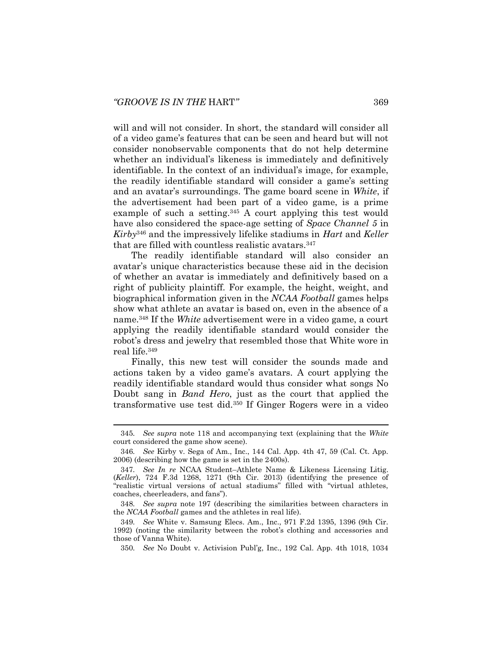will and will not consider. In short, the standard will consider all of a video game's features that can be seen and heard but will not consider nonobservable components that do not help determine whether an individual's likeness is immediately and definitively identifiable. In the context of an individual's image, for example, the readily identifiable standard will consider a game's setting and an avatar's surroundings. The game board scene in *White*, if the advertisement had been part of a video game, is a prime example of such a setting.<sup>345</sup> A court applying this test would have also considered the space-age setting of *Space Channel 5* in *Kirby*<sup>346</sup> and the impressively lifelike stadiums in *Hart* and *Keller* that are filled with countless realistic avatars.<sup>347</sup>

<span id="page-53-0"></span>The readily identifiable standard will also consider an avatar's unique characteristics because these aid in the decision of whether an avatar is immediately and definitively based on a right of publicity plaintiff. For example, the height, weight, and biographical information given in the *NCAA Football* games helps show what athlete an avatar is based on, even in the absence of a name.<sup>348</sup> If the *White* advertisement were in a video game, a court applying the readily identifiable standard would consider the robot's dress and jewelry that resembled those that White wore in real life.<sup>349</sup>

<span id="page-53-1"></span>Finally, this new test will consider the sounds made and actions taken by a video game's avatars. A court applying the readily identifiable standard would thus consider what songs No Doubt sang in *Band Hero*, just as the court that applied the transformative use test did.<sup>350</sup> If Ginger Rogers were in a video

<sup>345</sup>*. See supra* note [118](#page-20-0) and accompanying text (explaining that the *White* court considered the game show scene).

<sup>346</sup>*. See* Kirby v. Sega of Am., Inc., 144 Cal. App. 4th 47, 59 (Cal. Ct. App. 2006) (describing how the game is set in the 2400s).

<sup>347</sup>*. See In re* NCAA Student–Athlete Name & Likeness Licensing Litig. (*Keller*), 724 F.3d 1268, 1271 (9th Cir. 2013) (identifying the presence of "realistic virtual versions of actual stadiums" filled with "virtual athletes, coaches, cheerleaders, and fans").

<sup>348</sup>*. See supra* note [197](#page-32-0) (describing the similarities between characters in the *NCAA Football* games and the athletes in real life).

<sup>349</sup>*. See* White v. Samsung Elecs. Am., Inc., 971 F.2d 1395, 1396 (9th Cir. 1992) (noting the similarity between the robot's clothing and accessories and those of Vanna White).

<sup>350</sup>*. See* No Doubt v. Activision Publ'g, Inc., 192 Cal. App. 4th 1018, 1034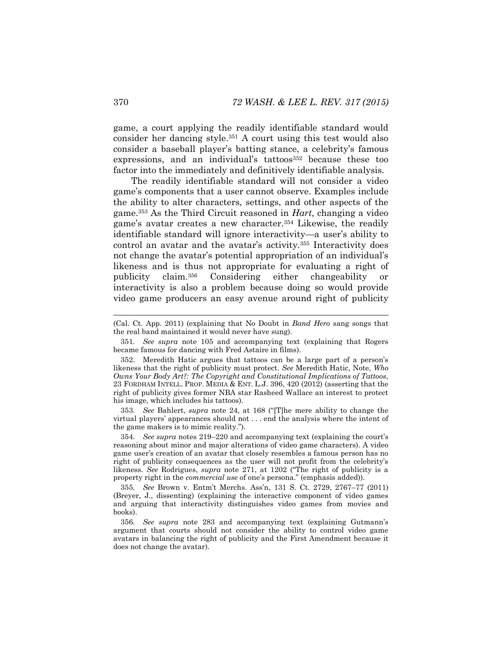game, a court applying the readily identifiable standard would consider her dancing style.<sup>351</sup> A court using this test would also consider a baseball player's batting stance, a celebrity's famous expressions, and an individual's tattoos<sup>352</sup> because these too factor into the immediately and definitively identifiable analysis.

The readily identifiable standard will not consider a video game's components that a user cannot observe. Examples include the ability to alter characters, settings, and other aspects of the game.<sup>353</sup> As the Third Circuit reasoned in *Hart*, changing a video game's avatar creates a new character.<sup>354</sup> Likewise, the readily identifiable standard will ignore interactivity—a user's ability to control an avatar and the avatar's activity.<sup>355</sup> Interactivity does not change the avatar's potential appropriation of an individual's likeness and is thus not appropriate for evaluating a right of publicity claim.<sup>356</sup> Considering either changeability or interactivity is also a problem because doing so would provide video game producers an easy avenue around right of publicity

353*. See* Bahlert, *supra* note [24](#page-5-0), at 168 ("[T]he mere ability to change the virtual players' appearances should not . . . end the analysis where the intent of the game makers is to mimic reality.").

<sup>(</sup>Cal. Ct. App. 2011) (explaining that No Doubt in *Band Hero* sang songs that the real band maintained it would never have sung).

<sup>351</sup>*. See supra* note [105](#page-19-1) and accompanying text (explaining that Rogers became famous for dancing with Fred Astaire in films).

<sup>352.</sup> Meredith Hatic argues that tattoos can be a large part of a person's likeness that the right of publicity must protect. *See* Meredith Hatic, Note, *Who Owns Your Body Art?: The Copyright and Constitutional Implications of Tattoos*, 23 FORDHAM INTELL. PROP. MEDIA & ENT. L.J. 396, 420 (2012) (asserting that the right of publicity gives former NBA star Rasheed Wallace an interest to protect his image, which includes his tattoos).

<sup>354</sup>*. See supra* notes [219](#page-35-0)–[220](#page-35-1) and accompanying text (explaining the court's reasoning about minor and major alterations of video game characters). A video game user's creation of an avatar that closely resembles a famous person has no right of publicity consequences as the user will not profit from the celebrity's likeness. *See* Rodrigues, *supra* note [271](#page-41-2), at 1202 ("The right of publicity is a property right in the *commercial use* of one's persona." (emphasis added)).

<sup>355</sup>*. See* Brown v. Entm't Merchs. Ass'n, 131 S. Ct. 2729, 2767–77 (2011) (Breyer, J., dissenting) (explaining the interactive component of video games and arguing that interactivity distinguishes video games from movies and books).

<sup>356</sup>*. See supra* note [283](#page-43-0) and accompanying text (explaining Gutmann's argument that courts should not consider the ability to control video game avatars in balancing the right of publicity and the First Amendment because it does not change the avatar).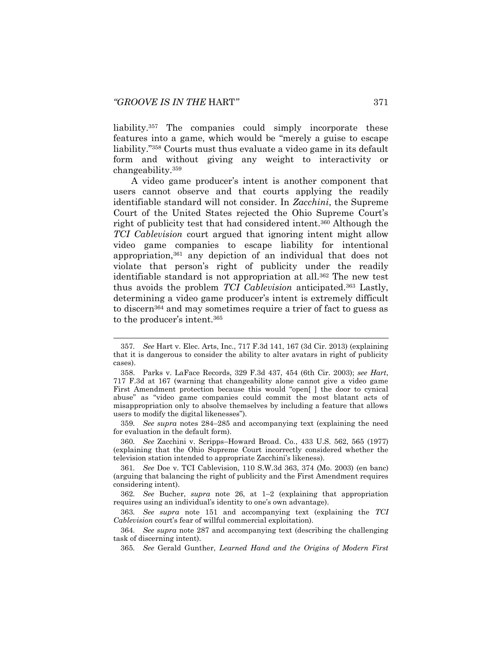<span id="page-55-1"></span>

<span id="page-55-3"></span><span id="page-55-2"></span>liability.<sup>357</sup> The companies could simply incorporate these features into a game, which would be "merely a guise to escape liability."<sup>358</sup> Courts must thus evaluate a video game in its default form and without giving any weight to interactivity or changeability.<sup>359</sup>

<span id="page-55-0"></span>A video game producer's intent is another component that users cannot observe and that courts applying the readily identifiable standard will not consider. In *Zacchini*, the Supreme Court of the United States rejected the Ohio Supreme Court's right of publicity test that had considered intent.<sup>360</sup> Although the *TCI Cablevision* court argued that ignoring intent might allow video game companies to escape liability for intentional appropriation,<sup>361</sup> any depiction of an individual that does not violate that person's right of publicity under the readily identifiable standard is not appropriation at all.<sup>362</sup> The new test thus avoids the problem *TCI Cablevision* anticipated.<sup>363</sup> Lastly, determining a video game producer's intent is extremely difficult to discern<sup>364</sup> and may sometimes require a trier of fact to guess as to the producer's intent.<sup>365</sup>

359*. See supra* notes [284](#page-43-1)–[285](#page-43-2) and accompanying text (explaining the need for evaluation in the default form).

360*. See* Zacchini v. Scripps–Howard Broad. Co., 433 U.S. 562, 565 (1977) (explaining that the Ohio Supreme Court incorrectly considered whether the television station intended to appropriate Zacchini's likeness).

<sup>357</sup>*. See* Hart v. Elec. Arts, Inc., 717 F.3d 141, 167 (3d Cir. 2013) (explaining that it is dangerous to consider the ability to alter avatars in right of publicity cases).

<sup>358.</sup> Parks v. LaFace Records, 329 F.3d 437, 454 (6th Cir. 2003); *see Hart*, 717 F.3d at 167 (warning that changeability alone cannot give a video game First Amendment protection because this would "open[ ] the door to cynical abuse" as "video game companies could commit the most blatant acts of misappropriation only to absolve themselves by including a feature that allows users to modify the digital likenesses").

<sup>361</sup>*. See* Doe v. TCI Cablevision, 110 S.W.3d 363, 374 (Mo. 2003) (en banc) (arguing that balancing the right of publicity and the First Amendment requires considering intent).

<sup>362</sup>*. See* Bucher, *supra* note [26,](#page-6-0) at 1–2 (explaining that appropriation requires using an individual's identity to one's own advantage).

<sup>363</sup>*. See supra* note [151](#page-25-0) and accompanying text (explaining the *TCI Cablevision* court's fear of willful commercial exploitation).

<sup>364</sup>*. See supra* note [287](#page-43-3) and accompanying text (describing the challenging task of discerning intent).

<sup>365</sup>*. See* Gerald Gunther, *Learned Hand and the Origins of Modern First*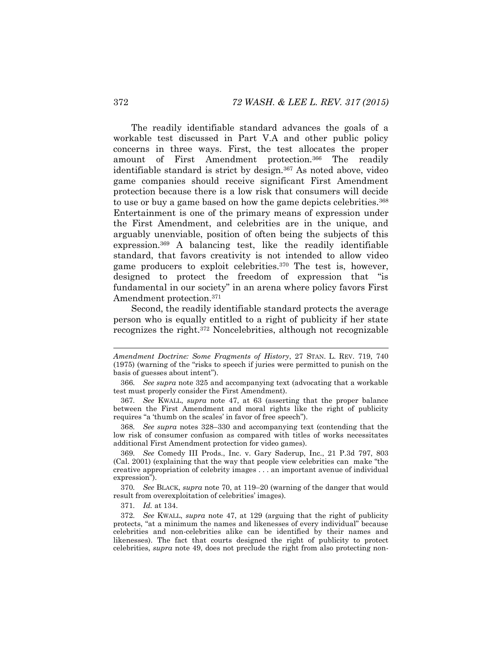The readily identifiable standard advances the goals of a workable test discussed in Part V.A and other public policy concerns in three ways. First, the test allocates the proper amount of First Amendment protection.<sup>366</sup> The readily identifiable standard is strict by design.<sup>367</sup> As noted above, video game companies should receive significant First Amendment protection because there is a low risk that consumers will decide to use or buy a game based on how the game depicts celebrities.<sup>368</sup> Entertainment is one of the primary means of expression under the First Amendment, and celebrities are in the unique, and arguably unenviable, position of often being the subjects of this expression.<sup>369</sup> A balancing test, like the readily identifiable standard, that favors creativity is not intended to allow video game producers to exploit celebrities.<sup>370</sup> The test is, however, designed to protect the freedom of expression that "is fundamental in our society" in an arena where policy favors First Amendment protection.<sup>371</sup>

<span id="page-56-0"></span>Second, the readily identifiable standard protects the average person who is equally entitled to a right of publicity if her state recognizes the right.<sup>372</sup> Noncelebrities, although not recognizable

371*. Id.* at 134.

*Amendment Doctrine: Some Fragments of History*, 27 STAN. L. REV. 719, 740 (1975) (warning of the "risks to speech if juries were permitted to punish on the basis of guesses about intent").

<sup>366</sup>*. See supra* note [325](#page-49-0) and accompanying text (advocating that a workable test must properly consider the First Amendment).

<sup>367</sup>*. See* KWALL, *supra* note [47,](#page-9-0) at 63 (asserting that the proper balance between the First Amendment and moral rights like the right of publicity requires "a 'thumb on the scales' in favor of free speech").

<sup>368</sup>*. See supra* notes [328](#page-49-1)–[330](#page-50-1) and accompanying text (contending that the low risk of consumer confusion as compared with titles of works necessitates additional First Amendment protection for video games).

<sup>369</sup>*. See* Comedy III Prods., Inc. v. Gary Saderup, Inc., 21 P.3d 797, 803 (Cal. 2001) (explaining that the way that people view celebrities can make "the creative appropriation of celebrity images . . . an important avenue of individual expression").

<sup>370</sup>*. See* BLACK, *supra* note [70,](#page-12-0) at 119–20 (warning of the danger that would result from overexploitation of celebrities' images).

<sup>372</sup>*. See* KWALL, *supra* note [47,](#page-9-0) at 129 (arguing that the right of publicity protects, "at a minimum the names and likenesses of every individual" because celebrities and non-celebrities alike can be identified by their names and likenesses). The fact that courts designed the right of publicity to protect celebrities, *supra* note [49,](#page-9-2) does not preclude the right from also protecting non-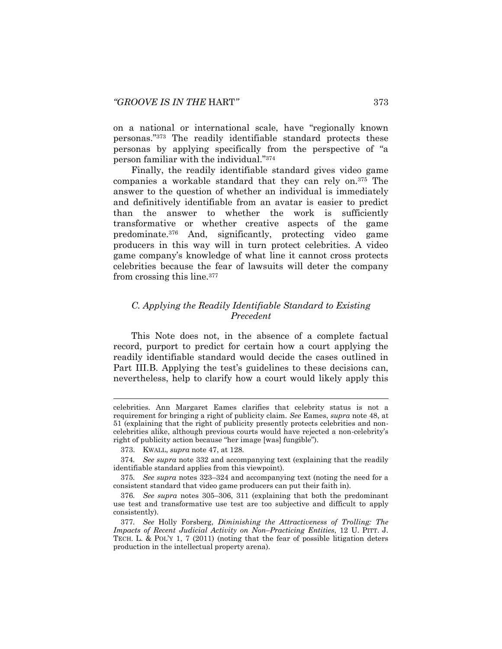on a national or international scale, have "regionally known personas."<sup>373</sup> The readily identifiable standard protects these personas by applying specifically from the perspective of "a person familiar with the individual."<sup>374</sup>

Finally, the readily identifiable standard gives video game companies a workable standard that they can rely on.<sup>375</sup> The answer to the question of whether an individual is immediately and definitively identifiable from an avatar is easier to predict than the answer to whether the work is sufficiently transformative or whether creative aspects of the game predominate.<sup>376</sup> And, significantly, protecting video game producers in this way will in turn protect celebrities. A video game company's knowledge of what line it cannot cross protects celebrities because the fear of lawsuits will deter the company from crossing this line.<sup>377</sup>

# *C. Applying the Readily Identifiable Standard to Existing Precedent*

This Note does not, in the absence of a complete factual record, purport to predict for certain how a court applying the readily identifiable standard would decide the cases outlined in Part III.B. Applying the test's guidelines to these decisions can, nevertheless, help to clarify how a court would likely apply this

celebrities. Ann Margaret Eames clarifies that celebrity status is not a requirement for bringing a right of publicity claim. *See* Eames, *supra* note [48,](#page-9-1) at 51 (explaining that the right of publicity presently protects celebrities and noncelebrities alike, although previous courts would have rejected a non-celebrity's right of publicity action because "her image [was] fungible").

<sup>373.</sup> KWALL, *supra* note [47,](#page-9-0) at 128.

<sup>374</sup>*. See supra* note [332](#page-50-0) and accompanying text (explaining that the readily identifiable standard applies from this viewpoint).

<sup>375</sup>*. See supra* notes [323](#page-49-2)–[324](#page-49-3) and accompanying text (noting the need for a consistent standard that video game producers can put their faith in).

<sup>376</sup>*. See supra* notes [305](#page-46-1)–[306,](#page-46-0) [311](#page-47-1) (explaining that both the predominant use test and transformative use test are too subjective and difficult to apply consistently).

<sup>377</sup>*. See* Holly Forsberg, *Diminishing the Attractiveness of Trolling: The Impacts of Recent Judicial Activity on Non–Practicing Entities*, 12 U. PITT. J. TECH. L. & POL'Y 1, 7 (2011) (noting that the fear of possible litigation deters production in the intellectual property arena).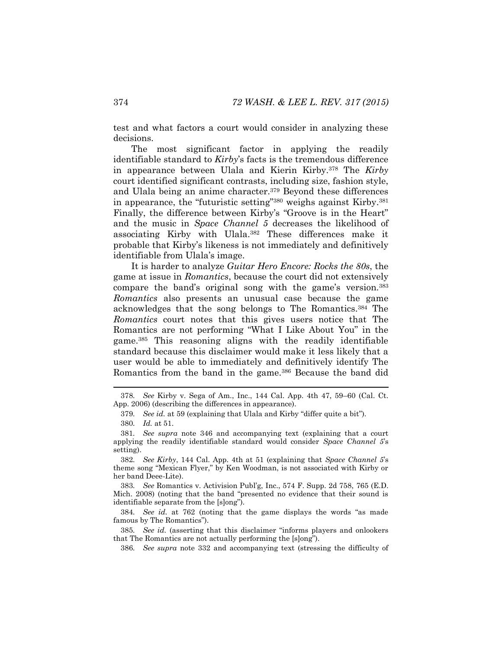test and what factors a court would consider in analyzing these decisions.

The most significant factor in applying the readily identifiable standard to *Kirby*'s facts is the tremendous difference in appearance between Ulala and Kierin Kirby.<sup>378</sup> The *Kirby* court identified significant contrasts, including size, fashion style, and Ulala being an anime character.<sup>379</sup> Beyond these differences in appearance, the "futuristic setting"<sup>380</sup> weighs against Kirby.<sup>381</sup> Finally, the difference between Kirby's "Groove is in the Heart" and the music in *Space Channel 5* decreases the likelihood of associating Kirby with Ulala.<sup>382</sup> These differences make it probable that Kirby's likeness is not immediately and definitively identifiable from Ulala's image.

It is harder to analyze *Guitar Hero Encore: Rocks the 80s*, the game at issue in *Romantics*, because the court did not extensively compare the band's original song with the game's version.<sup>383</sup> *Romantics* also presents an unusual case because the game acknowledges that the song belongs to The Romantics.<sup>384</sup> The *Romantics* court notes that this gives users notice that The Romantics are not performing "What I Like About You" in the game.<sup>385</sup> This reasoning aligns with the readily identifiable standard because this disclaimer would make it less likely that a user would be able to immediately and definitively identify The Romantics from the band in the game.<sup>386</sup> Because the band did

383*. See* Romantics v. Activision Publ'g, Inc., 574 F. Supp. 2d 758, 765 (E.D. Mich. 2008) (noting that the band "presented no evidence that their sound is identifiable separate from the [s]ong").

384*. See id.* at 762 (noting that the game displays the words "as made famous by The Romantics").

385*. See id.* (asserting that this disclaimer "informs players and onlookers that The Romantics are not actually performing the [s]ong").

386*. See supra* note [332](#page-50-0) and accompanying text (stressing the difficulty of

<sup>378</sup>*. See* Kirby v. Sega of Am., Inc., 144 Cal. App. 4th 47, 59–60 (Cal. Ct. App. 2006) (describing the differences in appearance).

<sup>379</sup>*. See id.* at 59 (explaining that Ulala and Kirby "differ quite a bit").

<sup>380</sup>*. Id.* at 51.

<sup>381</sup>*. See supra* note [346](#page-53-0) and accompanying text (explaining that a court applying the readily identifiable standard would consider *Space Channel 5*'s setting).

<sup>382</sup>*. See Kirby*, 144 Cal. App. 4th at 51 (explaining that *Space Channel 5*'s theme song "Mexican Flyer," by Ken Woodman, is not associated with Kirby or her band Deee-Lite).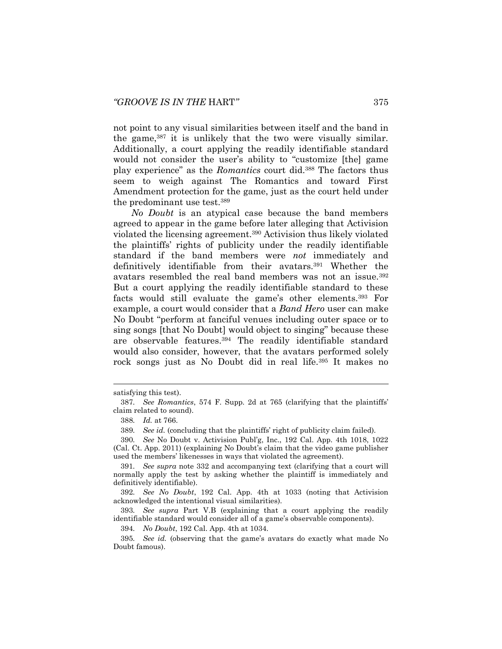not point to any visual similarities between itself and the band in the game,<sup>387</sup> it is unlikely that the two were visually similar. Additionally, a court applying the readily identifiable standard would not consider the user's ability to "customize [the] game play experience" as the *Romantics* court did.<sup>388</sup> The factors thus seem to weigh against The Romantics and toward First Amendment protection for the game, just as the court held under the predominant use test.<sup>389</sup>

*No Doubt* is an atypical case because the band members agreed to appear in the game before later alleging that Activision violated the licensing agreement.<sup>390</sup> Activision thus likely violated the plaintiffs' rights of publicity under the readily identifiable standard if the band members were *not* immediately and definitively identifiable from their avatars.<sup>391</sup> Whether the avatars resembled the real band members was not an issue.<sup>392</sup> But a court applying the readily identifiable standard to these facts would still evaluate the game's other elements.<sup>393</sup> For example, a court would consider that a *Band Hero* user can make No Doubt "perform at fanciful venues including outer space or to sing songs [that No Doubt] would object to singing" because these are observable features.<sup>394</sup> The readily identifiable standard would also consider, however, that the avatars performed solely rock songs just as No Doubt did in real life.<sup>395</sup> It makes no

l

394*. No Doubt*, 192 Cal. App. 4th at 1034.

satisfying this test).

<sup>387</sup>*. See Romantics*, 574 F. Supp. 2d at 765 (clarifying that the plaintiffs' claim related to sound).

<sup>388</sup>*. Id.* at 766.

<sup>389</sup>*. See id.* (concluding that the plaintiffs' right of publicity claim failed).

<sup>390</sup>*. See* No Doubt v. Activision Publ'g, Inc., 192 Cal. App. 4th 1018, 1022 (Cal. Ct. App. 2011) (explaining No Doubt's claim that the video game publisher used the members' likenesses in ways that violated the agreement).

<sup>391</sup>*. See supra* note [332](#page-50-0) and accompanying text (clarifying that a court will normally apply the test by asking whether the plaintiff is immediately and definitively identifiable).

<sup>392</sup>*. See No Doubt*, 192 Cal. App. 4th at 1033 (noting that Activision acknowledged the intentional visual similarities).

<sup>393</sup>*. See supra* Part V.B (explaining that a court applying the readily identifiable standard would consider all of a game's observable components).

<sup>395</sup>*. See id.* (observing that the game's avatars do exactly what made No Doubt famous).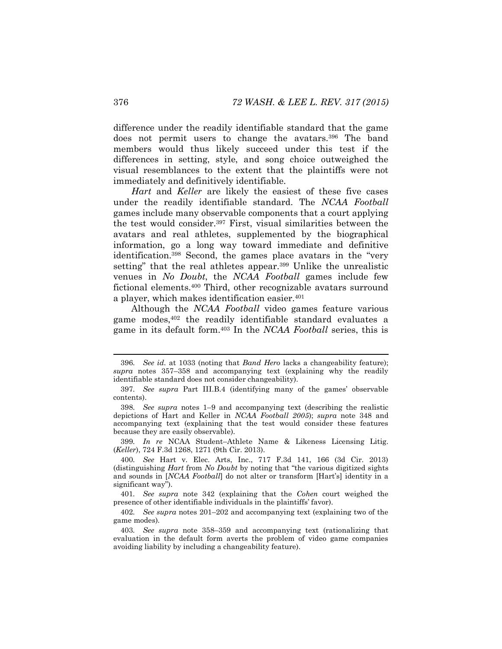difference under the readily identifiable standard that the game does not permit users to change the avatars.<sup>396</sup> The band members would thus likely succeed under this test if the differences in setting, style, and song choice outweighed the visual resemblances to the extent that the plaintiffs were not immediately and definitively identifiable.

*Hart* and *Keller* are likely the easiest of these five cases under the readily identifiable standard. The *NCAA Football* games include many observable components that a court applying the test would consider.<sup>397</sup> First, visual similarities between the avatars and real athletes, supplemented by the biographical information, go a long way toward immediate and definitive identification.<sup>398</sup> Second, the games place avatars in the "very setting" that the real athletes appear.<sup>399</sup> Unlike the unrealistic venues in *No Doubt*, the *NCAA Football* games include few fictional elements.<sup>400</sup> Third, other recognizable avatars surround a player, which makes identification easier.<sup>401</sup>

Although the *NCAA Football* video games feature various game modes,<sup>402</sup> the readily identifiable standard evaluates a game in its default form.<sup>403</sup> In the *NCAA Football* series, this is

399*. In re* NCAA Student–Athlete Name & Likeness Licensing Litig. (*Keller*), 724 F.3d 1268, 1271 (9th Cir. 2013).

<sup>396</sup>*. See id.* at 1033 (noting that *Band Hero* lacks a changeability feature); *supra* notes [357](#page-55-2)–[358](#page-55-3) and accompanying text (explaining why the readily identifiable standard does not consider changeability).

<sup>397</sup>*. See supra* Part III.B.4 (identifying many of the games' observable contents).

<sup>398</sup>*. See supra* notes [1](#page-2-0)–[9](#page-3-0) and accompanying text (describing the realistic depictions of Hart and Keller in *NCAA Football 2005*); *supra* note [348](#page-53-1) and accompanying text (explaining that the test would consider these features because they are easily observable).

<sup>400</sup>*. See* Hart v. Elec. Arts, Inc., 717 F.3d 141, 166 (3d Cir. 2013) (distinguishing *Hart* from *No Doubt* by noting that "the various digitized sights and sounds in [*NCAA Football*] do not alter or transform [Hart's] identity in a significant way").

<sup>401</sup>*. See supra* note [342](#page-52-1) (explaining that the *Cohen* court weighed the presence of other identifiable individuals in the plaintiffs' favor).

<sup>402</sup>*. See supra* notes [201](#page-33-0)–[202](#page-33-1) and accompanying text (explaining two of the game modes).

<sup>403</sup>*. See supra* note [358](#page-55-3)–[359](#page-55-0) and accompanying text (rationalizing that evaluation in the default form averts the problem of video game companies avoiding liability by including a changeability feature).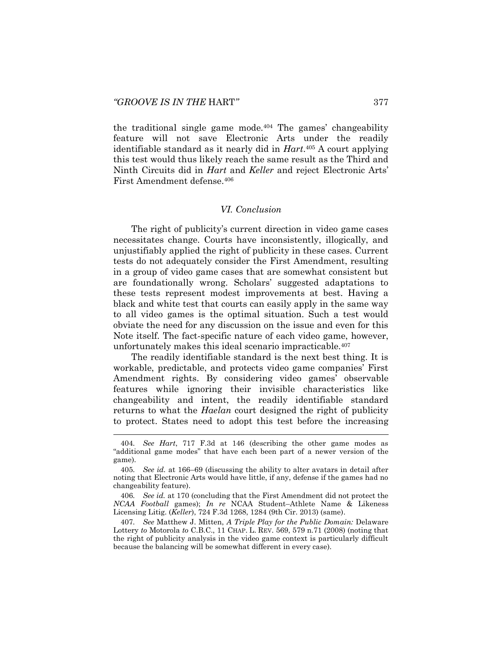the traditional single game mode.<sup>404</sup> The games' changeability feature will not save Electronic Arts under the readily identifiable standard as it nearly did in *Hart*. <sup>405</sup> A court applying this test would thus likely reach the same result as the Third and Ninth Circuits did in *Hart* and *Keller* and reject Electronic Arts' First Amendment defense.<sup>406</sup>

#### *VI. Conclusion*

The right of publicity's current direction in video game cases necessitates change. Courts have inconsistently, illogically, and unjustifiably applied the right of publicity in these cases. Current tests do not adequately consider the First Amendment, resulting in a group of video game cases that are somewhat consistent but are foundationally wrong. Scholars' suggested adaptations to these tests represent modest improvements at best. Having a black and white test that courts can easily apply in the same way to all video games is the optimal situation. Such a test would obviate the need for any discussion on the issue and even for this Note itself. The fact-specific nature of each video game, however, unfortunately makes this ideal scenario impracticable.<sup>407</sup>

The readily identifiable standard is the next best thing. It is workable, predictable, and protects video game companies' First Amendment rights. By considering video games' observable features while ignoring their invisible characteristics like changeability and intent, the readily identifiable standard returns to what the *Haelan* court designed the right of publicity to protect. States need to adopt this test before the increasing

<sup>404</sup>*. See Hart*, 717 F.3d at 146 (describing the other game modes as "additional game modes" that have each been part of a newer version of the game).

<sup>405</sup>*. See id.* at 166–69 (discussing the ability to alter avatars in detail after noting that Electronic Arts would have little, if any, defense if the games had no changeability feature).

<sup>406</sup>*. See id.* at 170 (concluding that the First Amendment did not protect the *NCAA Football* games); *In re* NCAA Student–Athlete Name & Likeness Licensing Litig. (*Keller*), 724 F.3d 1268, 1284 (9th Cir. 2013) (same).

<sup>407</sup>*. See* Matthew J. Mitten, *A Triple Play for the Public Domain:* Delaware Lottery *to* Motorola *to* C.B.C., 11 CHAP. L. REV. 569, 579 n.71 (2008) (noting that the right of publicity analysis in the video game context is particularly difficult because the balancing will be somewhat different in every case).